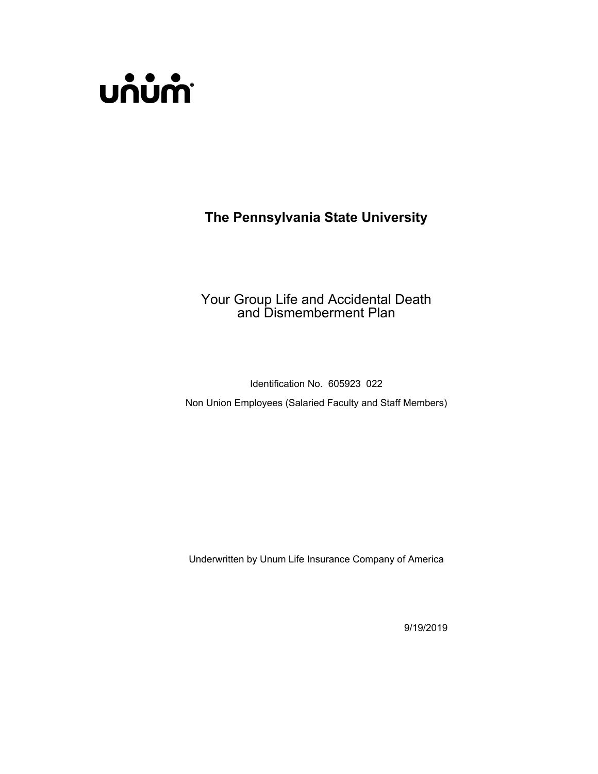

# **The Pennsylvania State University**

# Your Group Life and Accidental Death and Dismemberment Plan

Identification No. 605923 022 Non Union Employees (Salaried Faculty and Staff Members)

Underwritten by Unum Life Insurance Company of America

9/19/2019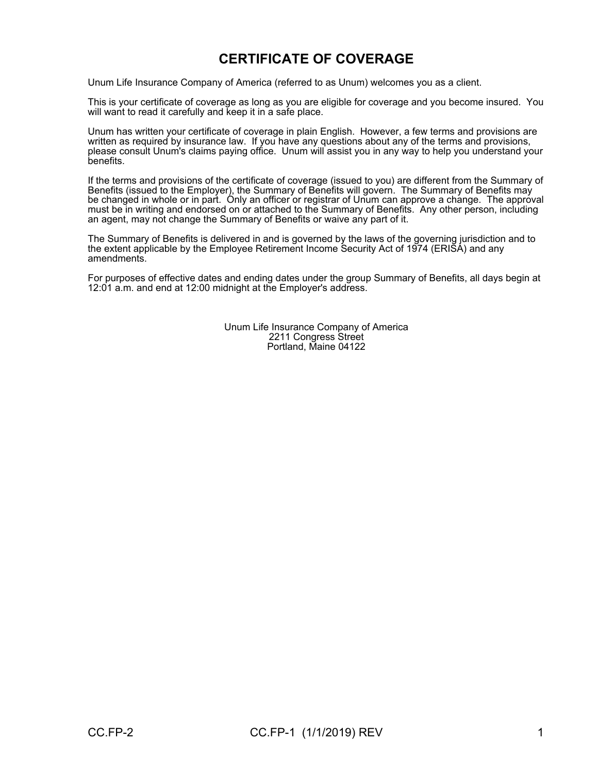# **CERTIFICATE OF COVERAGE**

Unum Life Insurance Company of America (referred to as Unum) welcomes you as a client.

This is your certificate of coverage as long as you are eligible for coverage and you become insured. You will want to read it carefully and keep it in a safe place.

Unum has written your certificate of coverage in plain English. However, a few terms and provisions are written as required by insurance law. If you have any questions about any of the terms and provisions, please consult Unum's claims paying office. Unum will assist you in any way to help you understand your benefits.

If the terms and provisions of the certificate of coverage (issued to you) are different from the Summary of Benefits (issued to the Employer), the Summary of Benefits will govern. The Summary of Benefits may be changed in whole or in part. Only an officer or registrar of Unum can approve a change. The approval must be in writing and endorsed on or attached to the Summary of Benefits. Any other person, including an agent, may not change the Summary of Benefits or waive any part of it.

The Summary of Benefits is delivered in and is governed by the laws of the governing jurisdiction and to the extent applicable by the Employee Retirement Income Security Act of 1974 (ERISA) and any amendments.

For purposes of effective dates and ending dates under the group Summary of Benefits, all days begin at 12:01 a.m. and end at 12:00 midnight at the Employer's address.

> Unum Life Insurance Company of America 2211 Congress Street Portland, Maine 04122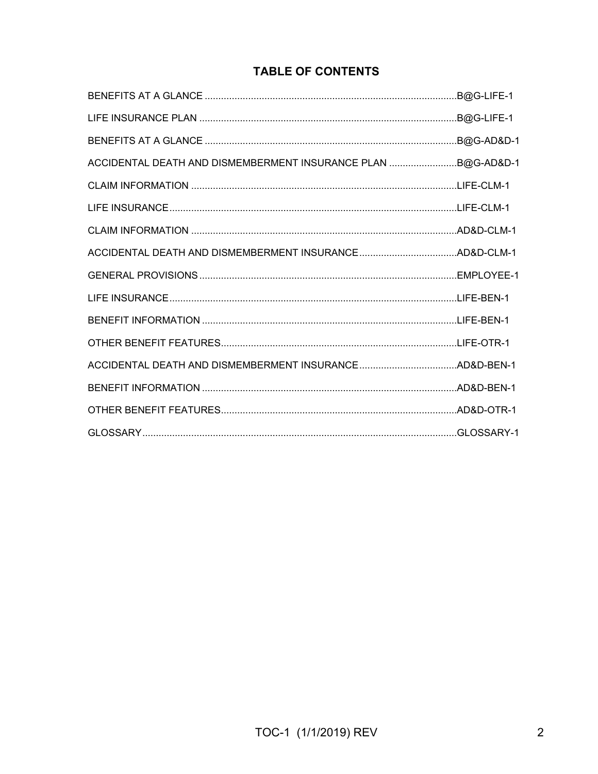# **TABLE OF CONTENTS**

|                                                              | .B@G-LIFE-1 |
|--------------------------------------------------------------|-------------|
|                                                              |             |
| ACCIDENTAL DEATH AND DISMEMBERMENT INSURANCE PLAN B@G-AD&D-1 |             |
|                                                              |             |
|                                                              |             |
|                                                              |             |
|                                                              |             |
|                                                              |             |
|                                                              |             |
|                                                              |             |
|                                                              |             |
|                                                              |             |
|                                                              |             |
|                                                              |             |
|                                                              |             |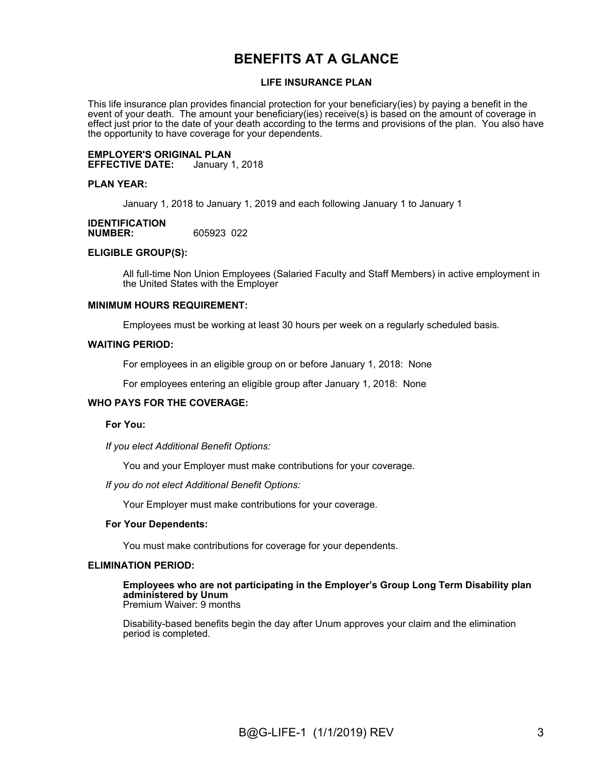# **BENEFITS AT A GLANCE**

#### **LIFE INSURANCE PLAN**

This life insurance plan provides financial protection for your beneficiary(ies) by paying a benefit in the event of your death. The amount your beneficiary(ies) receive(s) is based on the amount of coverage in effect just prior to the date of your death according to the terms and provisions of the plan. You also have the opportunity to have coverage for your dependents.

**EMPLOYER'S ORIGINAL PLAN EFFECTIVE DATE:** 

#### **PLAN YEAR:**

January 1, 2018 to January 1, 2019 and each following January 1 to January 1

#### **IDENTIFICATION NUMBER:** 605923 022

### **ELIGIBLE GROUP(S):**

All full-time Non Union Employees (Salaried Faculty and Staff Members) in active employment in the United States with the Employer

#### **MINIMUM HOURS REQUIREMENT:**

Employees must be working at least 30 hours per week on a regularly scheduled basis.

#### **WAITING PERIOD:**

For employees in an eligible group on or before January 1, 2018: None

For employees entering an eligible group after January 1, 2018: None

### **WHO PAYS FOR THE COVERAGE:**

#### **For You:**

*If you elect Additional Benefit Options:*

You and your Employer must make contributions for your coverage.

*If you do not elect Additional Benefit Options:*

Your Employer must make contributions for your coverage.

#### **For Your Dependents:**

You must make contributions for coverage for your dependents.

#### **ELIMINATION PERIOD:**

**Employees who are not participating in the Employer's Group Long Term Disability plan administered by Unum** Premium Waiver: 9 months

Disability-based benefits begin the day after Unum approves your claim and the elimination period is completed.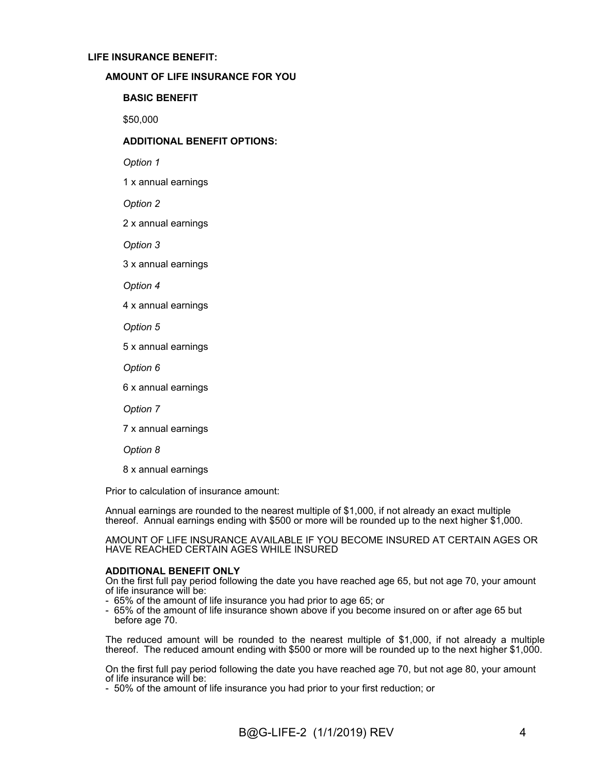#### **LIFE INSURANCE BENEFIT:**

#### **AMOUNT OF LIFE INSURANCE FOR YOU**

#### **BASIC BENEFIT**

\$50,000

#### **ADDITIONAL BENEFIT OPTIONS:**

*Option 1*

1 x annual earnings

*Option 2*

2 x annual earnings

*Option 3*

3 x annual earnings

*Option 4*

4 x annual earnings

*Option 5*

5 x annual earnings

*Option 6*

6 x annual earnings

*Option 7*

7 x annual earnings

*Option 8*

8 x annual earnings

Prior to calculation of insurance amount:

Annual earnings are rounded to the nearest multiple of \$1,000, if not already an exact multiple thereof. Annual earnings ending with \$500 or more will be rounded up to the next higher \$1,000.

AMOUNT OF LIFE INSURANCE AVAILABLE IF YOU BECOME INSURED AT CERTAIN AGES OR HAVE REACHED CERTAIN AGES WHILE INSURED

#### **ADDITIONAL BENEFIT ONLY**

On the first full pay period following the date you have reached age 65, but not age 70, your amount of life insurance will be:

- 65% of the amount of life insurance you had prior to age 65; or
- 65% of the amount of life insurance shown above if you become insured on or after age 65 but before age 70.

The reduced amount will be rounded to the nearest multiple of \$1,000, if not already a multiple thereof. The reduced amount ending with \$500 or more will be rounded up to the next higher \$1,000.

On the first full pay period following the date you have reached age 70, but not age 80, your amount of life insurance will be:

- 50% of the amount of life insurance you had prior to your first reduction; or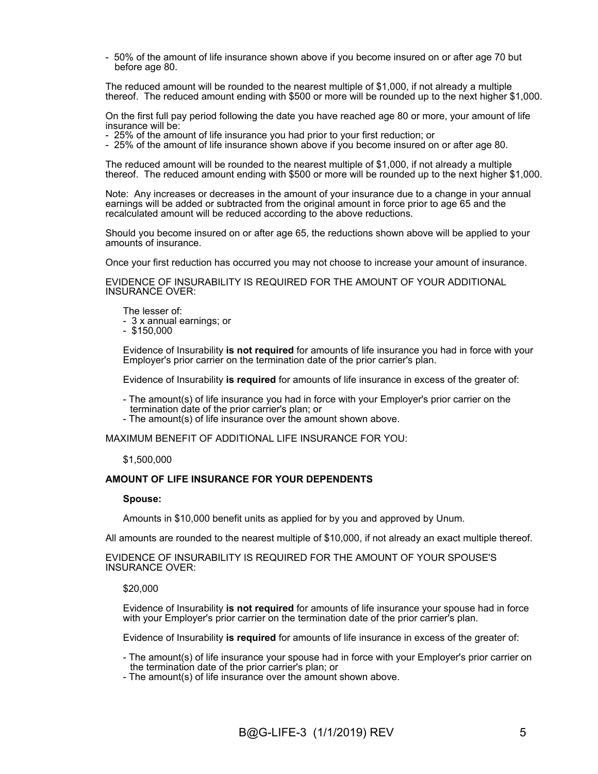- 50% of the amount of life insurance shown above if you become insured on or after age 70 but before age 80.

The reduced amount will be rounded to the nearest multiple of \$1,000, if not already a multiple thereof. The reduced amount ending with \$500 or more will be rounded up to the next higher \$1,000.

On the first full pay period following the date you have reached age 80 or more, your amount of life insurance will be:

- 25% of the amount of life insurance you had prior to your first reduction; or
- 25% of the amount of life insurance shown above if you become insured on or after age 80.

The reduced amount will be rounded to the nearest multiple of \$1,000, if not already a multiple thereof. The reduced amount ending with \$500 or more will be rounded up to the next higher \$1,000.

Note: Any increases or decreases in the amount of your insurance due to a change in your annual earnings will be added or subtracted from the original amount in force prior to age 65 and the recalculated amount will be reduced according to the above reductions.

Should you become insured on or after age 65, the reductions shown above will be applied to your amounts of insurance.

Once your first reduction has occurred you may not choose to increase your amount of insurance.

EVIDENCE OF INSURABILITY IS REQUIRED FOR THE AMOUNT OF YOUR ADDITIONAL INSURANCE OVER:

The lesser of:

- 3 x annual earnings; or

- \$150,000

Evidence of Insurability **is not required** for amounts of life insurance you had in force with your Employer's prior carrier on the termination date of the prior carrier's plan.

Evidence of Insurability **is required** for amounts of life insurance in excess of the greater of:

- The amount(s) of life insurance you had in force with your Employer's prior carrier on the termination date of the prior carrier's plan; or - The amount(s) of life insurance over the amount shown above.

MAXIMUM BENEFIT OF ADDITIONAL LIFE INSURANCE FOR YOU:

#### \$1,500,000

#### **AMOUNT OF LIFE INSURANCE FOR YOUR DEPENDENTS**

#### **Spouse:**

Amounts in \$10,000 benefit units as applied for by you and approved by Unum.

All amounts are rounded to the nearest multiple of \$10,000, if not already an exact multiple thereof.

EVIDENCE OF INSURABILITY IS REQUIRED FOR THE AMOUNT OF YOUR SPOUSE'S INSURANCE OVER:

\$20,000

Evidence of Insurability **is not required** for amounts of life insurance your spouse had in force with your Employer's prior carrier on the termination date of the prior carrier's plan.

Evidence of Insurability **is required** for amounts of life insurance in excess of the greater of:

- The amount(s) of life insurance your spouse had in force with your Employer's prior carrier on the termination date of the prior carrier's plan; or
- The amount(s) of life insurance over the amount shown above.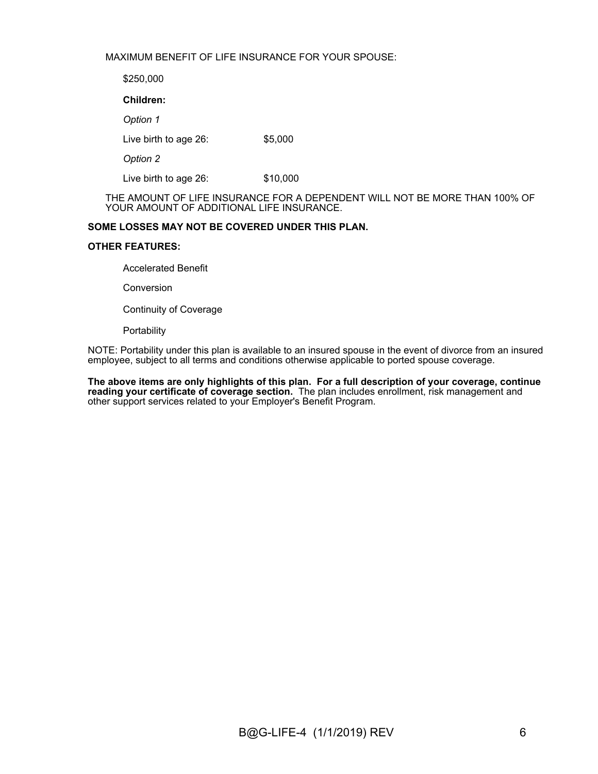MAXIMUM BENEFIT OF LIFE INSURANCE FOR YOUR SPOUSE:

\$250,000

**Children:**

*Option 1*

Live birth to age 26: \$5,000

*Option 2*

Live birth to age 26: \$10,000

THE AMOUNT OF LIFE INSURANCE FOR A DEPENDENT WILL NOT BE MORE THAN 100% OF YOUR AMOUNT OF ADDITIONAL LIFE INSURANCE.

#### **SOME LOSSES MAY NOT BE COVERED UNDER THIS PLAN.**

#### **OTHER FEATURES:**

Accelerated Benefit

**Conversion** 

Continuity of Coverage

**Portability** 

NOTE: Portability under this plan is available to an insured spouse in the event of divorce from an insured employee, subject to all terms and conditions otherwise applicable to ported spouse coverage.

**The above items are only highlights of this plan. For a full description of your coverage, continue reading your certificate of coverage section.** The plan includes enrollment, risk management and other support services related to your Employer's Benefit Program.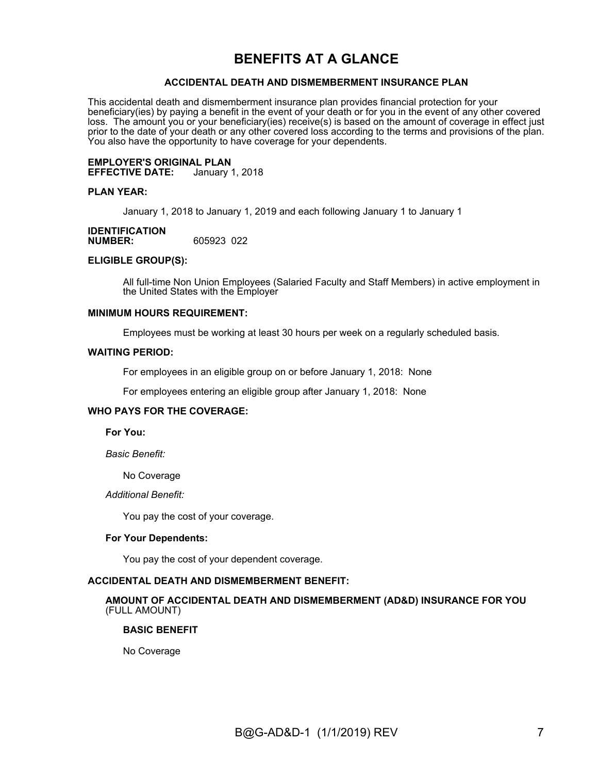# **BENEFITS AT A GLANCE**

#### **ACCIDENTAL DEATH AND DISMEMBERMENT INSURANCE PLAN**

This accidental death and dismemberment insurance plan provides financial protection for your beneficiary(ies) by paying a benefit in the event of your death or for you in the event of any other covered loss. The amount you or your beneficiary(ies) receive(s) is based on the amount of coverage in effect just prior to the date of your death or any other covered loss according to the terms and provisions of the plan. You also have the opportunity to have coverage for your dependents.

# **EMPLOYER'S ORIGINAL PLAN**

**EFFECTIVE DATE:** 

#### **PLAN YEAR:**

January 1, 2018 to January 1, 2019 and each following January 1 to January 1

#### **IDENTIFICATION**<br>NUMBER: **NUMBER:** 605923 022

#### **ELIGIBLE GROUP(S):**

All full-time Non Union Employees (Salaried Faculty and Staff Members) in active employment in the United States with the Employer

#### **MINIMUM HOURS REQUIREMENT:**

Employees must be working at least 30 hours per week on a regularly scheduled basis.

#### **WAITING PERIOD:**

For employees in an eligible group on or before January 1, 2018: None

For employees entering an eligible group after January 1, 2018: None

#### **WHO PAYS FOR THE COVERAGE:**

**For You:**

*Basic Benefit:*

No Coverage

*Additional Benefit:*

You pay the cost of your coverage.

#### **For Your Dependents:**

You pay the cost of your dependent coverage.

#### **ACCIDENTAL DEATH AND DISMEMBERMENT BENEFIT:**

#### **AMOUNT OF ACCIDENTAL DEATH AND DISMEMBERMENT (AD&D) INSURANCE FOR YOU**  (FULL AMOUNT)

#### **BASIC BENEFIT**

No Coverage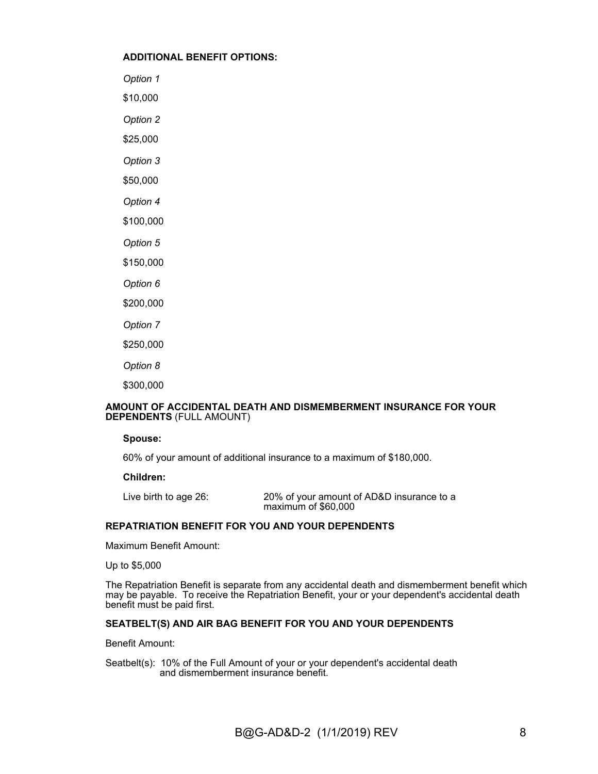#### **ADDITIONAL BENEFIT OPTIONS:**

*Option 1* \$10,000 *Option 2* \$25,000 *Option 3* \$50,000 *Option 4* \$100,000 *Option 5* \$150,000 *Option 6* \$200,000 *Option 7* \$250,000 *Option 8*

\$300,000

#### **AMOUNT OF ACCIDENTAL DEATH AND DISMEMBERMENT INSURANCE FOR YOUR DEPENDENTS** (FULL AMOUNT)

#### **Spouse:**

60% of your amount of additional insurance to a maximum of \$180,000.

#### **Children:**

Live birth to age 26: 20% of your amount of AD&D insurance to a maximum of \$60,000

#### **REPATRIATION BENEFIT FOR YOU AND YOUR DEPENDENTS**

Maximum Benefit Amount:

Up to \$5,000

The Repatriation Benefit is separate from any accidental death and dismemberment benefit which may be payable. To receive the Repatriation Benefit, your or your dependent's accidental death benefit must be paid first.

#### **SEATBELT(S) AND AIR BAG BENEFIT FOR YOU AND YOUR DEPENDENTS**

Benefit Amount:

Seatbelt(s): 10% of the Full Amount of your or your dependent's accidental death and dismemberment insurance benefit.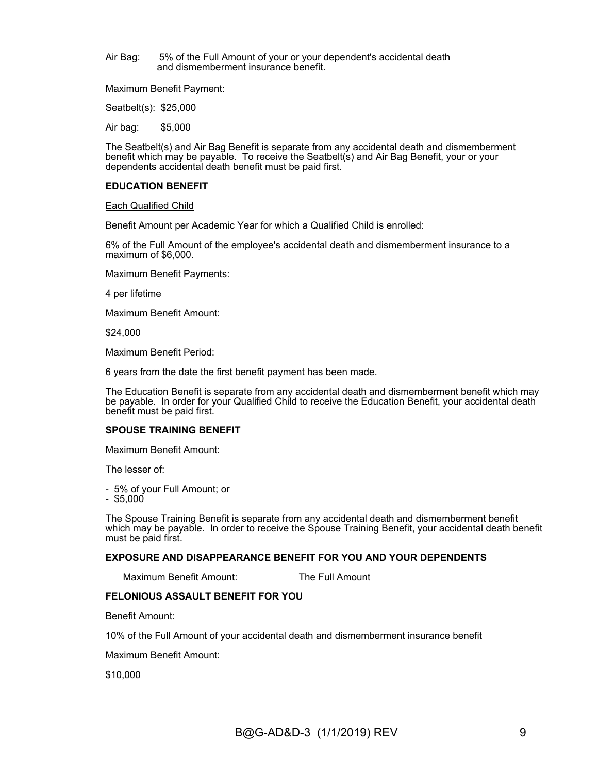Air Bag: 5% of the Full Amount of your or your dependent's accidental death and dismemberment insurance benefit.

Maximum Benefit Payment:

Seatbelt(s): \$25,000

Air bag: \$5,000

The Seatbelt(s) and Air Bag Benefit is separate from any accidental death and dismemberment benefit which may be payable. To receive the Seatbelt(s) and Air Bag Benefit, your or your dependents accidental death benefit must be paid first.

#### **EDUCATION BENEFIT**

Each Qualified Child

Benefit Amount per Academic Year for which a Qualified Child is enrolled:

6% of the Full Amount of the employee's accidental death and dismemberment insurance to a maximum of \$6,000.

Maximum Benefit Payments:

4 per lifetime

Maximum Benefit Amount:

\$24,000

Maximum Benefit Period:

6 years from the date the first benefit payment has been made.

The Education Benefit is separate from any accidental death and dismemberment benefit which may be payable. In order for your Qualified Child to receive the Education Benefit, your accidental death benefit must be paid first.

#### **SPOUSE TRAINING BENEFIT**

Maximum Benefit Amount:

The lesser of:

- 5% of your Full Amount; or

 $-$  \$5,000

The Spouse Training Benefit is separate from any accidental death and dismemberment benefit which may be payable. In order to receive the Spouse Training Benefit, your accidental death benefit must be paid first.

#### **EXPOSURE AND DISAPPEARANCE BENEFIT FOR YOU AND YOUR DEPENDENTS**

Maximum Benefit Amount: The Full Amount

#### **FELONIOUS ASSAULT BENEFIT FOR YOU**

Benefit Amount:

10% of the Full Amount of your accidental death and dismemberment insurance benefit

Maximum Benefit Amount:

\$10,000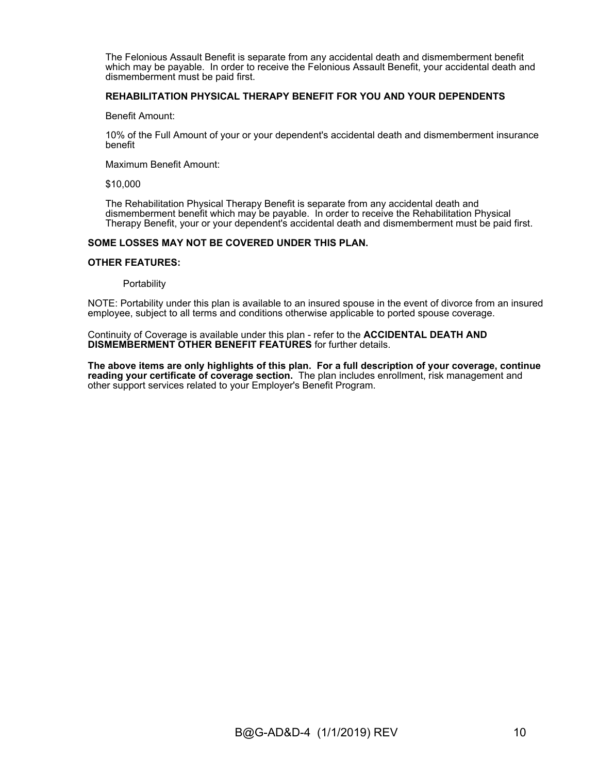The Felonious Assault Benefit is separate from any accidental death and dismemberment benefit which may be payable. In order to receive the Felonious Assault Benefit, your accidental death and dismemberment must be paid first.

#### **REHABILITATION PHYSICAL THERAPY BENEFIT FOR YOU AND YOUR DEPENDENTS**

Benefit Amount:

10% of the Full Amount of your or your dependent's accidental death and dismemberment insurance benefit

Maximum Benefit Amount:

\$10,000

The Rehabilitation Physical Therapy Benefit is separate from any accidental death and dismemberment benefit which may be payable. In order to receive the Rehabilitation Physical Therapy Benefit, your or your dependent's accidental death and dismemberment must be paid first.

#### **SOME LOSSES MAY NOT BE COVERED UNDER THIS PLAN.**

#### **OTHER FEATURES:**

**Portability** 

NOTE: Portability under this plan is available to an insured spouse in the event of divorce from an insured employee, subject to all terms and conditions otherwise applicable to ported spouse coverage.

Continuity of Coverage is available under this plan - refer to the **ACCIDENTAL DEATH AND DISMEMBERMENT OTHER BENEFIT FEATURES** for further details.

**The above items are only highlights of this plan. For a full description of your coverage, continue reading your certificate of coverage section.** The plan includes enrollment, risk management and other support services related to your Employer's Benefit Program.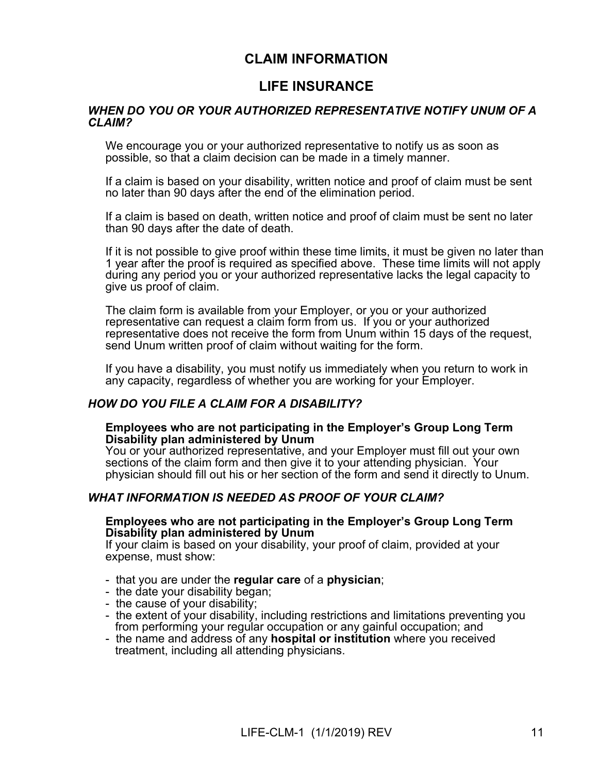# **CLAIM INFORMATION**

# **LIFE INSURANCE**

# *WHEN DO YOU OR YOUR AUTHORIZED REPRESENTATIVE NOTIFY UNUM OF A CLAIM?*

We encourage you or your authorized representative to notify us as soon as possible, so that a claim decision can be made in a timely manner.

If a claim is based on your disability, written notice and proof of claim must be sent no later than 90 days after the end of the elimination period.

If a claim is based on death, written notice and proof of claim must be sent no later than 90 days after the date of death.

If it is not possible to give proof within these time limits, it must be given no later than 1 year after the proof is required as specified above. These time limits will not apply during any period you or your authorized representative lacks the legal capacity to give us proof of claim.

The claim form is available from your Employer, or you or your authorized representative can request a claim form from us. If you or your authorized representative does not receive the form from Unum within 15 days of the request, send Unum written proof of claim without waiting for the form.

If you have a disability, you must notify us immediately when you return to work in any capacity, regardless of whether you are working for your Employer.

### *HOW DO YOU FILE A CLAIM FOR A DISABILITY?*

### **Employees who are not participating in the Employer's Group Long Term Disability plan administered by Unum**

You or your authorized representative, and your Employer must fill out your own sections of the claim form and then give it to your attending physician. Your physician should fill out his or her section of the form and send it directly to Unum.

### *WHAT INFORMATION IS NEEDED AS PROOF OF YOUR CLAIM?*

### **Employees who are not participating in the Employer's Group Long Term Disability plan administered by Unum**

If your claim is based on your disability, your proof of claim, provided at your expense, must show:

- that you are under the **regular care** of a **physician**;
- the date your disability began;
- the cause of your disability;
- the extent of your disability, including restrictions and limitations preventing you from performing your regular occupation or any gainful occupation; and
- the name and address of any **hospital or institution** where you received treatment, including all attending physicians.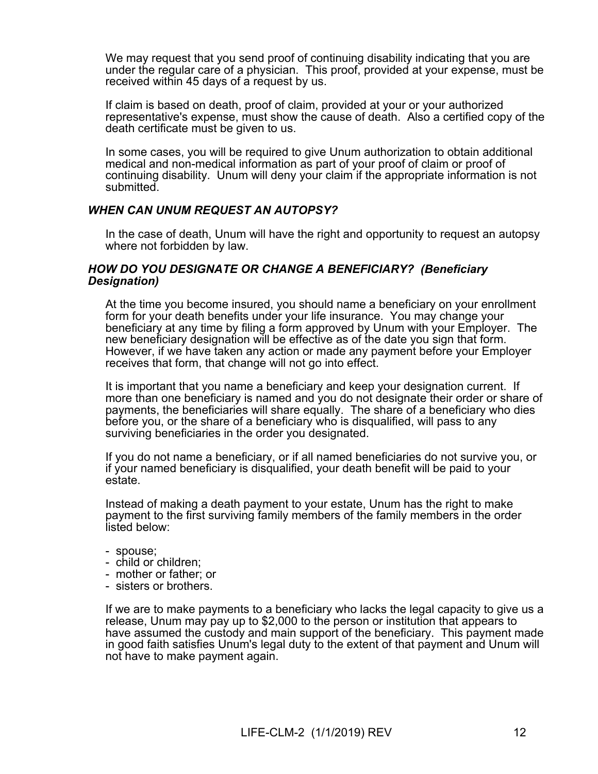We may request that you send proof of continuing disability indicating that you are under the regular care of a physician. This proof, provided at your expense, must be received within 45 days of a request by us.

If claim is based on death, proof of claim, provided at your or your authorized representative's expense, must show the cause of death. Also a certified copy of the death certificate must be given to us.

In some cases, you will be required to give Unum authorization to obtain additional medical and non-medical information as part of your proof of claim or proof of continuing disability. Unum will deny your claim if the appropriate information is not submitted.

# *WHEN CAN UNUM REQUEST AN AUTOPSY?*

In the case of death, Unum will have the right and opportunity to request an autopsy where not forbidden by law.

### *HOW DO YOU DESIGNATE OR CHANGE A BENEFICIARY? (Beneficiary Designation)*

At the time you become insured, you should name a beneficiary on your enrollment form for your death benefits under your life insurance. You may change your beneficiary at any time by filing a form approved by Unum with your Employer. The new beneficiary designation will be effective as of the date you sign that form. However, if we have taken any action or made any payment before your Employer receives that form, that change will not go into effect.

It is important that you name a beneficiary and keep your designation current. If more than one beneficiary is named and you do not designate their order or share of payments, the beneficiaries will share equally. The share of a beneficiary who dies before you, or the share of a beneficiary who is disqualified, will pass to any surviving beneficiaries in the order you designated.

If you do not name a beneficiary, or if all named beneficiaries do not survive you, or if your named beneficiary is disqualified, your death benefit will be paid to your estate.

Instead of making a death payment to your estate, Unum has the right to make payment to the first surviving family members of the family members in the order listed below:

- spouse;
- child or children;
- mother or father; or
- sisters or brothers.

If we are to make payments to a beneficiary who lacks the legal capacity to give us a release, Unum may pay up to \$2,000 to the person or institution that appears to have assumed the custody and main support of the beneficiary. This payment made in good faith satisfies Unum's legal duty to the extent of that payment and Unum will not have to make payment again.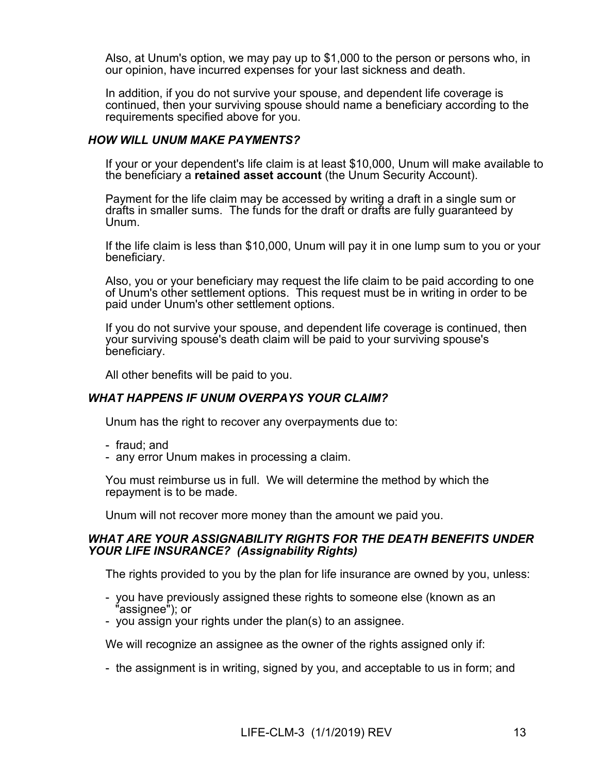Also, at Unum's option, we may pay up to \$1,000 to the person or persons who, in our opinion, have incurred expenses for your last sickness and death.

In addition, if you do not survive your spouse, and dependent life coverage is continued, then your surviving spouse should name a beneficiary according to the requirements specified above for you.

# *HOW WILL UNUM MAKE PAYMENTS?*

If your or your dependent's life claim is at least \$10,000, Unum will make available to the beneficiary a **retained asset account** (the Unum Security Account).

Payment for the life claim may be accessed by writing a draft in a single sum or drafts in smaller sums. The funds for the draft or drafts are fully guaranteed by Unum.

If the life claim is less than \$10,000, Unum will pay it in one lump sum to you or your beneficiary.

Also, you or your beneficiary may request the life claim to be paid according to one of Unum's other settlement options. This request must be in writing in order to be paid under Unum's other settlement options.

If you do not survive your spouse, and dependent life coverage is continued, then your surviving spouse's death claim will be paid to your surviving spouse's beneficiary.

All other benefits will be paid to you.

# *WHAT HAPPENS IF UNUM OVERPAYS YOUR CLAIM?*

Unum has the right to recover any overpayments due to:

- fraud; and
- any error Unum makes in processing a claim.

You must reimburse us in full. We will determine the method by which the repayment is to be made.

Unum will not recover more money than the amount we paid you.

# *WHAT ARE YOUR ASSIGNABILITY RIGHTS FOR THE DEATH BENEFITS UNDER YOUR LIFE INSURANCE? (Assignability Rights)*

The rights provided to you by the plan for life insurance are owned by you, unless:

- you have previously assigned these rights to someone else (known as an "assignee"); or
- you assign your rights under the plan(s) to an assignee.

We will recognize an assignee as the owner of the rights assigned only if:

- the assignment is in writing, signed by you, and acceptable to us in form; and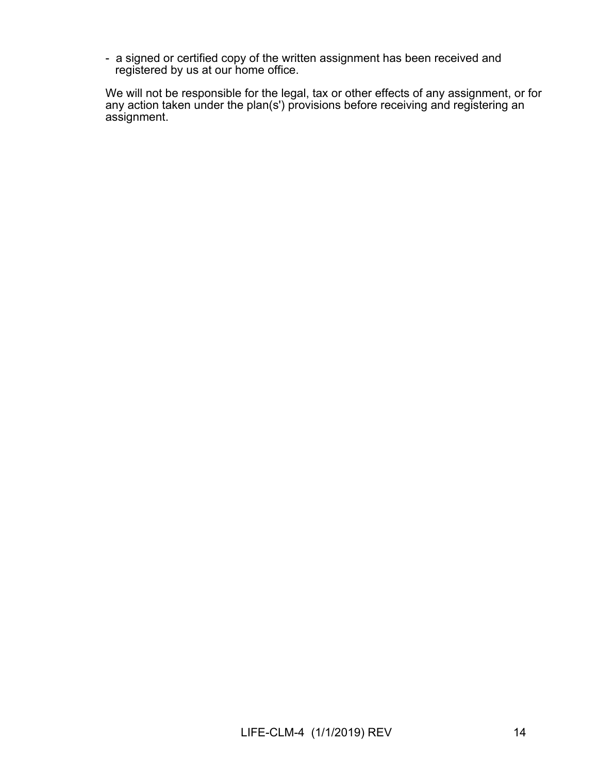- a signed or certified copy of the written assignment has been received and registered by us at our home office.

We will not be responsible for the legal, tax or other effects of any assignment, or for any action taken under the plan(s') provisions before receiving and registering an assignment.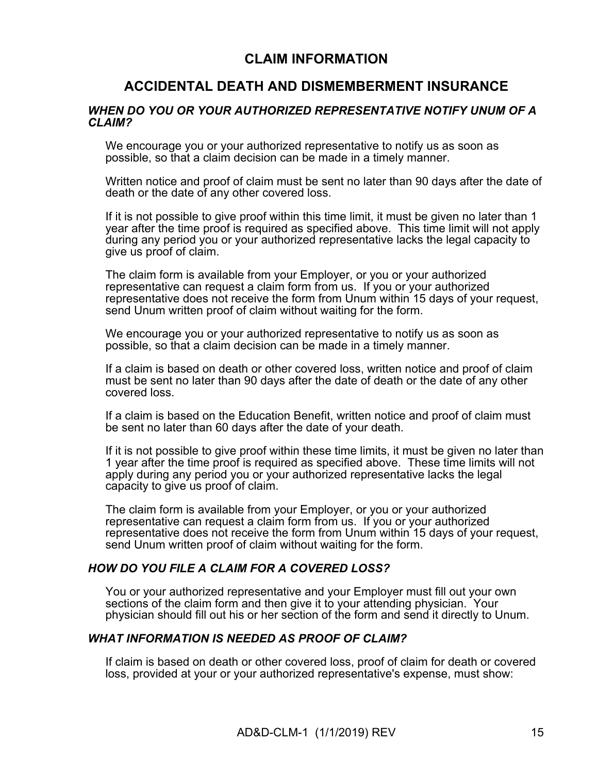# **CLAIM INFORMATION**

# **ACCIDENTAL DEATH AND DISMEMBERMENT INSURANCE**

# *WHEN DO YOU OR YOUR AUTHORIZED REPRESENTATIVE NOTIFY UNUM OF A CLAIM?*

We encourage you or your authorized representative to notify us as soon as possible, so that a claim decision can be made in a timely manner.

Written notice and proof of claim must be sent no later than 90 days after the date of death or the date of any other covered loss.

If it is not possible to give proof within this time limit, it must be given no later than 1 year after the time proof is required as specified above. This time limit will not apply during any period you or your authorized representative lacks the legal capacity to give us proof of claim.

The claim form is available from your Employer, or you or your authorized representative can request a claim form from us. If you or your authorized representative does not receive the form from Unum within 15 days of your request, send Unum written proof of claim without waiting for the form.

We encourage you or your authorized representative to notify us as soon as possible, so that a claim decision can be made in a timely manner.

If a claim is based on death or other covered loss, written notice and proof of claim must be sent no later than 90 days after the date of death or the date of any other covered loss.

If a claim is based on the Education Benefit, written notice and proof of claim must be sent no later than 60 days after the date of your death.

If it is not possible to give proof within these time limits, it must be given no later than 1 year after the time proof is required as specified above. These time limits will not apply during any period you or your authorized representative lacks the legal capacity to give us proof of claim.

The claim form is available from your Employer, or you or your authorized representative can request a claim form from us. If you or your authorized representative does not receive the form from Unum within 15 days of your request, send Unum written proof of claim without waiting for the form.

# *HOW DO YOU FILE A CLAIM FOR A COVERED LOSS?*

You or your authorized representative and your Employer must fill out your own sections of the claim form and then give it to your attending physician. Your physician should fill out his or her section of the form and send it directly to Unum.

# *WHAT INFORMATION IS NEEDED AS PROOF OF CLAIM?*

If claim is based on death or other covered loss, proof of claim for death or covered loss, provided at your or your authorized representative's expense, must show: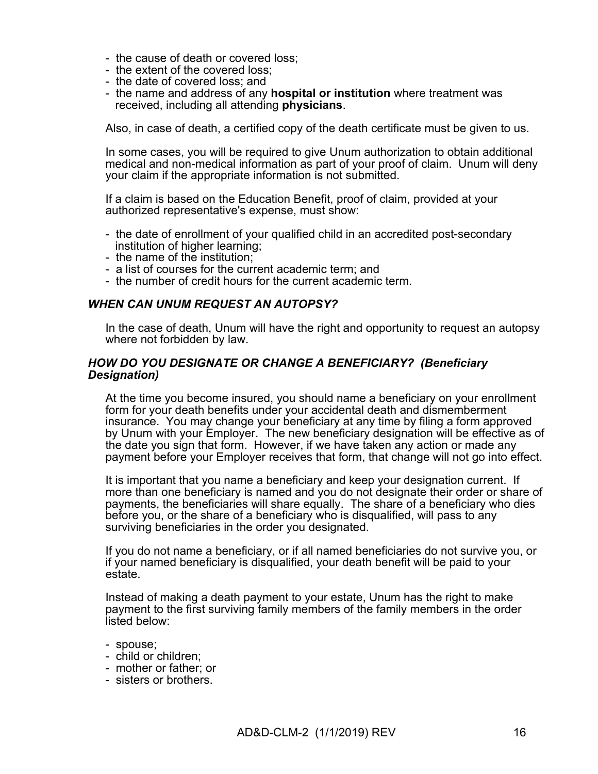- the cause of death or covered loss;
- the extent of the covered loss;
- the date of covered loss; and
- the name and address of any **hospital or institution** where treatment was received, including all attending **physicians**.

Also, in case of death, a certified copy of the death certificate must be given to us.

In some cases, you will be required to give Unum authorization to obtain additional medical and non-medical information as part of your proof of claim. Unum will deny your claim if the appropriate information is not submitted.

If a claim is based on the Education Benefit, proof of claim, provided at your authorized representative's expense, must show:

- the date of enrollment of your qualified child in an accredited post-secondary institution of higher learning;
- the name of the institution;
- a list of courses for the current academic term; and
- the number of credit hours for the current academic term.

# *WHEN CAN UNUM REQUEST AN AUTOPSY?*

In the case of death, Unum will have the right and opportunity to request an autopsy where not forbidden by law.

### *HOW DO YOU DESIGNATE OR CHANGE A BENEFICIARY? (Beneficiary Designation)*

At the time you become insured, you should name a beneficiary on your enrollment form for your death benefits under your accidental death and dismemberment insurance. You may change your beneficiary at any time by filing a form approved by Unum with your Employer. The new beneficiary designation will be effective as of the date you sign that form. However, if we have taken any action or made any payment before your Employer receives that form, that change will not go into effect.

It is important that you name a beneficiary and keep your designation current. If more than one beneficiary is named and you do not designate their order or share of payments, the beneficiaries will share equally. The share of a beneficiary who dies before you, or the share of a beneficiary who is disqualified, will pass to any surviving beneficiaries in the order you designated.

If you do not name a beneficiary, or if all named beneficiaries do not survive you, or if your named beneficiary is disqualified, your death benefit will be paid to your estate.

Instead of making a death payment to your estate, Unum has the right to make payment to the first surviving family members of the family members in the order listed below:

- spouse;
- child or children;
- mother or father; or
- sisters or brothers.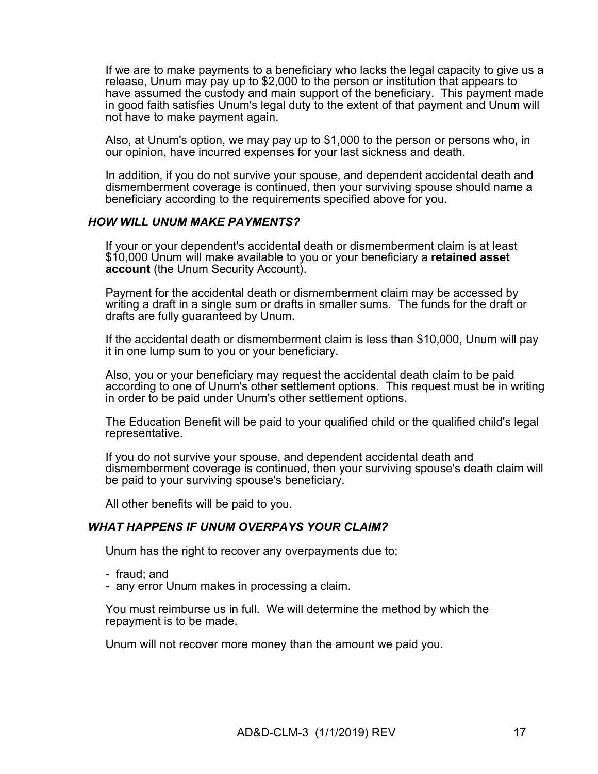If we are to make payments to a beneficiary who lacks the legal capacity to give us a release, Unum may pay up to \$2,000 to the person or institution that appears to have assumed the custody and main support of the beneficiary. This payment made in good faith satisfies Unum's legal duty to the extent of that payment and Unum will not have to make payment again.

Also, at Unum's option, we may pay up to \$1,000 to the person or persons who, in our opinion, have incurred expenses for your last sickness and death.

In addition, if you do not survive your spouse, and dependent accidental death and dismemberment coverage is continued, then your surviving spouse should name a beneficiary according to the requirements specified above for you.

# *HOW WILL UNUM MAKE PAYMENTS?*

If your or your dependent's accidental death or dismemberment claim is at least \$10,000 Unum will make available to you or your beneficiary a **retained asset account** (the Unum Security Account).

Payment for the accidental death or dismemberment claim may be accessed by writing a draft in a single sum or drafts in smaller sums. The funds for the draft or drafts are fully guaranteed by Unum.

If the accidental death or dismemberment claim is less than \$10,000, Unum will pay it in one lump sum to you or your beneficiary.

Also, you or your beneficiary may request the accidental death claim to be paid according to one of Unum's other settlement options. This request must be in writing in order to be paid under Unum's other settlement options.

The Education Benefit will be paid to your qualified child or the qualified child's legal representative.

If you do not survive your spouse, and dependent accidental death and dismemberment coverage is continued, then your surviving spouse's death claim will be paid to your surviving spouse's beneficiary.

All other benefits will be paid to you.

# *WHAT HAPPENS IF UNUM OVERPAYS YOUR CLAIM?*

Unum has the right to recover any overpayments due to:

- fraud; and
- any error Unum makes in processing a claim.

You must reimburse us in full. We will determine the method by which the repayment is to be made.

Unum will not recover more money than the amount we paid you.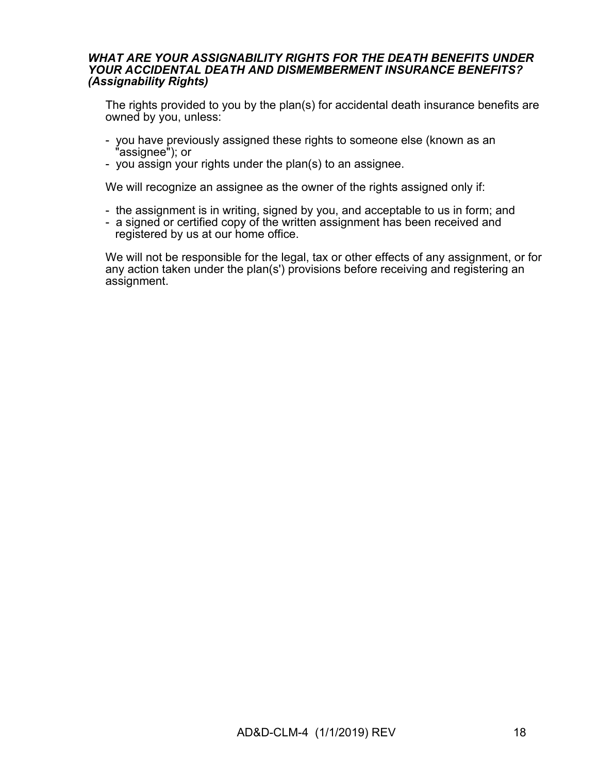# *WHAT ARE YOUR ASSIGNABILITY RIGHTS FOR THE DEATH BENEFITS UNDER YOUR ACCIDENTAL DEATH AND DISMEMBERMENT INSURANCE BENEFITS? (Assignability Rights)*

The rights provided to you by the plan(s) for accidental death insurance benefits are owned by you, unless:

- you have previously assigned these rights to someone else (known as an "assignee"); or
- you assign your rights under the plan(s) to an assignee.

We will recognize an assignee as the owner of the rights assigned only if:

- the assignment is in writing, signed by you, and acceptable to us in form; and
- a signed or certified copy of the written assignment has been received and registered by us at our home office.

We will not be responsible for the legal, tax or other effects of any assignment, or for any action taken under the plan(s') provisions before receiving and registering an assignment.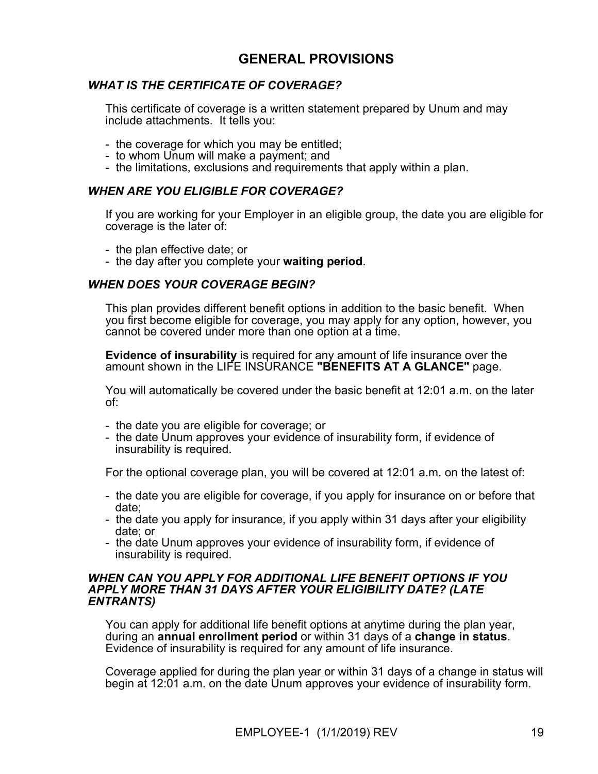# **GENERAL PROVISIONS**

# *WHAT IS THE CERTIFICATE OF COVERAGE?*

This certificate of coverage is a written statement prepared by Unum and may include attachments. It tells you:

- the coverage for which you may be entitled;
- to whom Unum will make a payment; and
- the limitations, exclusions and requirements that apply within a plan.

# *WHEN ARE YOU ELIGIBLE FOR COVERAGE?*

If you are working for your Employer in an eligible group, the date you are eligible for coverage is the later of:

- the plan effective date; or
- the day after you complete your **waiting period**.

# *WHEN DOES YOUR COVERAGE BEGIN?*

This plan provides different benefit options in addition to the basic benefit. When you first become eligible for coverage, you may apply for any option, however, you cannot be covered under more than one option at a time.

**Evidence of insurability** is required for any amount of life insurance over the amount shown in the LIFE INSURANCE **"BENEFITS AT A GLANCE"** page.

You will automatically be covered under the basic benefit at 12:01 a.m. on the later of:

- the date you are eligible for coverage; or
- the date Unum approves your evidence of insurability form, if evidence of insurability is required.

For the optional coverage plan, you will be covered at 12:01 a.m. on the latest of:

- the date you are eligible for coverage, if you apply for insurance on or before that date;
- the date you apply for insurance, if you apply within 31 days after your eligibility date; or
- the date Unum approves your evidence of insurability form, if evidence of insurability is required.

### *WHEN CAN YOU APPLY FOR ADDITIONAL LIFE BENEFIT OPTIONS IF YOU APPLY MORE THAN 31 DAYS AFTER YOUR ELIGIBILITY DATE? (LATE ENTRANTS)*

You can apply for additional life benefit options at anytime during the plan year, during an **annual enrollment period** or within 31 days of a **change in status**. Evidence of insurability is required for any amount of life insurance.

Coverage applied for during the plan year or within 31 days of a change in status will begin at 12:01 a.m. on the date Unum approves your evidence of insurability form.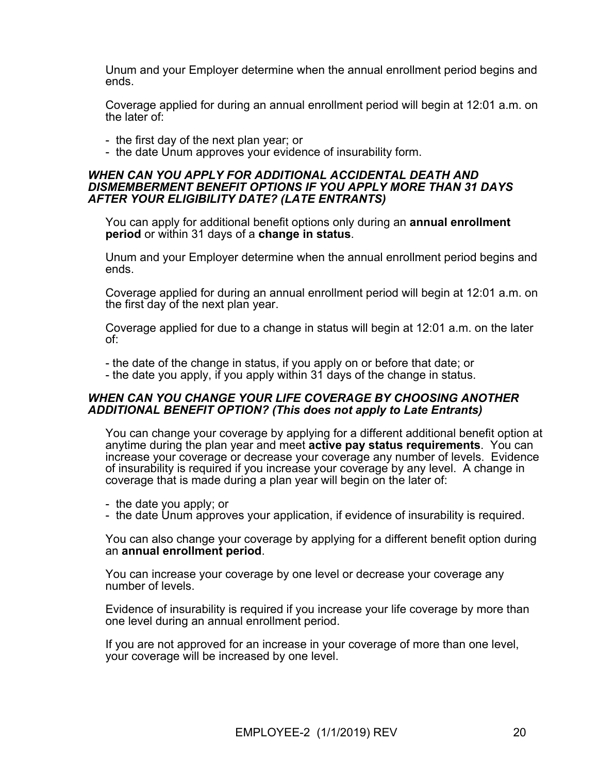Unum and your Employer determine when the annual enrollment period begins and ends.

Coverage applied for during an annual enrollment period will begin at 12:01 a.m. on the later of:

- the first day of the next plan year; or
- the date Unum approves your evidence of insurability form.

# *WHEN CAN YOU APPLY FOR ADDITIONAL ACCIDENTAL DEATH AND DISMEMBERMENT BENEFIT OPTIONS IF YOU APPLY MORE THAN 31 DAYS AFTER YOUR ELIGIBILITY DATE? (LATE ENTRANTS)*

You can apply for additional benefit options only during an **annual enrollment period** or within 31 days of a **change in status**.

Unum and your Employer determine when the annual enrollment period begins and ends.

Coverage applied for during an annual enrollment period will begin at 12:01 a.m. on the first day of the next plan year.

Coverage applied for due to a change in status will begin at 12:01 a.m. on the later of:

- the date of the change in status, if you apply on or before that date; or - the date you apply, if you apply within 31 days of the change in status.

# *WHEN CAN YOU CHANGE YOUR LIFE COVERAGE BY CHOOSING ANOTHER ADDITIONAL BENEFIT OPTION? (This does not apply to Late Entrants)*

You can change your coverage by applying for a different additional benefit option at anytime during the plan year and meet **active pay status requirements**.You can increase your coverage or decrease your coverage any number of levels. Evidence of insurability is required if you increase your coverage by any level. A change in coverage that is made during a plan year will begin on the later of:

- the date you apply; or
- the date Unum approves your application, if evidence of insurability is required.

You can also change your coverage by applying for a different benefit option during an **annual enrollment period**.

You can increase your coverage by one level or decrease your coverage any number of levels.

Evidence of insurability is required if you increase your life coverage by more than one level during an annual enrollment period.

If you are not approved for an increase in your coverage of more than one level, your coverage will be increased by one level.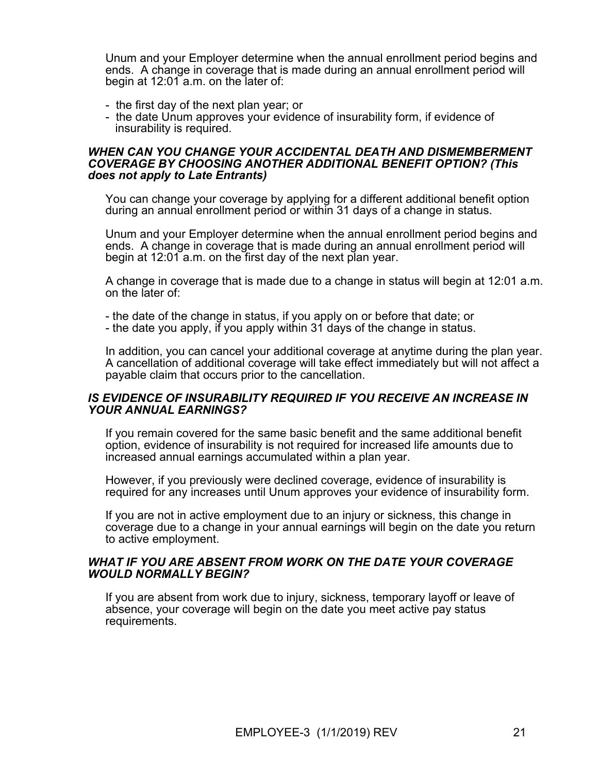Unum and your Employer determine when the annual enrollment period begins and ends. A change in coverage that is made during an annual enrollment period will begin at 12:01 a.m. on the later of:

- the first day of the next plan year; or
- the date Unum approves your evidence of insurability form, if evidence of insurability is required.

# *WHEN CAN YOU CHANGE YOUR ACCIDENTAL DEATH AND DISMEMBERMENT COVERAGE BY CHOOSING ANOTHER ADDITIONAL BENEFIT OPTION? (This does not apply to Late Entrants)*

You can change your coverage by applying for a different additional benefit option during an annual enrollment period or within 31 days of a change in status.

Unum and your Employer determine when the annual enrollment period begins and ends. A change in coverage that is made during an annual enrollment period will begin at 12:01 a.m. on the first day of the next plan year.

A change in coverage that is made due to a change in status will begin at 12:01 a.m. on the later of:

- the date of the change in status, if you apply on or before that date; or

- the date you apply, if you apply within 31 days of the change in status.

In addition, you can cancel your additional coverage at anytime during the plan year. A cancellation of additional coverage will take effect immediately but will not affect a payable claim that occurs prior to the cancellation.

# *IS EVIDENCE OF INSURABILITY REQUIRED IF YOU RECEIVE AN INCREASE IN YOUR ANNUAL EARNINGS?*

If you remain covered for the same basic benefit and the same additional benefit option, evidence of insurability is not required for increased life amounts due to increased annual earnings accumulated within a plan year.

However, if you previously were declined coverage, evidence of insurability is required for any increases until Unum approves your evidence of insurability form.

If you are not in active employment due to an injury or sickness, this change in coverage due to a change in your annual earnings will begin on the date you return to active employment.

# *WHAT IF YOU ARE ABSENT FROM WORK ON THE DATE YOUR COVERAGE WOULD NORMALLY BEGIN?*

If you are absent from work due to injury, sickness, temporary layoff or leave of absence, your coverage will begin on the date you meet active pay status requirements.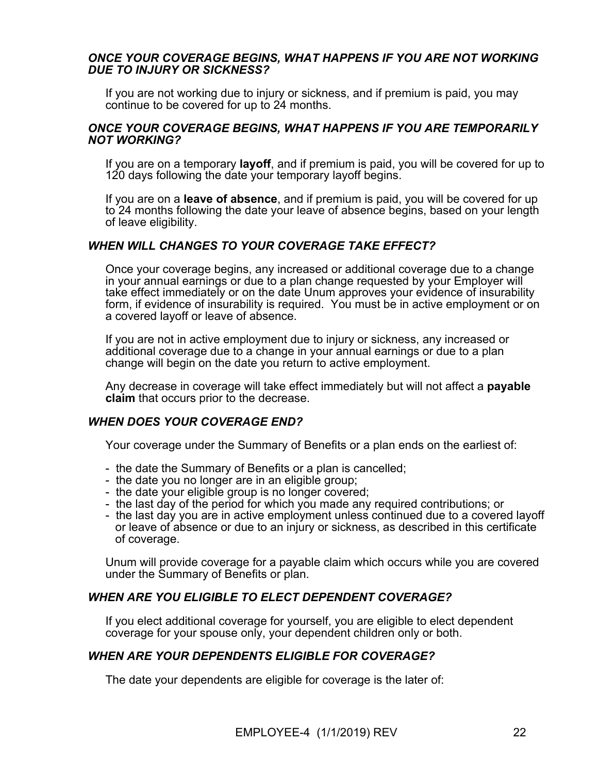# *ONCE YOUR COVERAGE BEGINS, WHAT HAPPENS IF YOU ARE NOT WORKING DUE TO INJURY OR SICKNESS?*

If you are not working due to injury or sickness, and if premium is paid, you may continue to be covered for up to 24 months.

# *ONCE YOUR COVERAGE BEGINS, WHAT HAPPENS IF YOU ARE TEMPORARILY NOT WORKING?*

If you are on a temporary **layoff**, and if premium is paid, you will be covered for up to 120 days following the date your temporary layoff begins.

If you are on a **leave of absence**, and if premium is paid, you will be covered for up to 24 months following the date your leave of absence begins, based on your length of leave eligibility.

# *WHEN WILL CHANGES TO YOUR COVERAGE TAKE EFFECT?*

Once your coverage begins, any increased or additional coverage due to a change in your annual earnings or due to a plan change requested by your Employer will take effect immediately or on the date Unum approves your evidence of insurability form, if evidence of insurability is required. You must be in active employment or on a covered layoff or leave of absence.

If you are not in active employment due to injury or sickness, any increased or additional coverage due to a change in your annual earnings or due to a plan change will begin on the date you return to active employment.

Any decrease in coverage will take effect immediately but will not affect a **payable claim** that occurs prior to the decrease.

# *WHEN DOES YOUR COVERAGE END?*

Your coverage under the Summary of Benefits or a plan ends on the earliest of:

- the date the Summary of Benefits or a plan is cancelled;
- the date you no longer are in an eligible group;
- the date your eligible group is no longer covered;
- the last day of the period for which you made any required contributions; or
- the last day you are in active employment unless continued due to a covered layoff or leave of absence or due to an injury or sickness, as described in this certificate of coverage.

Unum will provide coverage for a payable claim which occurs while you are covered under the Summary of Benefits or plan.

# *WHEN ARE YOU ELIGIBLE TO ELECT DEPENDENT COVERAGE?*

If you elect additional coverage for yourself, you are eligible to elect dependent coverage for your spouse only, your dependent children only or both.

# *WHEN ARE YOUR DEPENDENTS ELIGIBLE FOR COVERAGE?*

The date your dependents are eligible for coverage is the later of: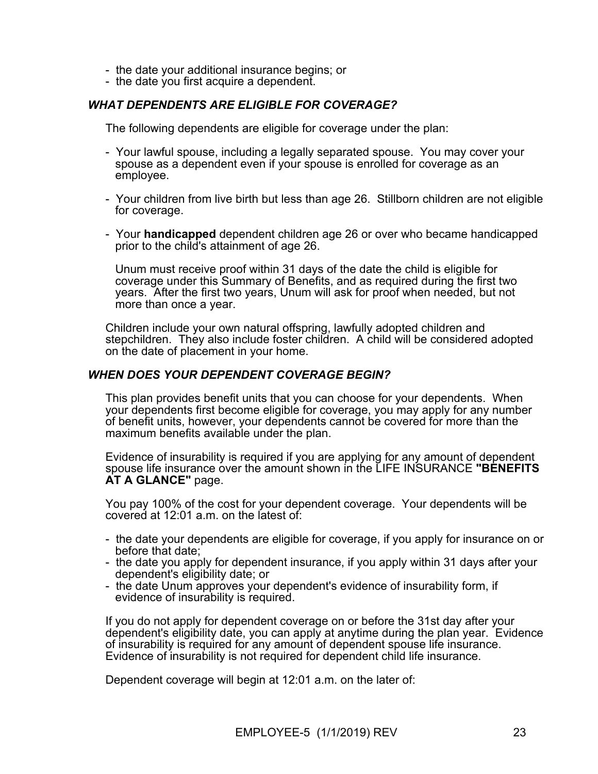- the date your additional insurance begins; or
- the date you first acquire a dependent.

# *WHAT DEPENDENTS ARE ELIGIBLE FOR COVERAGE?*

The following dependents are eligible for coverage under the plan:

- Your lawful spouse, including a legally separated spouse. You may cover your spouse as a dependent even if your spouse is enrolled for coverage as an employee.
- Your children from live birth but less than age 26. Stillborn children are not eligible for coverage.
- Your **handicapped** dependent children age 26 or over who became handicapped prior to the child's attainment of age 26.

 Unum must receive proof within 31 days of the date the child is eligible for coverage under this Summary of Benefits, and as required during the first two years. After the first two years, Unum will ask for proof when needed, but not more than once a year.

Children include your own natural offspring, lawfully adopted children and stepchildren. They also include foster children. A child will be considered adopted on the date of placement in your home.

# *WHEN DOES YOUR DEPENDENT COVERAGE BEGIN?*

This plan provides benefit units that you can choose for your dependents. When your dependents first become eligible for coverage, you may apply for any number of benefit units, however, your dependents cannot be covered for more than the maximum benefits available under the plan.

Evidence of insurability is required if you are applying for any amount of dependent spouse life insurance over the amount shown in the LIFE INSURANCE **"BENEFITS AT A GLANCE"** page.

You pay 100% of the cost for your dependent coverage. Your dependents will be covered at 12:01 a.m. on the latest of:

- the date your dependents are eligible for coverage, if you apply for insurance on or before that date;
- the date you apply for dependent insurance, if you apply within 31 days after your dependent's eligibility date; or
- the date Unum approves your dependent's evidence of insurability form, if evidence of insurability is required.

If you do not apply for dependent coverage on or before the 31st day after your dependent's eligibility date, you can apply at anytime during the plan year. Evidence of insurability is required for any amount of dependent spouse life insurance. Evidence of insurability is not required for dependent child life insurance.

Dependent coverage will begin at 12:01 a.m. on the later of: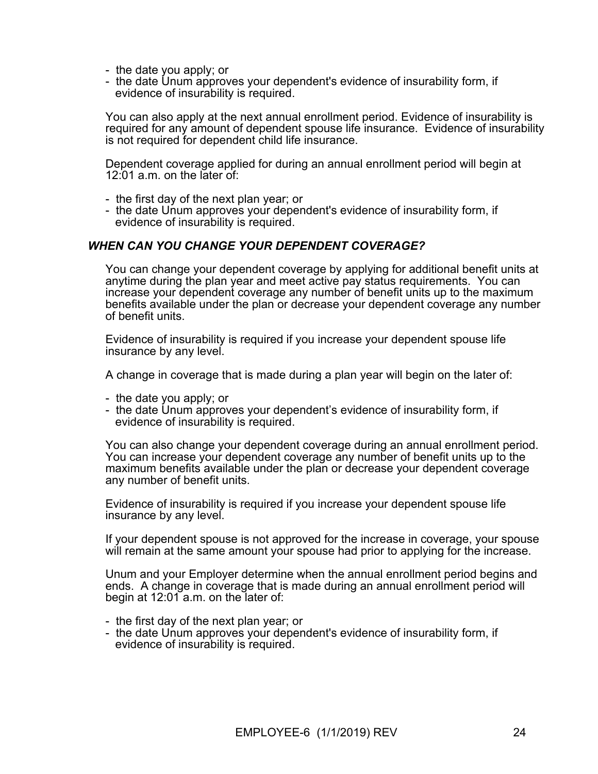- the date you apply; or
- the date Unum approves your dependent's evidence of insurability form, if evidence of insurability is required.

You can also apply at the next annual enrollment period. Evidence of insurability is required for any amount of dependent spouse life insurance. Evidence of insurability is not required for dependent child life insurance.

Dependent coverage applied for during an annual enrollment period will begin at 12:01 a.m. on the later of:

- the first day of the next plan year; or
- the date Unum approves your dependent's evidence of insurability form, if evidence of insurability is required.

# *WHEN CAN YOU CHANGE YOUR DEPENDENT COVERAGE?*

You can change your dependent coverage by applying for additional benefit units at anytime during the plan year and meet active pay status requirements. You can increase your dependent coverage any number of benefit units up to the maximum benefits available under the plan or decrease your dependent coverage any number of benefit units.

Evidence of insurability is required if you increase your dependent spouse life insurance by any level.

A change in coverage that is made during a plan year will begin on the later of:

- the date you apply; or
- the date Unum approves your dependent's evidence of insurability form, if evidence of insurability is required.

You can also change your dependent coverage during an annual enrollment period. You can increase your dependent coverage any number of benefit units up to the maximum benefits available under the plan or decrease your dependent coverage any number of benefit units.

Evidence of insurability is required if you increase your dependent spouse life insurance by any level.

If your dependent spouse is not approved for the increase in coverage, your spouse will remain at the same amount your spouse had prior to applying for the increase.

Unum and your Employer determine when the annual enrollment period begins and ends. A change in coverage that is made during an annual enrollment period will begin at 12:01 a.m. on the later of:

- the first day of the next plan year; or
- the date Unum approves your dependent's evidence of insurability form, if evidence of insurability is required.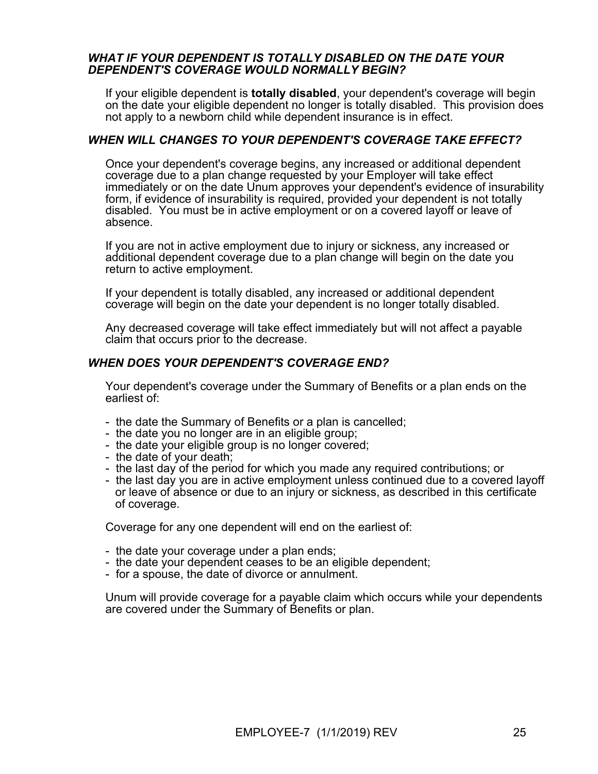# *WHAT IF YOUR DEPENDENT IS TOTALLY DISABLED ON THE DATE YOUR DEPENDENT'S COVERAGE WOULD NORMALLY BEGIN?*

If your eligible dependent is **totally disabled**, your dependent's coverage will begin on the date your eligible dependent no longer is totally disabled. This provision does not apply to a newborn child while dependent insurance is in effect.

# *WHEN WILL CHANGES TO YOUR DEPENDENT'S COVERAGE TAKE EFFECT?*

Once your dependent's coverage begins, any increased or additional dependent coverage due to a plan change requested by your Employer will take effect immediately or on the date Unum approves your dependent's evidence of insurability form, if evidence of insurability is required, provided your dependent is not totally disabled. You must be in active employment or on a covered layoff or leave of absence.

If you are not in active employment due to injury or sickness, any increased or additional dependent coverage due to a plan change will begin on the date you return to active employment.

If your dependent is totally disabled, any increased or additional dependent coverage will begin on the date your dependent is no longer totally disabled.

Any decreased coverage will take effect immediately but will not affect a payable claim that occurs prior to the decrease.

# *WHEN DOES YOUR DEPENDENT'S COVERAGE END?*

Your dependent's coverage under the Summary of Benefits or a plan ends on the earliest of:

- the date the Summary of Benefits or a plan is cancelled;
- the date you no longer are in an eligible group;
- the date your eligible group is no longer covered;
- the date of your death;
- the last day of the period for which you made any required contributions; or
- the last day you are in active employment unless continued due to a covered layoff or leave of absence or due to an injury or sickness, as described in this certificate of coverage.

Coverage for any one dependent will end on the earliest of:

- the date your coverage under a plan ends;
- the date your dependent ceases to be an eligible dependent;
- for a spouse, the date of divorce or annulment.

Unum will provide coverage for a payable claim which occurs while your dependents are covered under the Summary of Benefits or plan.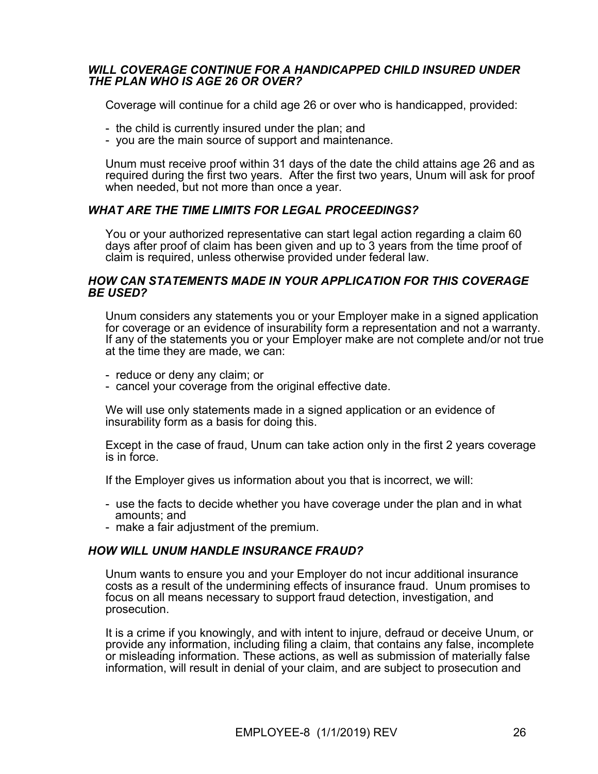# *WILL COVERAGE CONTINUE FOR A HANDICAPPED CHILD INSURED UNDER THE PLAN WHO IS AGE 26 OR OVER?*

Coverage will continue for a child age 26 or over who is handicapped, provided:

- the child is currently insured under the plan; and
- you are the main source of support and maintenance.

Unum must receive proof within 31 days of the date the child attains age 26 and as required during the first two years. After the first two years, Unum will ask for proof when needed, but not more than once a year.

# *WHAT ARE THE TIME LIMITS FOR LEGAL PROCEEDINGS?*

You or your authorized representative can start legal action regarding a claim 60 days after proof of claim has been given and up to 3 years from the time proof of claim is required, unless otherwise provided under federal law.

# *HOW CAN STATEMENTS MADE IN YOUR APPLICATION FOR THIS COVERAGE BE USED?*

Unum considers any statements you or your Employer make in a signed application for coverage or an evidence of insurability form a representation and not a warranty. If any of the statements you or your Employer make are not complete and/or not true at the time they are made, we can:

- reduce or deny any claim; or
- cancel your coverage from the original effective date.

We will use only statements made in a signed application or an evidence of insurability form as a basis for doing this.

Except in the case of fraud, Unum can take action only in the first 2 years coverage is in force.

If the Employer gives us information about you that is incorrect, we will:

- use the facts to decide whether you have coverage under the plan and in what amounts; and
- make a fair adjustment of the premium.

### *HOW WILL UNUM HANDLE INSURANCE FRAUD?*

Unum wants to ensure you and your Employer do not incur additional insurance costs as a result of the undermining effects of insurance fraud. Unum promises to focus on all means necessary to support fraud detection, investigation, and prosecution.

It is a crime if you knowingly, and with intent to injure, defraud or deceive Unum, or provide any information, including filing a claim, that contains any false, incomplete or misleading information. These actions, as well as submission of materially false information, will result in denial of your claim, and are subject to prosecution and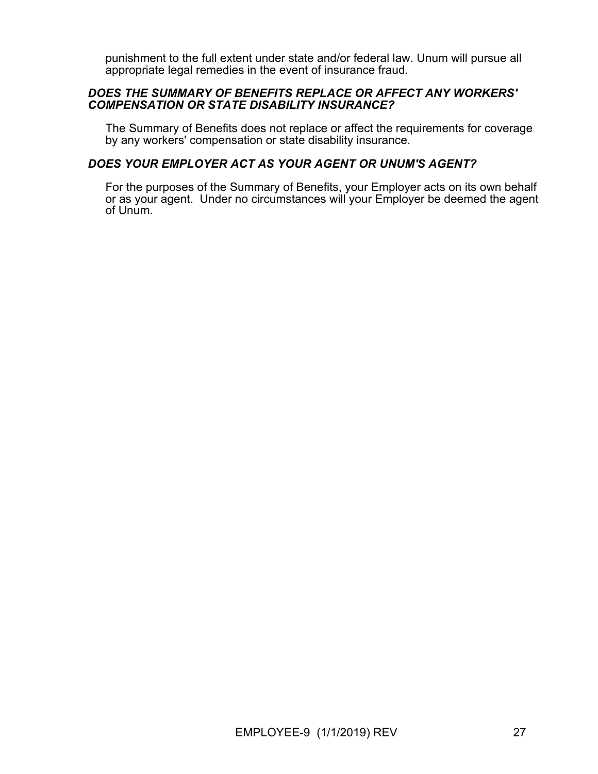punishment to the full extent under state and/or federal law. Unum will pursue all appropriate legal remedies in the event of insurance fraud.

# *DOES THE SUMMARY OF BENEFITS REPLACE OR AFFECT ANY WORKERS' COMPENSATION OR STATE DISABILITY INSURANCE?*

The Summary of Benefits does not replace or affect the requirements for coverage by any workers' compensation or state disability insurance.

# *DOES YOUR EMPLOYER ACT AS YOUR AGENT OR UNUM'S AGENT?*

For the purposes of the Summary of Benefits, your Employer acts on its own behalf or as your agent. Under no circumstances will your Employer be deemed the agent of Unum.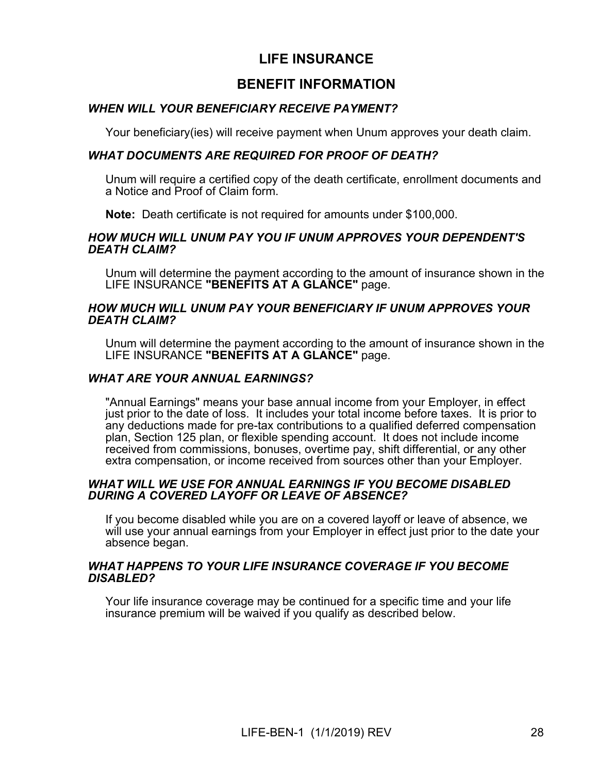# **LIFE INSURANCE**

# **BENEFIT INFORMATION**

# *WHEN WILL YOUR BENEFICIARY RECEIVE PAYMENT?*

Your beneficiary(ies) will receive payment when Unum approves your death claim.

# *WHAT DOCUMENTS ARE REQUIRED FOR PROOF OF DEATH?*

Unum will require a certified copy of the death certificate, enrollment documents and a Notice and Proof of Claim form.

**Note:** Death certificate is not required for amounts under \$100,000.

# *HOW MUCH WILL UNUM PAY YOU IF UNUM APPROVES YOUR DEPENDENT'S DEATH CLAIM?*

Unum will determine the payment according to the amount of insurance shown in the LIFE INSURANCE **"BENEFITS AT A GLANCE"** page.

# *HOW MUCH WILL UNUM PAY YOUR BENEFICIARY IF UNUM APPROVES YOUR DEATH CLAIM?*

Unum will determine the payment according to the amount of insurance shown in the LIFE INSURANCE **"BENEFITS AT A GLANCE"** page.

# *WHAT ARE YOUR ANNUAL EARNINGS?*

"Annual Earnings" means your base annual income from your Employer, in effect just prior to the date of loss. It includes your total income before taxes. It is prior to any deductions made for pre-tax contributions to a qualified deferred compensation plan, Section 125 plan, or flexible spending account. It does not include income received from commissions, bonuses, overtime pay, shift differential, or any other extra compensation, or income received from sources other than your Employer.

# *WHAT WILL WE USE FOR ANNUAL EARNINGS IF YOU BECOME DISABLED DURING A COVERED LAYOFF OR LEAVE OF ABSENCE?*

If you become disabled while you are on a covered layoff or leave of absence, we will use your annual earnings from your Employer in effect just prior to the date your absence began.

# *WHAT HAPPENS TO YOUR LIFE INSURANCE COVERAGE IF YOU BECOME DISABLED?*

Your life insurance coverage may be continued for a specific time and your life insurance premium will be waived if you qualify as described below.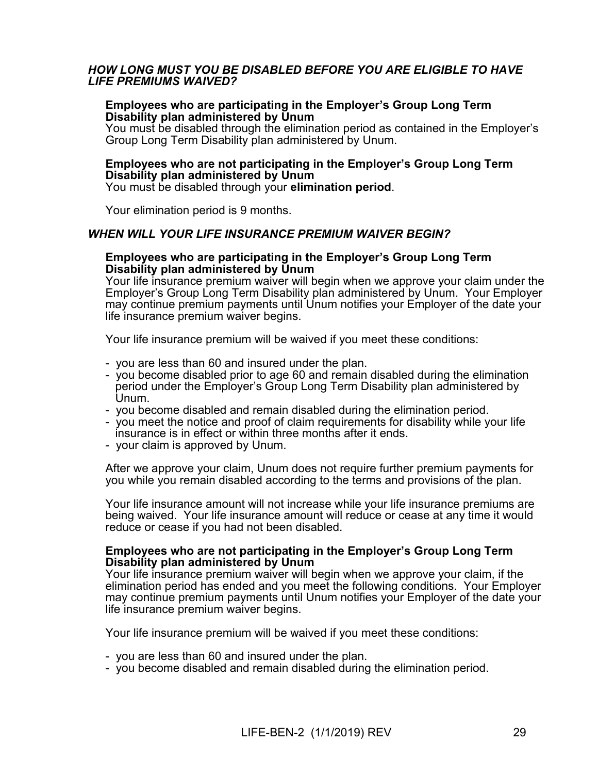# *HOW LONG MUST YOU BE DISABLED BEFORE YOU ARE ELIGIBLE TO HAVE LIFE PREMIUMS WAIVED?*

# **Employees who are participating in the Employer's Group Long Term Disability plan administered by Unum**

You must be disabled through the elimination period as contained in the Employer's Group Long Term Disability plan administered by Unum.

# **Employees who are not participating in the Employer's Group Long Term Disability plan administered by Unum**

You must be disabled through your **elimination period**.

Your elimination period is 9 months.

# *WHEN WILL YOUR LIFE INSURANCE PREMIUM WAIVER BEGIN?*

### **Employees who are participating in the Employer's Group Long Term Disability plan administered by Unum**

Your life insurance premium waiver will begin when we approve your claim under the Employer's Group Long Term Disability plan administered by Unum. Your Employer may continue premium payments until Unum notifies your Employer of the date your life insurance premium waiver begins.

Your life insurance premium will be waived if you meet these conditions:

- you are less than 60 and insured under the plan.
- you become disabled prior to age 60 and remain disabled during the elimination period under the Employer's Group Long Term Disability plan administered by Unum.
- you become disabled and remain disabled during the elimination period.
- you meet the notice and proof of claim requirements for disability while your life insurance is in effect or within three months after it ends.
- your claim is approved by Unum.

After we approve your claim, Unum does not require further premium payments for you while you remain disabled according to the terms and provisions of the plan.

Your life insurance amount will not increase while your life insurance premiums are being waived. Your life insurance amount will reduce or cease at any time it would reduce or cease if you had not been disabled.

### **Employees who are not participating in the Employer's Group Long Term Disability plan administered by Unum**

Your life insurance premium waiver will begin when we approve your claim, if the elimination period has ended and you meet the following conditions. Your Employer may continue premium payments until Unum notifies your Employer of the date your life insurance premium waiver begins.

Your life insurance premium will be waived if you meet these conditions:

- you are less than 60 and insured under the plan.
- you become disabled and remain disabled during the elimination period.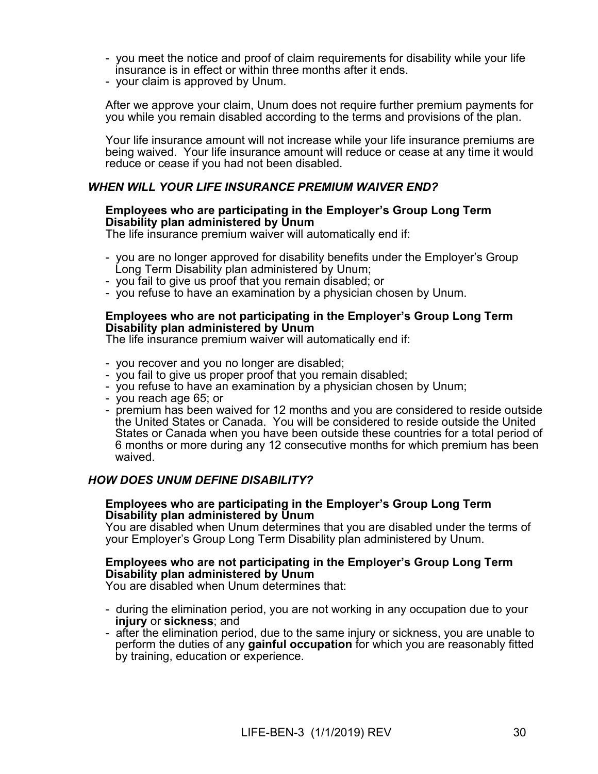- you meet the notice and proof of claim requirements for disability while your life insurance is in effect or within three months after it ends.
- your claim is approved by Unum.

After we approve your claim, Unum does not require further premium payments for you while you remain disabled according to the terms and provisions of the plan.

Your life insurance amount will not increase while your life insurance premiums are being waived. Your life insurance amount will reduce or cease at any time it would reduce or cease if you had not been disabled.

# *WHEN WILL YOUR LIFE INSURANCE PREMIUM WAIVER END?*

# **Employees who are participating in the Employer's Group Long Term Disability plan administered by Unum**

The life insurance premium waiver will automatically end if:

- you are no longer approved for disability benefits under the Employer's Group Long Term Disability plan administered by Unum;
- you fail to give us proof that you remain disabled; or
- you refuse to have an examination by a physician chosen by Unum.

# **Employees who are not participating in the Employer's Group Long Term Disability plan administered by Unum**

The life insurance premium waiver will automatically end if:

- you recover and you no longer are disabled;
- you fail to give us proper proof that you remain disabled;
- you refuse to have an examination by a physician chosen by Unum;
- you reach age 65; or
- premium has been waived for 12 months and you are considered to reside outside the United States or Canada. You will be considered to reside outside the United States or Canada when you have been outside these countries for a total period of 6 months or more during any 12 consecutive months for which premium has been waived.

# *HOW DOES UNUM DEFINE DISABILITY?*

# **Employees who are participating in the Employer's Group Long Term Disability plan administered by Unum**

You are disabled when Unum determines that you are disabled under the terms of your Employer's Group Long Term Disability plan administered by Unum.

# **Employees who are not participating in the Employer's Group Long Term Disability plan administered by Unum**

You are disabled when Unum determines that:

- during the elimination period, you are not working in any occupation due to your **injury** or **sickness**; and
- after the elimination period, due to the same injury or sickness, you are unable to perform the duties of any **gainful occupation** for which you are reasonably fitted by training, education or experience.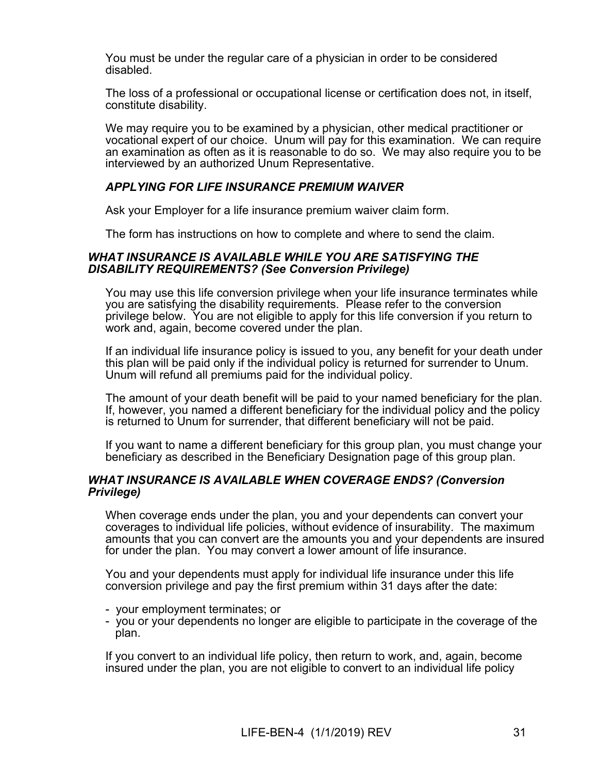You must be under the regular care of a physician in order to be considered disabled.

The loss of a professional or occupational license or certification does not, in itself, constitute disability.

We may require you to be examined by a physician, other medical practitioner or vocational expert of our choice. Unum will pay for this examination. We can require an examination as often as it is reasonable to do so. We may also require you to be interviewed by an authorized Unum Representative.

# *APPLYING FOR LIFE INSURANCE PREMIUM WAIVER*

Ask your Employer for a life insurance premium waiver claim form.

The form has instructions on how to complete and where to send the claim.

### *WHAT INSURANCE IS AVAILABLE WHILE YOU ARE SATISFYING THE DISABILITY REQUIREMENTS? (See Conversion Privilege)*

You may use this life conversion privilege when your life insurance terminates while you are satisfying the disability requirements. Please refer to the conversion privilege below. You are not eligible to apply for this life conversion if you return to work and, again, become covered under the plan.

If an individual life insurance policy is issued to you, any benefit for your death under this plan will be paid only if the individual policy is returned for surrender to Unum. Unum will refund all premiums paid for the individual policy.

The amount of your death benefit will be paid to your named beneficiary for the plan. If, however, you named a different beneficiary for the individual policy and the policy is returned to Unum for surrender, that different beneficiary will not be paid.

If you want to name a different beneficiary for this group plan, you must change your beneficiary as described in the Beneficiary Designation page of this group plan.

# *WHAT INSURANCE IS AVAILABLE WHEN COVERAGE ENDS? (Conversion Privilege)*

When coverage ends under the plan, you and your dependents can convert your coverages to individual life policies, without evidence of insurability. The maximum amounts that you can convert are the amounts you and your dependents are insured for under the plan. You may convert a lower amount of life insurance.

You and your dependents must apply for individual life insurance under this life conversion privilege and pay the first premium within 31 days after the date:

- your employment terminates; or
- you or your dependents no longer are eligible to participate in the coverage of the plan.

If you convert to an individual life policy, then return to work, and, again, become insured under the plan, you are not eligible to convert to an individual life policy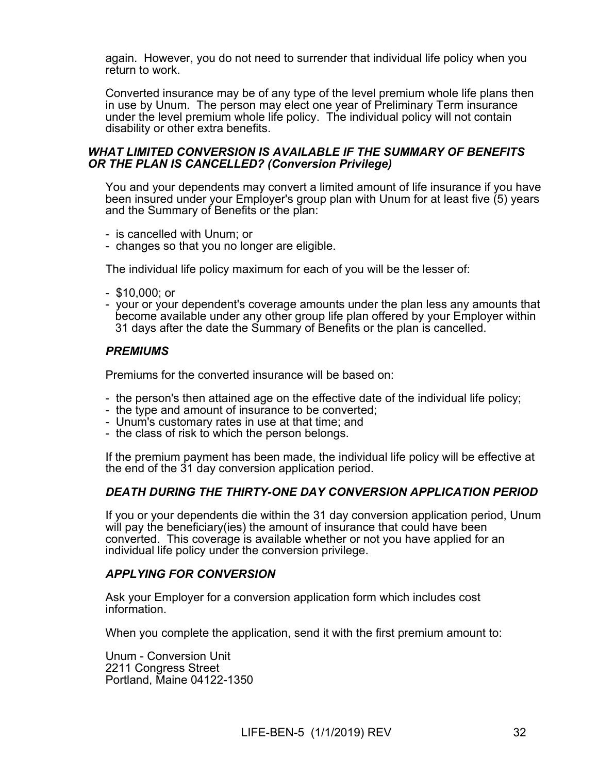again. However, you do not need to surrender that individual life policy when you return to work.

Converted insurance may be of any type of the level premium whole life plans then in use by Unum. The person may elect one year of Preliminary Term insurance under the level premium whole life policy. The individual policy will not contain disability or other extra benefits.

# *WHAT LIMITED CONVERSION IS AVAILABLE IF THE SUMMARY OF BENEFITS OR THE PLAN IS CANCELLED? (Conversion Privilege)*

You and your dependents may convert a limited amount of life insurance if you have been insured under your Employer's group plan with Unum for at least five (5) years and the Summary of Benefits or the plan:

- is cancelled with Unum; or
- changes so that you no longer are eligible.

The individual life policy maximum for each of you will be the lesser of:

- \$10,000; or
- your or your dependent's coverage amounts under the plan less any amounts that become available under any other group life plan offered by your Employer within 31 days after the date the Summary of Benefits or the plan is cancelled.

# *PREMIUMS*

Premiums for the converted insurance will be based on:

- the person's then attained age on the effective date of the individual life policy;
- the type and amount of insurance to be converted;
- Unum's customary rates in use at that time; and
- the class of risk to which the person belongs.

If the premium payment has been made, the individual life policy will be effective at the end of the 31 day conversion application period.

# *DEATH DURING THE THIRTY-ONE DAY CONVERSION APPLICATION PERIOD*

If you or your dependents die within the 31 day conversion application period, Unum will pay the beneficiary(ies) the amount of insurance that could have been converted. This coverage is available whether or not you have applied for an individual life policy under the conversion privilege.

### *APPLYING FOR CONVERSION*

Ask your Employer for a conversion application form which includes cost information.

When you complete the application, send it with the first premium amount to:

Unum - Conversion Unit 2211 Congress Street Portland, Maine 04122-1350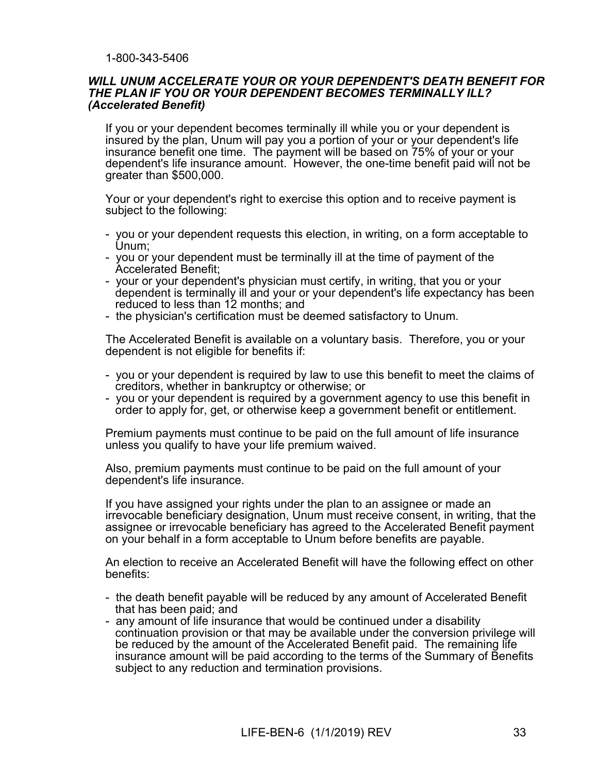# 1-800-343-5406

### *WILL UNUM ACCELERATE YOUR OR YOUR DEPENDENT'S DEATH BENEFIT FOR THE PLAN IF YOU OR YOUR DEPENDENT BECOMES TERMINALLY ILL? (Accelerated Benefit)*

If you or your dependent becomes terminally ill while you or your dependent is insured by the plan, Unum will pay you a portion of your or your dependent's life insurance benefit one time. The payment will be based on 75% of your or your dependent's life insurance amount. However, the one-time benefit paid will not be greater than \$500,000.

Your or your dependent's right to exercise this option and to receive payment is subject to the following:

- you or your dependent requests this election, in writing, on a form acceptable to Unum;
- you or your dependent must be terminally ill at the time of payment of the Accelerated Benefit;
- your or your dependent's physician must certify, in writing, that you or your dependent is terminally ill and your or your dependent's life expectancy has been reduced to less than 12 months; and
- the physician's certification must be deemed satisfactory to Unum.

The Accelerated Benefit is available on a voluntary basis. Therefore, you or your dependent is not eligible for benefits if:

- you or your dependent is required by law to use this benefit to meet the claims of creditors, whether in bankruptcy or otherwise; or
- you or your dependent is required by a government agency to use this benefit in order to apply for, get, or otherwise keep a government benefit or entitlement.

Premium payments must continue to be paid on the full amount of life insurance unless you qualify to have your life premium waived.

Also, premium payments must continue to be paid on the full amount of your dependent's life insurance.

If you have assigned your rights under the plan to an assignee or made an irrevocable beneficiary designation, Unum must receive consent, in writing, that the assignee or irrevocable beneficiary has agreed to the Accelerated Benefit payment on your behalf in a form acceptable to Unum before benefits are payable.

An election to receive an Accelerated Benefit will have the following effect on other benefits:

- the death benefit payable will be reduced by any amount of Accelerated Benefit that has been paid; and
- any amount of life insurance that would be continued under a disability continuation provision or that may be available under the conversion privilege will be reduced by the amount of the Accelerated Benefit paid. The remaining life insurance amount will be paid according to the terms of the Summary of Benefits subject to any reduction and termination provisions.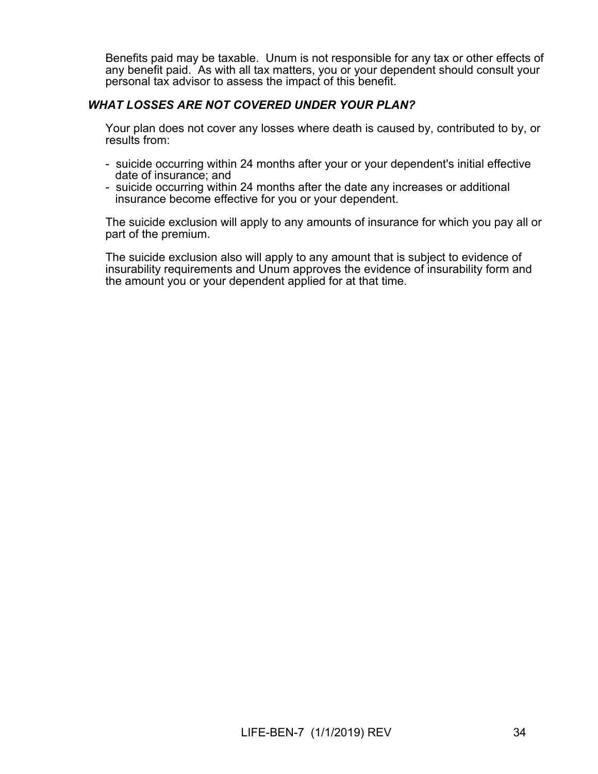Benefits paid may be taxable. Unum is not responsible for any tax or other effects of any benefit paid. As with all tax matters, you or your dependent should consult your personal tax advisor to assess the impact of this benefit.

# *WHAT LOSSES ARE NOT COVERED UNDER YOUR PLAN?*

Your plan does not cover any losses where death is caused by, contributed to by, or results from:

- suicide occurring within 24 months after your or your dependent's initial effective date of insurance; and
- suicide occurring within 24 months after the date any increases or additional insurance become effective for you or your dependent.

The suicide exclusion will apply to any amounts of insurance for which you pay all or part of the premium.

The suicide exclusion also will apply to any amount that is subject to evidence of insurability requirements and Unum approves the evidence of insurability form and the amount you or your dependent applied for at that time.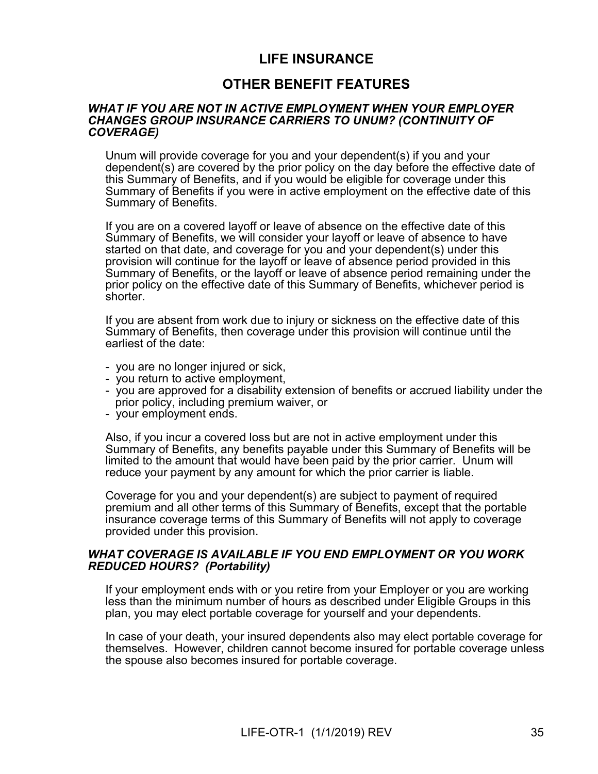# **LIFE INSURANCE**

# **OTHER BENEFIT FEATURES**

### *WHAT IF YOU ARE NOT IN ACTIVE EMPLOYMENT WHEN YOUR EMPLOYER CHANGES GROUP INSURANCE CARRIERS TO UNUM? (CONTINUITY OF COVERAGE)*

Unum will provide coverage for you and your dependent(s) if you and your dependent(s) are covered by the prior policy on the day before the effective date of this Summary of Benefits, and if you would be eligible for coverage under this Summary of Benefits if you were in active employment on the effective date of this Summary of Benefits.

If you are on a covered layoff or leave of absence on the effective date of this Summary of Benefits, we will consider your layoff or leave of absence to have started on that date, and coverage for you and your dependent(s) under this provision will continue for the layoff or leave of absence period provided in this Summary of Benefits, or the layoff or leave of absence period remaining under the prior policy on the effective date of this Summary of Benefits, whichever period is shorter.

If you are absent from work due to injury or sickness on the effective date of this Summary of Benefits, then coverage under this provision will continue until the earliest of the date:

- you are no longer injured or sick,
- you return to active employment,
- you are approved for a disability extension of benefits or accrued liability under the prior policy, including premium waiver, or
- your employment ends.

Also, if you incur a covered loss but are not in active employment under this Summary of Benefits, any benefits payable under this Summary of Benefits will be limited to the amount that would have been paid by the prior carrier. Unum will reduce your payment by any amount for which the prior carrier is liable.

Coverage for you and your dependent(s) are subject to payment of required premium and all other terms of this Summary of Benefits, except that the portable insurance coverage terms of this Summary of Benefits will not apply to coverage provided under this provision.

# *WHAT COVERAGE IS AVAILABLE IF YOU END EMPLOYMENT OR YOU WORK REDUCED HOURS? (Portability)*

If your employment ends with or you retire from your Employer or you are working less than the minimum number of hours as described under Eligible Groups in this plan, you may elect portable coverage for yourself and your dependents.

In case of your death, your insured dependents also may elect portable coverage for themselves. However, children cannot become insured for portable coverage unless the spouse also becomes insured for portable coverage.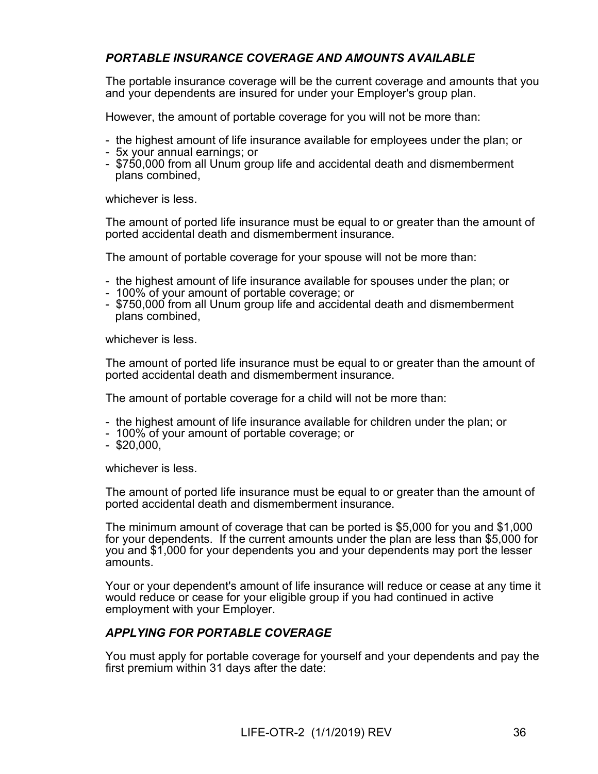# *PORTABLE INSURANCE COVERAGE AND AMOUNTS AVAILABLE*

The portable insurance coverage will be the current coverage and amounts that you and your dependents are insured for under your Employer's group plan.

However, the amount of portable coverage for you will not be more than:

- the highest amount of life insurance available for employees under the plan; or
- 5x your annual earnings; or
- \$750,000 from all Unum group life and accidental death and dismemberment plans combined,

whichever is less.

The amount of ported life insurance must be equal to or greater than the amount of ported accidental death and dismemberment insurance.

The amount of portable coverage for your spouse will not be more than:

- the highest amount of life insurance available for spouses under the plan; or
- 100% of your amount of portable coverage; or
- \$750,000 from all Unum group life and accidental death and dismemberment plans combined,

whichever is less.

The amount of ported life insurance must be equal to or greater than the amount of ported accidental death and dismemberment insurance.

The amount of portable coverage for a child will not be more than:

- the highest amount of life insurance available for children under the plan; or
- 100% of your amount of portable coverage; or
- $-$  \$20,000,

whichever is less.

The amount of ported life insurance must be equal to or greater than the amount of ported accidental death and dismemberment insurance.

The minimum amount of coverage that can be ported is \$5,000 for you and \$1,000 for your dependents. If the current amounts under the plan are less than \$5,000 for you and \$1,000 for your dependents you and your dependents may port the lesser amounts.

Your or your dependent's amount of life insurance will reduce or cease at any time it would reduce or cease for your eligible group if you had continued in active employment with your Employer.

# *APPLYING FOR PORTABLE COVERAGE*

You must apply for portable coverage for yourself and your dependents and pay the first premium within 31 days after the date: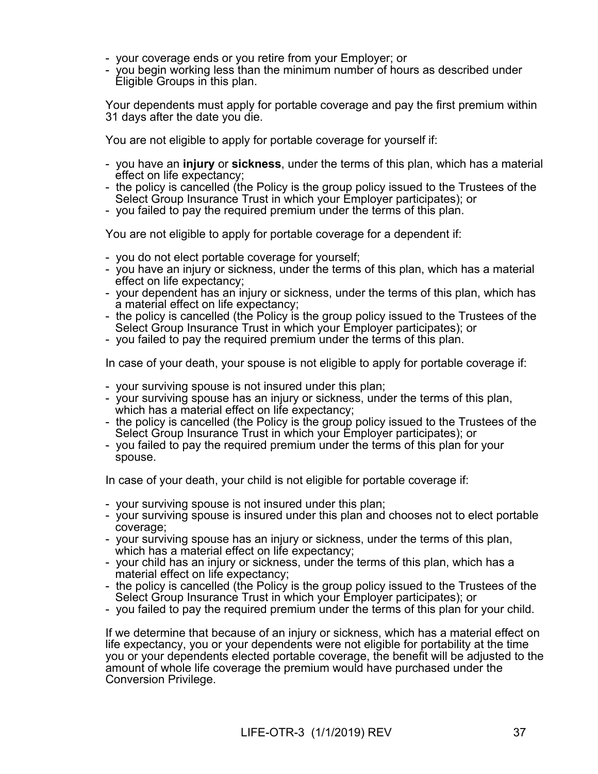- your coverage ends or you retire from your Employer; or
- you begin working less than the minimum number of hours as described under Eligible Groups in this plan.

Your dependents must apply for portable coverage and pay the first premium within 31 days after the date you die.

You are not eligible to apply for portable coverage for yourself if:

- you have an **injury** or **sickness**, under the terms of this plan, which has a material effect on life expectancy;
- the policy is cancelled (the Policy is the group policy issued to the Trustees of the Select Group Insurance Trust in which your Employer participates); or
- you failed to pay the required premium under the terms of this plan.

You are not eligible to apply for portable coverage for a dependent if:

- you do not elect portable coverage for yourself;
- you have an injury or sickness, under the terms of this plan, which has a material effect on life expectancy;
- your dependent has an injury or sickness, under the terms of this plan, which has a material effect on life expectancy;
- the policy is cancelled (the Policy is the group policy issued to the Trustees of the Select Group Insurance Trust in which your Employer participates); or
- you failed to pay the required premium under the terms of this plan.

In case of your death, your spouse is not eligible to apply for portable coverage if:

- your surviving spouse is not insured under this plan;
- your surviving spouse has an injury or sickness, under the terms of this plan, which has a material effect on life expectancy;
- the policy is cancelled (the Policy is the group policy issued to the Trustees of the Select Group Insurance Trust in which your Employer participates); or
- you failed to pay the required premium under the terms of this plan for your spouse.

In case of your death, your child is not eligible for portable coverage if:

- your surviving spouse is not insured under this plan;
- your surviving spouse is insured under this plan and chooses not to elect portable coverage;
- your surviving spouse has an injury or sickness, under the terms of this plan, which has a material effect on life expectancy;
- your child has an injury or sickness, under the terms of this plan, which has a material effect on life expectancy;
- the policy is cancelled (the Policy is the group policy issued to the Trustees of the Select Group Insurance Trust in which your Employer participates); or
- you failed to pay the required premium under the terms of this plan for your child.

If we determine that because of an injury or sickness, which has a material effect on life expectancy, you or your dependents were not eligible for portability at the time you or your dependents elected portable coverage, the benefit will be adjusted to the amount of whole life coverage the premium would have purchased under the Conversion Privilege.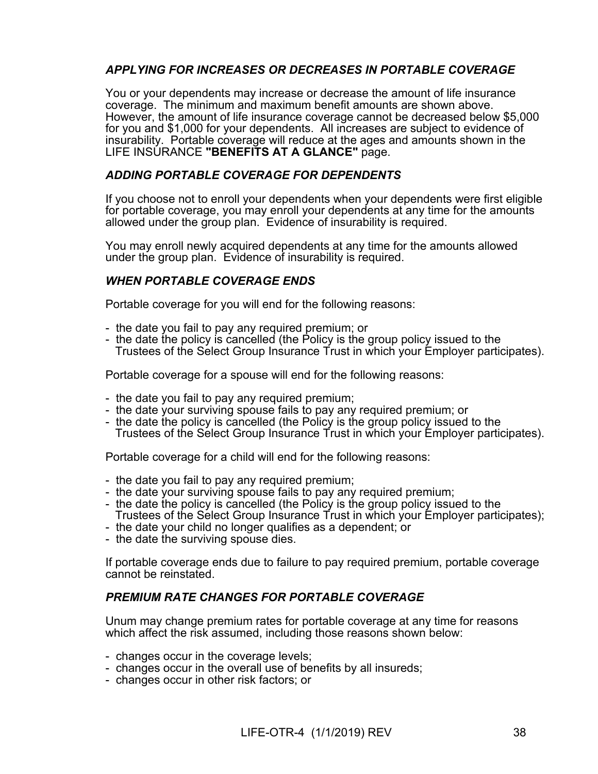# *APPLYING FOR INCREASES OR DECREASES IN PORTABLE COVERAGE*

You or your dependents may increase or decrease the amount of life insurance coverage. The minimum and maximum benefit amounts are shown above. However, the amount of life insurance coverage cannot be decreased below \$5,000 for you and \$1,000 for your dependents. All increases are subject to evidence of insurability. Portable coverage will reduce at the ages and amounts shown in the LIFE INSURANCE **"BENEFITS AT A GLANCE"** page.

# *ADDING PORTABLE COVERAGE FOR DEPENDENTS*

If you choose not to enroll your dependents when your dependents were first eligible for portable coverage, you may enroll your dependents at any time for the amounts allowed under the group plan. Evidence of insurability is required.

You may enroll newly acquired dependents at any time for the amounts allowed under the group plan. Evidence of insurability is required.

# *WHEN PORTABLE COVERAGE ENDS*

Portable coverage for you will end for the following reasons:

- the date you fail to pay any required premium; or
- the date the policy is cancelled (the Policy is the group policy issued to the Trustees of the Select Group Insurance Trust in which your Employer participates).

Portable coverage for a spouse will end for the following reasons:

- the date you fail to pay any required premium;
- the date your surviving spouse fails to pay any required premium; or
- the date the policy is cancelled (the Policy is the group policy issued to the Trustees of the Select Group Insurance Trust in which your Employer participates).

Portable coverage for a child will end for the following reasons:

- the date you fail to pay any required premium;
- the date your surviving spouse fails to pay any required premium;
- the date the policy is cancelled (the Policy is the group policy issued to the Trustees of the Select Group Insurance Trust in which your Employer participates);
- the date your child no longer qualifies as a dependent; or
- the date the surviving spouse dies.

If portable coverage ends due to failure to pay required premium, portable coverage cannot be reinstated.

# *PREMIUM RATE CHANGES FOR PORTABLE COVERAGE*

Unum may change premium rates for portable coverage at any time for reasons which affect the risk assumed, including those reasons shown below:

- changes occur in the coverage levels;
- changes occur in the overall use of benefits by all insureds;
- changes occur in other risk factors; or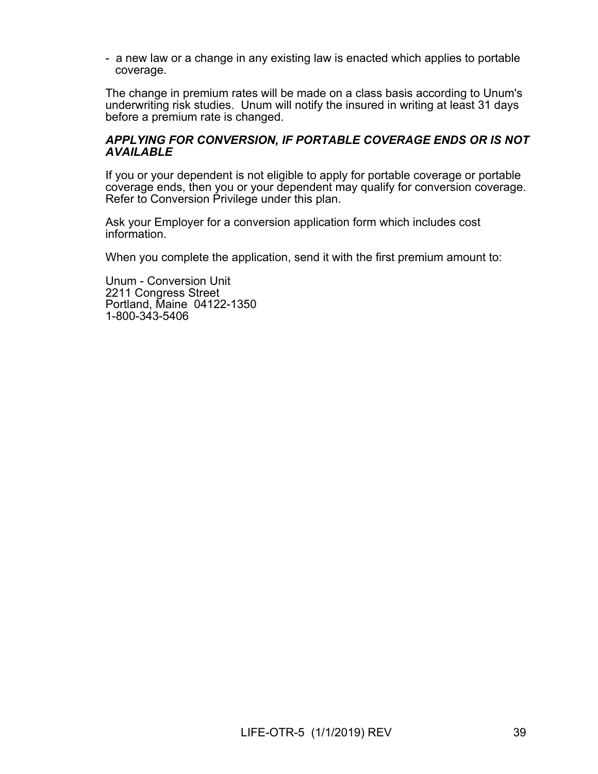- a new law or a change in any existing law is enacted which applies to portable coverage.

The change in premium rates will be made on a class basis according to Unum's underwriting risk studies. Unum will notify the insured in writing at least 31 days before a premium rate is changed.

# *APPLYING FOR CONVERSION, IF PORTABLE COVERAGE ENDS OR IS NOT AVAILABLE*

If you or your dependent is not eligible to apply for portable coverage or portable coverage ends, then you or your dependent may qualify for conversion coverage. Refer to Conversion Privilege under this plan.

Ask your Employer for a conversion application form which includes cost information.

When you complete the application, send it with the first premium amount to:

Unum - Conversion Unit 2211 Congress Street Portland, Maine 04122-1350 1-800-343-5406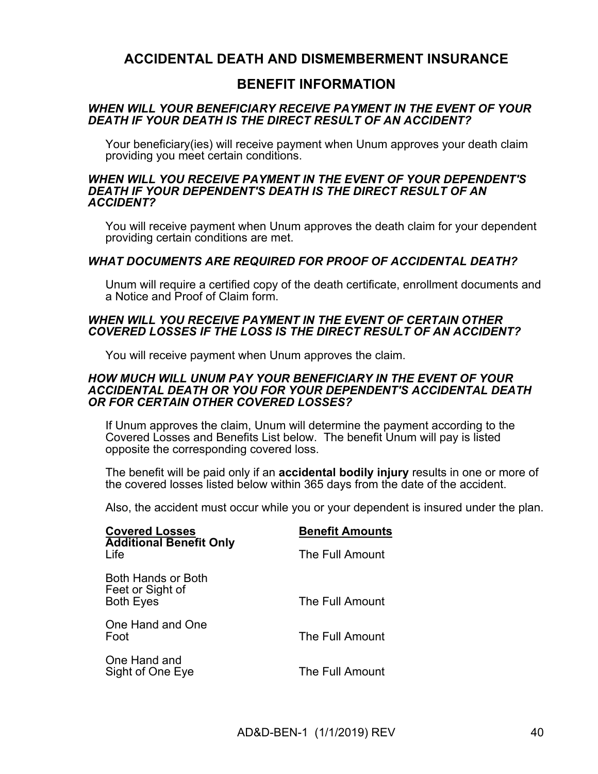# **ACCIDENTAL DEATH AND DISMEMBERMENT INSURANCE**

# **BENEFIT INFORMATION**

# *WHEN WILL YOUR BENEFICIARY RECEIVE PAYMENT IN THE EVENT OF YOUR DEATH IF YOUR DEATH IS THE DIRECT RESULT OF AN ACCIDENT?*

Your beneficiary(ies) will receive payment when Unum approves your death claim providing you meet certain conditions.

#### *WHEN WILL YOU RECEIVE PAYMENT IN THE EVENT OF YOUR DEPENDENT'S DEATH IF YOUR DEPENDENT'S DEATH IS THE DIRECT RESULT OF AN ACCIDENT?*

You will receive payment when Unum approves the death claim for your dependent providing certain conditions are met.

# *WHAT DOCUMENTS ARE REQUIRED FOR PROOF OF ACCIDENTAL DEATH?*

Unum will require a certified copy of the death certificate, enrollment documents and a Notice and Proof of Claim form.

# *WHEN WILL YOU RECEIVE PAYMENT IN THE EVENT OF CERTAIN OTHER COVERED LOSSES IF THE LOSS IS THE DIRECT RESULT OF AN ACCIDENT?*

You will receive payment when Unum approves the claim.

### *HOW MUCH WILL UNUM PAY YOUR BENEFICIARY IN THE EVENT OF YOUR ACCIDENTAL DEATH OR YOU FOR YOUR DEPENDENT'S ACCIDENTAL DEATH OR FOR CERTAIN OTHER COVERED LOSSES?*

If Unum approves the claim, Unum will determine the payment according to the Covered Losses and Benefits List below. The benefit Unum will pay is listed opposite the corresponding covered loss.

The benefit will be paid only if an **accidental bodily injury** results in one or more of the covered losses listed below within 365 days from the date of the accident.

Also, the accident must occur while you or your dependent is insured under the plan.

| <b>Covered Losses</b>                                      | <b>Benefit Amounts</b> |  |
|------------------------------------------------------------|------------------------|--|
| <b>Additional Benefit Only</b><br>Life                     | The Full Amount        |  |
| Both Hands or Both<br>Feet or Sight of<br><b>Both Eyes</b> | The Full Amount        |  |
| One Hand and One<br>Foot                                   | The Full Amount        |  |
| One Hand and<br>Sight of One Eye                           | The Full Amount        |  |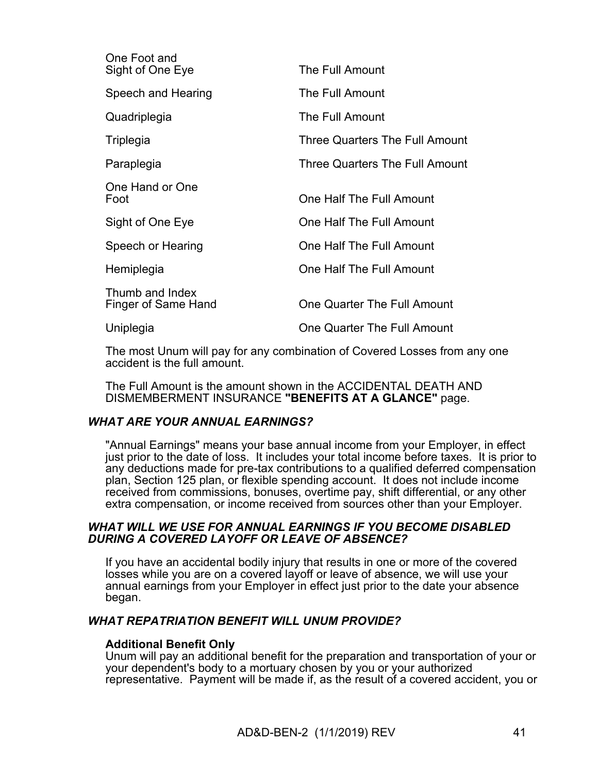| One Foot and<br>Sight of One Eye       | The Full Amount                |
|----------------------------------------|--------------------------------|
| Speech and Hearing                     | The Full Amount                |
| Quadriplegia                           | The Full Amount                |
| Triplegia                              | Three Quarters The Full Amount |
| Paraplegia                             | Three Quarters The Full Amount |
| One Hand or One<br>Foot                | One Half The Full Amount       |
| Sight of One Eye                       | One Half The Full Amount       |
| Speech or Hearing                      | One Half The Full Amount       |
| Hemiplegia                             | One Half The Full Amount       |
| Thumb and Index<br>Finger of Same Hand | One Quarter The Full Amount    |
| Uniplegia                              | One Quarter The Full Amount    |

The most Unum will pay for any combination of Covered Losses from any one accident is the full amount.

The Full Amount is the amount shown in the ACCIDENTAL DEATH AND DISMEMBERMENT INSURANCE **"BENEFITS AT A GLANCE"** page.

# *WHAT ARE YOUR ANNUAL EARNINGS?*

"Annual Earnings" means your base annual income from your Employer, in effect just prior to the date of loss. It includes your total income before taxes. It is prior to any deductions made for pre-tax contributions to a qualified deferred compensation plan, Section 125 plan, or flexible spending account. It does not include income received from commissions, bonuses, overtime pay, shift differential, or any other extra compensation, or income received from sources other than your Employer.

# *WHAT WILL WE USE FOR ANNUAL EARNINGS IF YOU BECOME DISABLED DURING A COVERED LAYOFF OR LEAVE OF ABSENCE?*

If you have an accidental bodily injury that results in one or more of the covered losses while you are on a covered layoff or leave of absence, we will use your annual earnings from your Employer in effect just prior to the date your absence began.

# *WHAT REPATRIATION BENEFIT WILL UNUM PROVIDE?*

# **Additional Benefit Only**

Unum will pay an additional benefit for the preparation and transportation of your or your dependent's body to a mortuary chosen by you or your authorized representative. Payment will be made if, as the result of a covered accident, you or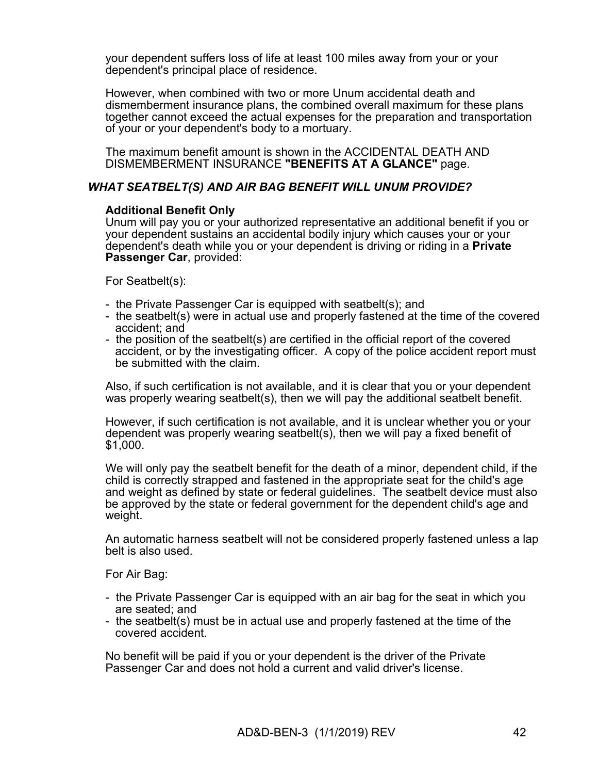your dependent suffers loss of life at least 100 miles away from your or your dependent's principal place of residence.

However, when combined with two or more Unum accidental death and dismemberment insurance plans, the combined overall maximum for these plans together cannot exceed the actual expenses for the preparation and transportation of your or your dependent's body to a mortuary.

The maximum benefit amount is shown in the ACCIDENTAL DEATH AND DISMEMBERMENT INSURANCE **"BENEFITS AT A GLANCE"** page.

# *WHAT SEATBELT(S) AND AIR BAG BENEFIT WILL UNUM PROVIDE?*

# **Additional Benefit Only**

Unum will pay you or your authorized representative an additional benefit if you or your dependent sustains an accidental bodily injury which causes your or your dependent's death while you or your dependent is driving or riding in a **Private Passenger Car**, provided:

For Seatbelt(s):

- the Private Passenger Car is equipped with seatbelt(s); and
- the seatbelt(s) were in actual use and properly fastened at the time of the covered accident; and
- the position of the seatbelt(s) are certified in the official report of the covered accident, or by the investigating officer. A copy of the police accident report must be submitted with the claim.

Also, if such certification is not available, and it is clear that you or your dependent was properly wearing seatbelt(s), then we will pay the additional seatbelt benefit.

However, if such certification is not available, and it is unclear whether you or your dependent was properly wearing seatbelt(s), then we will pay a fixed benefit of \$1,000.

We will only pay the seatbelt benefit for the death of a minor, dependent child, if the child is correctly strapped and fastened in the appropriate seat for the child's age and weight as defined by state or federal guidelines. The seatbelt device must also be approved by the state or federal government for the dependent child's age and weight.

An automatic harness seatbelt will not be considered properly fastened unless a lap belt is also used.

For Air Bag:

- the Private Passenger Car is equipped with an air bag for the seat in which you are seated; and
- the seatbelt(s) must be in actual use and properly fastened at the time of the covered accident.

No benefit will be paid if you or your dependent is the driver of the Private Passenger Car and does not hold a current and valid driver's license.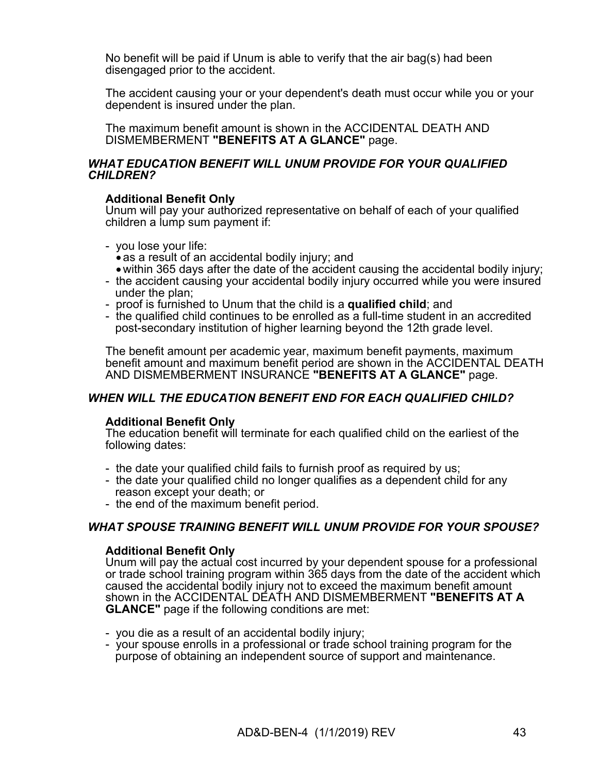No benefit will be paid if Unum is able to verify that the air bag(s) had been disengaged prior to the accident.

The accident causing your or your dependent's death must occur while you or your dependent is insured under the plan.

The maximum benefit amount is shown in the ACCIDENTAL DEATH AND DISMEMBERMENT **"BENEFITS AT A GLANCE"** page.

# *WHAT EDUCATION BENEFIT WILL UNUM PROVIDE FOR YOUR QUALIFIED CHILDREN?*

# **Additional Benefit Only**

Unum will pay your authorized representative on behalf of each of your qualified children a lump sum payment if:

- you lose your life:
	- as a result of an accidental bodily injury; and
- within 365 days after the date of the accident causing the accidental bodily injury;
- the accident causing your accidental bodily injury occurred while you were insured under the plan;
- proof is furnished to Unum that the child is a **qualified child**; and
- the qualified child continues to be enrolled as a full-time student in an accredited post-secondary institution of higher learning beyond the 12th grade level.

The benefit amount per academic year, maximum benefit payments, maximum benefit amount and maximum benefit period are shown in the ACCIDENTAL DEATH AND DISMEMBERMENT INSURANCE **"BENEFITS AT A GLANCE"** page.

# *WHEN WILL THE EDUCATION BENEFIT END FOR EACH QUALIFIED CHILD?*

# **Additional Benefit Only**

The education benefit will terminate for each qualified child on the earliest of the following dates:

- the date your qualified child fails to furnish proof as required by us;
- the date your qualified child no longer qualifies as a dependent child for any reason except your death; or
- the end of the maximum benefit period.

# *WHAT SPOUSE TRAINING BENEFIT WILL UNUM PROVIDE FOR YOUR SPOUSE?*

# **Additional Benefit Only**

Unum will pay the actual cost incurred by your dependent spouse for a professional or trade school training program within 365 days from the date of the accident which caused the accidental bodily injury not to exceed the maximum benefit amount shown in the ACCIDENTAL DEATH AND DISMEMBERMENT **"BENEFITS AT A GLANCE"** page if the following conditions are met:

- you die as a result of an accidental bodily injury;
- your spouse enrolls in a professional or trade school training program for the purpose of obtaining an independent source of support and maintenance.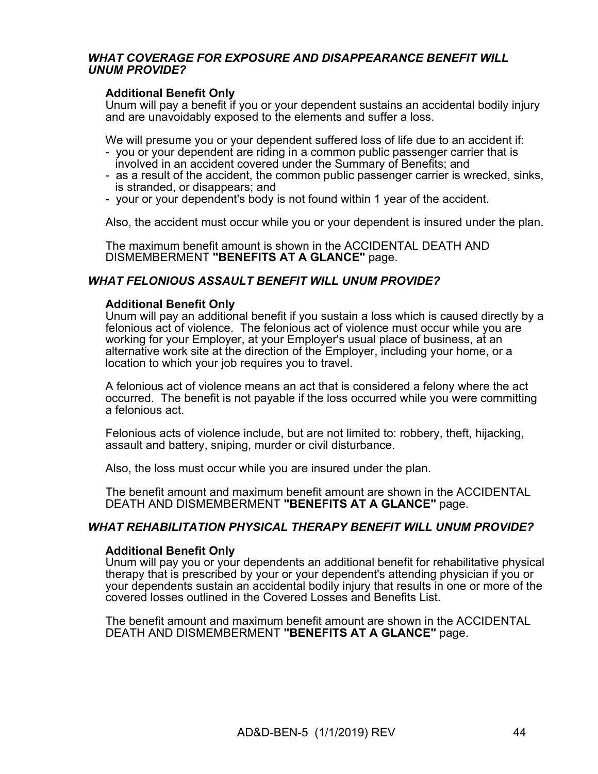# *WHAT COVERAGE FOR EXPOSURE AND DISAPPEARANCE BENEFIT WILL UNUM PROVIDE?*

# **Additional Benefit Only**

Unum will pay a benefit if you or your dependent sustains an accidental bodily injury and are unavoidably exposed to the elements and suffer a loss.

We will presume you or your dependent suffered loss of life due to an accident if:

- you or your dependent are riding in a common public passenger carrier that is involved in an accident covered under the Summary of Benefits; and
- as a result of the accident, the common public passenger carrier is wrecked, sinks, is stranded, or disappears; and
- your or your dependent's body is not found within 1 year of the accident.

Also, the accident must occur while you or your dependent is insured under the plan.

The maximum benefit amount is shown in the ACCIDENTAL DEATH AND DISMEMBERMENT **"BENEFITS AT A GLANCE"** page.

# *WHAT FELONIOUS ASSAULT BENEFIT WILL UNUM PROVIDE?*

# **Additional Benefit Only**

Unum will pay an additional benefit if you sustain a loss which is caused directly by a felonious act of violence. The felonious act of violence must occur while you are working for your Employer, at your Employer's usual place of business, at an alternative work site at the direction of the Employer, including your home, or a location to which your job requires you to travel.

A felonious act of violence means an act that is considered a felony where the act occurred. The benefit is not payable if the loss occurred while you were committing a felonious act.

Felonious acts of violence include, but are not limited to: robbery, theft, hijacking, assault and battery, sniping, murder or civil disturbance.

Also, the loss must occur while you are insured under the plan.

The benefit amount and maximum benefit amount are shown in the ACCIDENTAL DEATH AND DISMEMBERMENT **"BENEFITS AT A GLANCE"** page.

# *WHAT REHABILITATION PHYSICAL THERAPY BENEFIT WILL UNUM PROVIDE?*

### **Additional Benefit Only**

Unum will pay you or your dependents an additional benefit for rehabilitative physical therapy that is prescribed by your or your dependent's attending physician if you or your dependents sustain an accidental bodily injury that results in one or more of the covered losses outlined in the Covered Losses and Benefits List.

The benefit amount and maximum benefit amount are shown in the ACCIDENTAL DEATH AND DISMEMBERMENT **"BENEFITS AT A GLANCE"** page.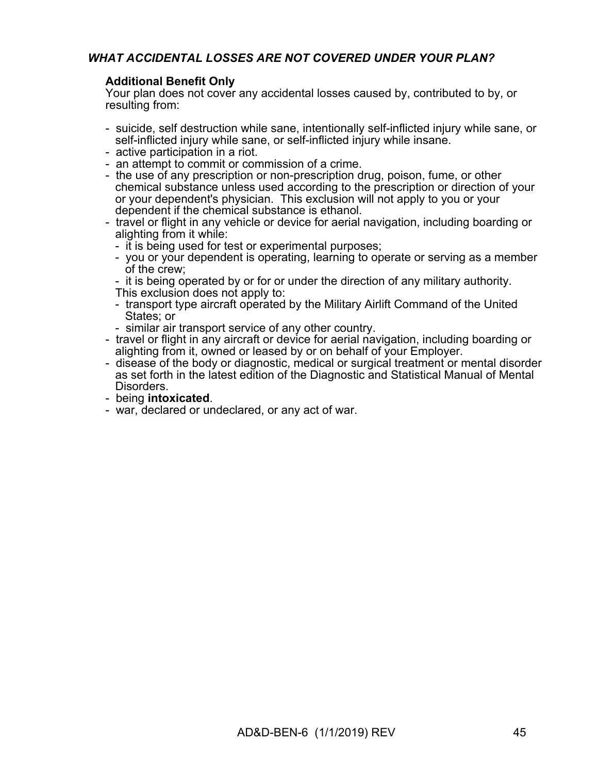# *WHAT ACCIDENTAL LOSSES ARE NOT COVERED UNDER YOUR PLAN?*

# **Additional Benefit Only**

Your plan does not cover any accidental losses caused by, contributed to by, or resulting from:

- suicide, self destruction while sane, intentionally self-inflicted injury while sane, or self-inflicted injury while sane, or self-inflicted injury while insane.
- active participation in a riot.
- an attempt to commit or commission of a crime.
- the use of any prescription or non-prescription drug, poison, fume, or other chemical substance unless used according to the prescription or direction of your or your dependent's physician. This exclusion will not apply to you or your dependent if the chemical substance is ethanol.
- travel or flight in any vehicle or device for aerial navigation, including boarding or alighting from it while:
	- it is being used for test or experimental purposes;
	- you or your dependent is operating, learning to operate or serving as a member of the crew;
	- it is being operated by or for or under the direction of any military authority.
	- This exclusion does not apply to:
	- transport type aircraft operated by the Military Airlift Command of the United States; or
	- similar air transport service of any other country.
- travel or flight in any aircraft or device for aerial navigation, including boarding or alighting from it, owned or leased by or on behalf of your Employer.
- disease of the body or diagnostic, medical or surgical treatment or mental disorder as set forth in the latest edition of the Diagnostic and Statistical Manual of Mental Disorders.
- being **intoxicated**.
- war, declared or undeclared, or any act of war.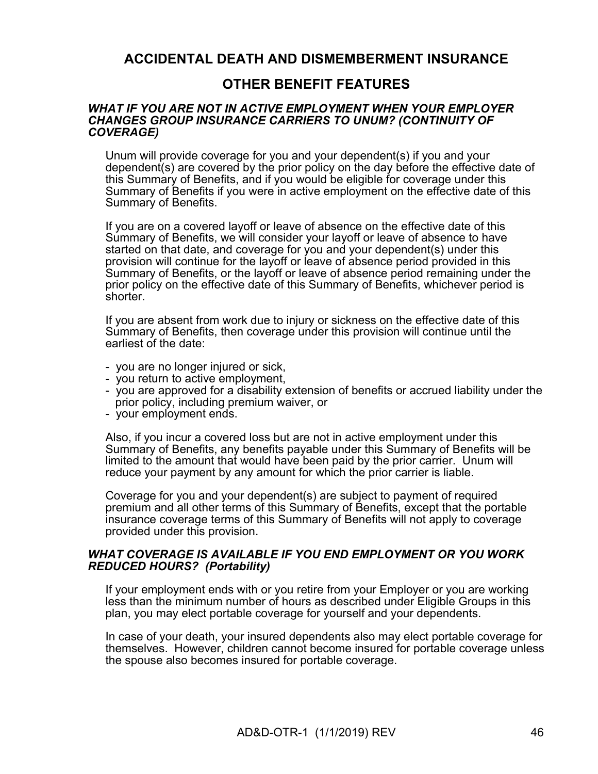# **ACCIDENTAL DEATH AND DISMEMBERMENT INSURANCE**

# **OTHER BENEFIT FEATURES**

# *WHAT IF YOU ARE NOT IN ACTIVE EMPLOYMENT WHEN YOUR EMPLOYER CHANGES GROUP INSURANCE CARRIERS TO UNUM? (CONTINUITY OF COVERAGE)*

Unum will provide coverage for you and your dependent(s) if you and your dependent(s) are covered by the prior policy on the day before the effective date of this Summary of Benefits, and if you would be eligible for coverage under this Summary of Benefits if you were in active employment on the effective date of this Summary of Benefits.

If you are on a covered layoff or leave of absence on the effective date of this Summary of Benefits, we will consider your layoff or leave of absence to have started on that date, and coverage for you and your dependent(s) under this provision will continue for the layoff or leave of absence period provided in this Summary of Benefits, or the layoff or leave of absence period remaining under the prior policy on the effective date of this Summary of Benefits, whichever period is shorter.

If you are absent from work due to injury or sickness on the effective date of this Summary of Benefits, then coverage under this provision will continue until the earliest of the date:

- you are no longer injured or sick,
- you return to active employment,
- you are approved for a disability extension of benefits or accrued liability under the prior policy, including premium waiver, or
- your employment ends.

Also, if you incur a covered loss but are not in active employment under this Summary of Benefits, any benefits payable under this Summary of Benefits will be limited to the amount that would have been paid by the prior carrier. Unum will reduce your payment by any amount for which the prior carrier is liable.

Coverage for you and your dependent(s) are subject to payment of required premium and all other terms of this Summary of Benefits, except that the portable insurance coverage terms of this Summary of Benefits will not apply to coverage provided under this provision.

# *WHAT COVERAGE IS AVAILABLE IF YOU END EMPLOYMENT OR YOU WORK REDUCED HOURS? (Portability)*

If your employment ends with or you retire from your Employer or you are working less than the minimum number of hours as described under Eligible Groups in this plan, you may elect portable coverage for yourself and your dependents.

In case of your death, your insured dependents also may elect portable coverage for themselves. However, children cannot become insured for portable coverage unless the spouse also becomes insured for portable coverage.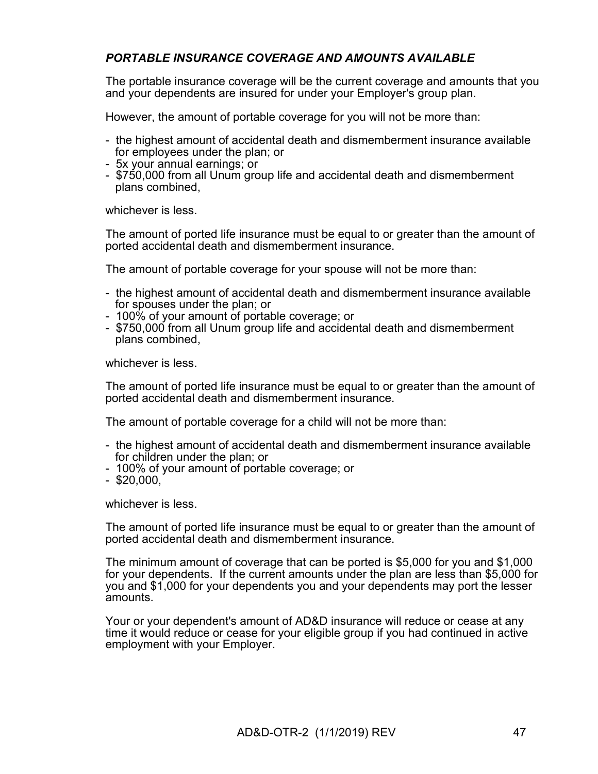# *PORTABLE INSURANCE COVERAGE AND AMOUNTS AVAILABLE*

The portable insurance coverage will be the current coverage and amounts that you and your dependents are insured for under your Employer's group plan.

However, the amount of portable coverage for you will not be more than:

- the highest amount of accidental death and dismemberment insurance available for employees under the plan; or
- 5x your annual earnings; or
- \$750,000 from all Unum group life and accidental death and dismemberment plans combined,

whichever is less.

The amount of ported life insurance must be equal to or greater than the amount of ported accidental death and dismemberment insurance.

The amount of portable coverage for your spouse will not be more than:

- the highest amount of accidental death and dismemberment insurance available for spouses under the plan; or
- 100% of your amount of portable coverage; or
- \$750,000 from all Unum group life and accidental death and dismemberment plans combined,

whichever is less.

The amount of ported life insurance must be equal to or greater than the amount of ported accidental death and dismemberment insurance.

The amount of portable coverage for a child will not be more than:

- the highest amount of accidental death and dismemberment insurance available for children under the plan; or
- 100% of your amount of portable coverage; or
- $-$  \$20,000,

whichever is less.

The amount of ported life insurance must be equal to or greater than the amount of ported accidental death and dismemberment insurance.

The minimum amount of coverage that can be ported is \$5,000 for you and \$1,000 for your dependents. If the current amounts under the plan are less than \$5,000 for you and \$1,000 for your dependents you and your dependents may port the lesser amounts.

Your or your dependent's amount of AD&D insurance will reduce or cease at any time it would reduce or cease for your eligible group if you had continued in active employment with your Employer.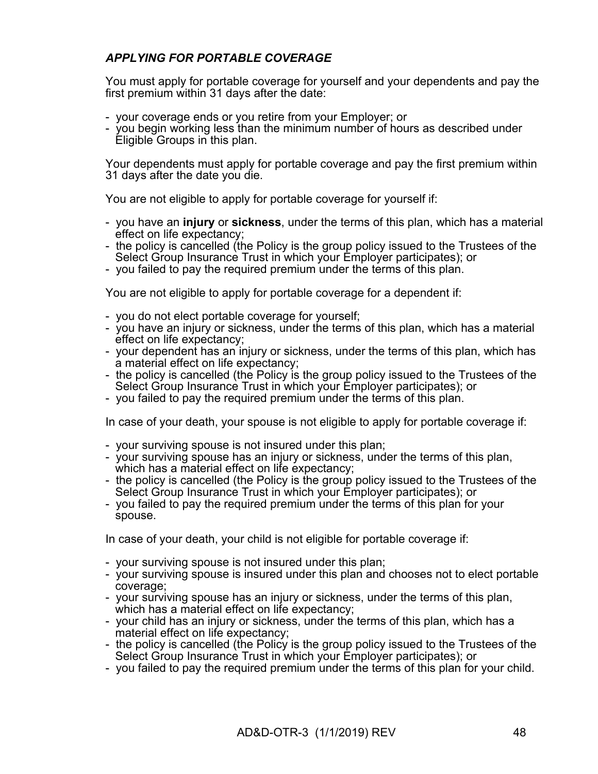# *APPLYING FOR PORTABLE COVERAGE*

You must apply for portable coverage for yourself and your dependents and pay the first premium within 31 days after the date:

- your coverage ends or you retire from your Employer; or
- you begin working less than the minimum number of hours as described under Eligible Groups in this plan.

Your dependents must apply for portable coverage and pay the first premium within 31 days after the date you die.

You are not eligible to apply for portable coverage for yourself if:

- you have an **injury** or **sickness**, under the terms of this plan, which has a material effect on life expectancy;
- the policy is cancelled (the Policy is the group policy issued to the Trustees of the Select Group Insurance Trust in which your Employer participates); or
- you failed to pay the required premium under the terms of this plan.

You are not eligible to apply for portable coverage for a dependent if:

- you do not elect portable coverage for yourself;
- you have an injury or sickness, under the terms of this plan, which has a material effect on life expectancy;
- your dependent has an injury or sickness, under the terms of this plan, which has a material effect on life expectancy;
- the policy is cancelled (the Policy is the group policy issued to the Trustees of the Select Group Insurance Trust in which your Employer participates); or
- you failed to pay the required premium under the terms of this plan.

In case of your death, your spouse is not eligible to apply for portable coverage if:

- your surviving spouse is not insured under this plan;
- your surviving spouse has an injury or sickness, under the terms of this plan, which has a material effect on life expectancy:
- the policy is cancelled (the Policy is the group policy issued to the Trustees of the Select Group Insurance Trust in which your Employer participates); or
- you failed to pay the required premium under the terms of this plan for your spouse.

In case of your death, your child is not eligible for portable coverage if:

- your surviving spouse is not insured under this plan;
- your surviving spouse is insured under this plan and chooses not to elect portable coverage;
- your surviving spouse has an injury or sickness, under the terms of this plan, which has a material effect on life expectancy;
- your child has an injury or sickness, under the terms of this plan, which has a material effect on life expectancy;
- the policy is cancelled (the Policy is the group policy issued to the Trustees of the Select Group Insurance Trust in which your Employer participates); or
- you failed to pay the required premium under the terms of this plan for your child.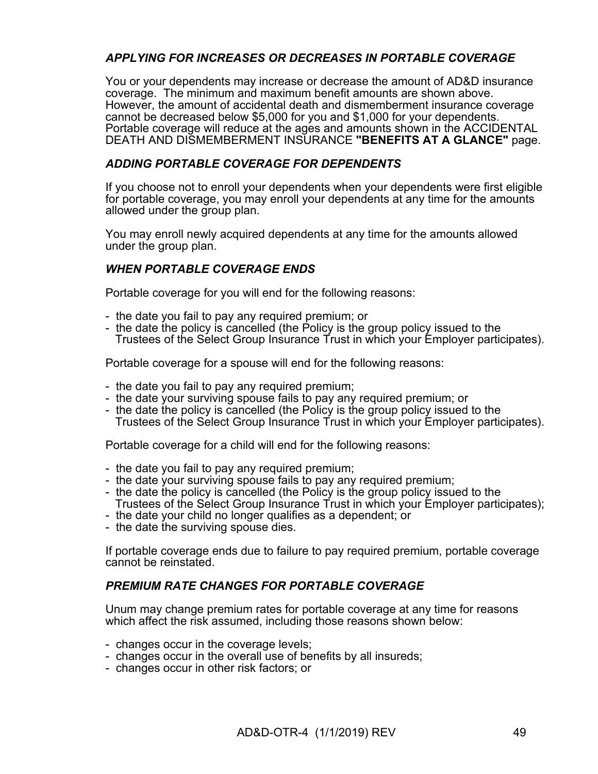# *APPLYING FOR INCREASES OR DECREASES IN PORTABLE COVERAGE*

You or your dependents may increase or decrease the amount of AD&D insurance coverage. The minimum and maximum benefit amounts are shown above. However, the amount of accidental death and dismemberment insurance coverage cannot be decreased below \$5,000 for you and \$1,000 for your dependents. Portable coverage will reduce at the ages and amounts shown in the ACCIDENTAL DEATH AND DISMEMBERMENT INSURANCE **"BENEFITS AT A GLANCE"** page.

# *ADDING PORTABLE COVERAGE FOR DEPENDENTS*

If you choose not to enroll your dependents when your dependents were first eligible for portable coverage, you may enroll your dependents at any time for the amounts allowed under the group plan.

You may enroll newly acquired dependents at any time for the amounts allowed under the group plan.

# *WHEN PORTABLE COVERAGE ENDS*

Portable coverage for you will end for the following reasons:

- the date you fail to pay any required premium; or
- the date the policy is cancelled (the Policy is the group policy issued to the Trustees of the Select Group Insurance Trust in which your Employer participates).

Portable coverage for a spouse will end for the following reasons:

- the date you fail to pay any required premium;
- the date your surviving spouse fails to pay any required premium; or
- the date the policy is cancelled (the Policy is the group policy issued to the Trustees of the Select Group Insurance Trust in which your Employer participates).

Portable coverage for a child will end for the following reasons:

- the date you fail to pay any required premium;
- the date your surviving spouse fails to pay any required premium;
- the date the policy is cancelled (the Policy is the group policy issued to the Trustees of the Select Group Insurance Trust in which your Employer participates);
- the date your child no longer qualifies as a dependent; or
- the date the surviving spouse dies.

If portable coverage ends due to failure to pay required premium, portable coverage cannot be reinstated.

# *PREMIUM RATE CHANGES FOR PORTABLE COVERAGE*

Unum may change premium rates for portable coverage at any time for reasons which affect the risk assumed, including those reasons shown below:

- changes occur in the coverage levels;
- changes occur in the overall use of benefits by all insureds;
- changes occur in other risk factors; or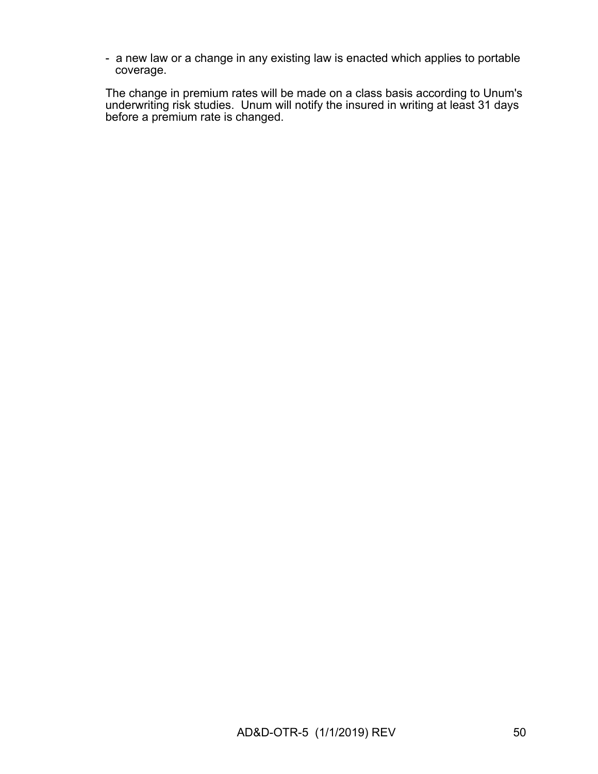- a new law or a change in any existing law is enacted which applies to portable coverage.

The change in premium rates will be made on a class basis according to Unum's underwriting risk studies. Unum will notify the insured in writing at least 31 days before a premium rate is changed.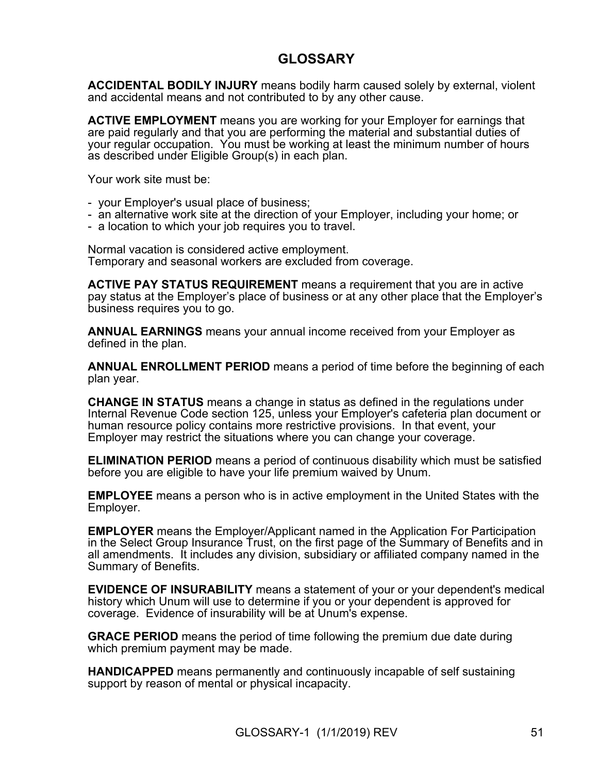# **GLOSSARY**

**ACCIDENTAL BODILY INJURY** means bodily harm caused solely by external, violent and accidental means and not contributed to by any other cause.

**ACTIVE EMPLOYMENT** means you are working for your Employer for earnings that are paid regularly and that you are performing the material and substantial duties of your regular occupation. You must be working at least the minimum number of hours as described under Eligible Group(s) in each plan.

Your work site must be:

- your Employer's usual place of business;
- an alternative work site at the direction of your Employer, including your home; or
- a location to which your job requires you to travel.

Normal vacation is considered active employment. Temporary and seasonal workers are excluded from coverage.

**ACTIVE PAY STATUS REQUIREMENT** means a requirement that you are in active pay status at the Employer's place of business or at any other place that the Employer's business requires you to go.

**ANNUAL EARNINGS** means your annual income received from your Employer as defined in the plan.

**ANNUAL ENROLLMENT PERIOD** means a period of time before the beginning of each plan year.

**CHANGE IN STATUS** means a change in status as defined in the regulations under Internal Revenue Code section 125, unless your Employer's cafeteria plan document or human resource policy contains more restrictive provisions. In that event, your Employer may restrict the situations where you can change your coverage.

**ELIMINATION PERIOD** means a period of continuous disability which must be satisfied before you are eligible to have your life premium waived by Unum.

**EMPLOYEE** means a person who is in active employment in the United States with the Employer.

**EMPLOYER** means the Employer/Applicant named in the Application For Participation in the Select Group Insurance Trust, on the first page of the Summary of Benefits and in all amendments. It includes any division, subsidiary or affiliated company named in the Summary of Benefits.

**EVIDENCE OF INSURABILITY** means a statement of your or your dependent's medical history which Unum will use to determine if you or your dependent is approved for coverage. Evidence of insurability will be at Unum's expense.

**GRACE PERIOD** means the period of time following the premium due date during which premium payment may be made.

**HANDICAPPED** means permanently and continuously incapable of self sustaining support by reason of mental or physical incapacity.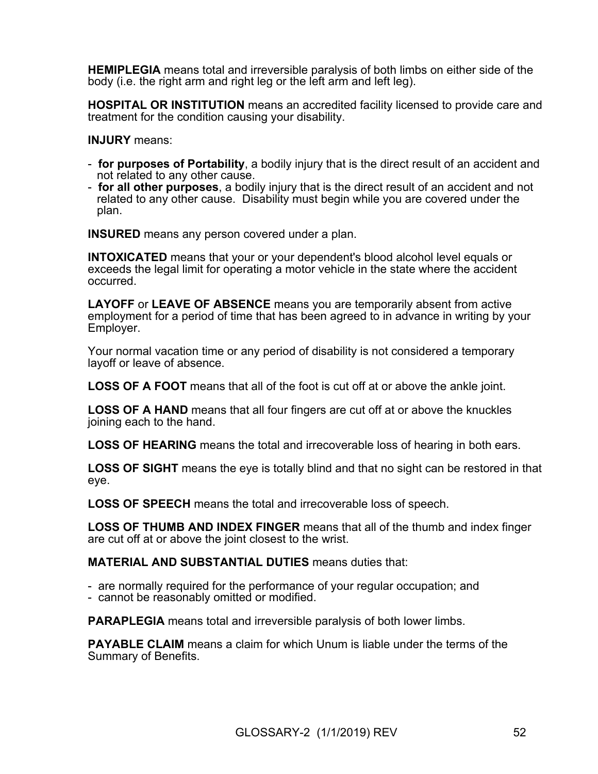**HEMIPLEGIA** means total and irreversible paralysis of both limbs on either side of the body (i.e. the right arm and right leg or the left arm and left leg).

**HOSPITAL OR INSTITUTION** means an accredited facility licensed to provide care and treatment for the condition causing your disability.

**INJURY** means:

- **for purposes of Portability**, a bodily injury that is the direct result of an accident and not related to any other cause.
- **for all other purposes**, a bodily injury that is the direct result of an accident and not related to any other cause. Disability must begin while you are covered under the plan.

**INSURED** means any person covered under a plan.

**INTOXICATED** means that your or your dependent's blood alcohol level equals or exceeds the legal limit for operating a motor vehicle in the state where the accident occurred.

**LAYOFF** or **LEAVE OF ABSENCE** means you are temporarily absent from active employment for a period of time that has been agreed to in advance in writing by your Employer.

Your normal vacation time or any period of disability is not considered a temporary layoff or leave of absence.

**LOSS OF A FOOT** means that all of the foot is cut off at or above the ankle joint.

**LOSS OF A HAND** means that all four fingers are cut off at or above the knuckles joining each to the hand.

**LOSS OF HEARING** means the total and irrecoverable loss of hearing in both ears.

**LOSS OF SIGHT** means the eye is totally blind and that no sight can be restored in that eye.

**LOSS OF SPEECH** means the total and irrecoverable loss of speech.

**LOSS OF THUMB AND INDEX FINGER** means that all of the thumb and index finger are cut off at or above the joint closest to the wrist.

**MATERIAL AND SUBSTANTIAL DUTIES** means duties that:

- are normally required for the performance of your regular occupation; and
- cannot be reasonably omitted or modified.

**PARAPLEGIA** means total and irreversible paralysis of both lower limbs.

**PAYABLE CLAIM** means a claim for which Unum is liable under the terms of the Summary of Benefits.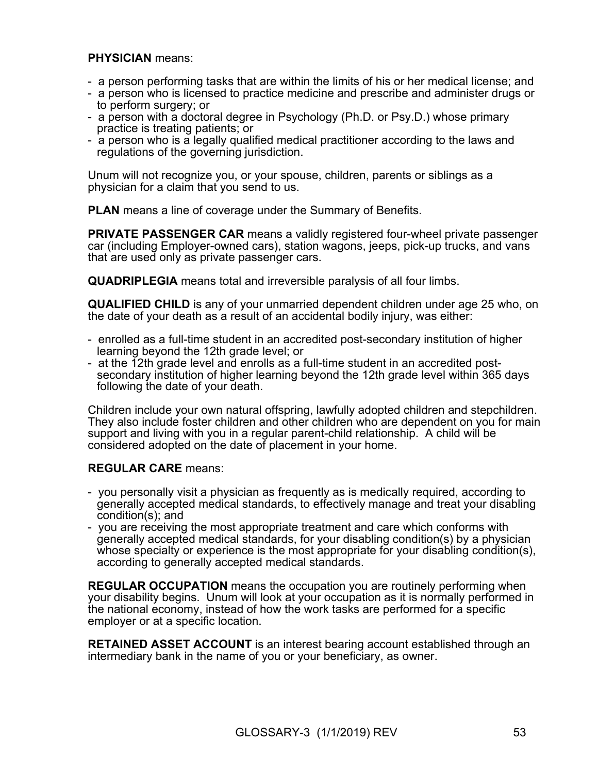# **PHYSICIAN** means:

- a person performing tasks that are within the limits of his or her medical license; and
- a person who is licensed to practice medicine and prescribe and administer drugs or to perform surgery; or
- a person with a doctoral degree in Psychology (Ph.D. or Psy.D.) whose primary practice is treating patients; or
- a person who is a legally qualified medical practitioner according to the laws and regulations of the governing jurisdiction.

Unum will not recognize you, or your spouse, children, parents or siblings as a physician for a claim that you send to us.

**PLAN** means a line of coverage under the Summary of Benefits.

**PRIVATE PASSENGER CAR** means a validly registered four-wheel private passenger car (including Employer-owned cars), station wagons, jeeps, pick-up trucks, and vans that are used only as private passenger cars.

**QUADRIPLEGIA** means total and irreversible paralysis of all four limbs.

**QUALIFIED CHILD** is any of your unmarried dependent children under age 25 who, on the date of your death as a result of an accidental bodily injury, was either:

- enrolled as a full-time student in an accredited post-secondary institution of higher learning beyond the 12th grade level; or
- at the 12th grade level and enrolls as a full-time student in an accredited postsecondary institution of higher learning beyond the 12th grade level within 365 days following the date of your death.

Children include your own natural offspring, lawfully adopted children and stepchildren. They also include foster children and other children who are dependent on you for main support and living with you in a regular parent-child relationship. A child will be considered adopted on the date of placement in your home.

# **REGULAR CARE** means:

- you personally visit a physician as frequently as is medically required, according to generally accepted medical standards, to effectively manage and treat your disabling condition(s); and
- you are receiving the most appropriate treatment and care which conforms with generally accepted medical standards, for your disabling condition(s) by a physician whose specialty or experience is the most appropriate for your disabling condition(s), according to generally accepted medical standards.

**REGULAR OCCUPATION** means the occupation you are routinely performing when your disability begins. Unum will look at your occupation as it is normally performed in the national economy, instead of how the work tasks are performed for a specific employer or at a specific location.

**RETAINED ASSET ACCOUNT** is an interest bearing account established through an intermediary bank in the name of you or your beneficiary, as owner.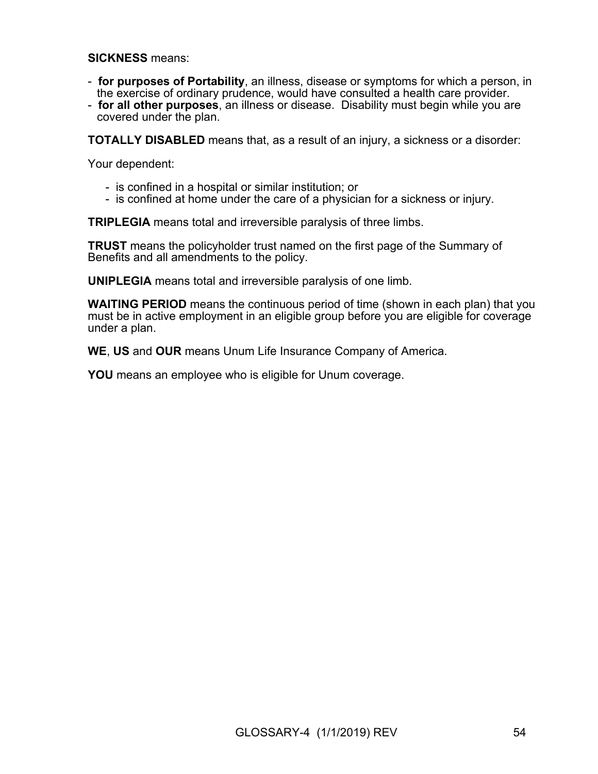**SICKNESS** means:

- **for purposes of Portability**, an illness, disease or symptoms for which a person, in the exercise of ordinary prudence, would have consulted a health care provider.
- **for all other purposes**, an illness or disease. Disability must begin while you are covered under the plan.

**TOTALLY DISABLED** means that, as a result of an injury, a sickness or a disorder:

Your dependent:

- is confined in a hospital or similar institution; or
- is confined at home under the care of a physician for a sickness or injury.

**TRIPLEGIA** means total and irreversible paralysis of three limbs.

**TRUST** means the policyholder trust named on the first page of the Summary of Benefits and all amendments to the policy.

**UNIPLEGIA** means total and irreversible paralysis of one limb.

**WAITING PERIOD** means the continuous period of time (shown in each plan) that you must be in active employment in an eligible group before you are eligible for coverage under a plan.

**WE**, **US** and **OUR** means Unum Life Insurance Company of America.

**YOU** means an employee who is eligible for Unum coverage.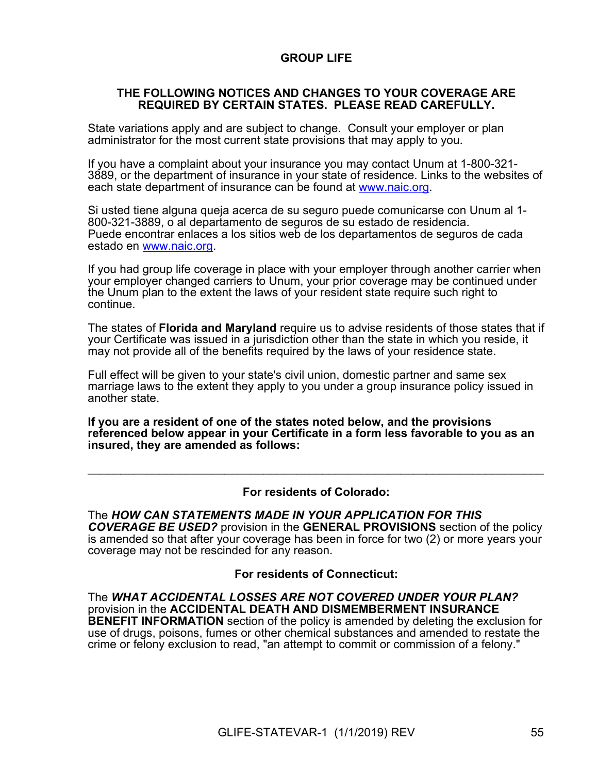# **GROUP LIFE**

# **THE FOLLOWING NOTICES AND CHANGES TO YOUR COVERAGE ARE REQUIRED BY CERTAIN STATES. PLEASE READ CAREFULLY.**

State variations apply and are subject to change. Consult your employer or plan administrator for the most current state provisions that may apply to you.

If you have a complaint about your insurance you may contact Unum at 1-800-321- 3889, or the department of insurance in your state of residence. Links to the websites of each state department of insurance can be found at [www.naic.org.](http://www.naic.org/)

Si usted tiene alguna queja acerca de su seguro puede comunicarse con Unum al 1- 800-321-3889, o al departamento de seguros de su estado de residencia. Puede encontrar enlaces a los sitios web de los departamentos de seguros de cada estado en [www.naic.org](http://www.naic.org/).

If you had group life coverage in place with your employer through another carrier when your employer changed carriers to Unum, your prior coverage may be continued under the Unum plan to the extent the laws of your resident state require such right to continue.

The states of **Florida and Maryland** require us to advise residents of those states that if your Certificate was issued in a jurisdiction other than the state in which you reside, it may not provide all of the benefits required by the laws of your residence state.

Full effect will be given to your state's civil union, domestic partner and same sex marriage laws to the extent they apply to you under a group insurance policy issued in another state.

**If you are a resident of one of the states noted below, and the provisions referenced below appear in your Certificate in a form less favorable to you as an insured, they are amended as follows:**

### **For residents of Colorado:**

 $\mathcal{L}_\text{max} = \mathcal{L}_\text{max} = \mathcal{L}_\text{max} = \mathcal{L}_\text{max} = \mathcal{L}_\text{max} = \mathcal{L}_\text{max} = \mathcal{L}_\text{max} = \mathcal{L}_\text{max} = \mathcal{L}_\text{max} = \mathcal{L}_\text{max} = \mathcal{L}_\text{max} = \mathcal{L}_\text{max} = \mathcal{L}_\text{max} = \mathcal{L}_\text{max} = \mathcal{L}_\text{max} = \mathcal{L}_\text{max} = \mathcal{L}_\text{max} = \mathcal{L}_\text{max} = \mathcal{$ 

The *HOW CAN STATEMENTS MADE IN YOUR APPLICATION FOR THIS COVERAGE BE USED?* provision in the **GENERAL PROVISIONS** section of the policy is amended so that after your coverage has been in force for two (2) or more years your coverage may not be rescinded for any reason.

### **For residents of Connecticut:**

The *WHAT ACCIDENTAL LOSSES ARE NOT COVERED UNDER YOUR PLAN?* provision in the **ACCIDENTAL DEATH AND DISMEMBERMENT INSURANCE BENEFIT INFORMATION** section of the policy is amended by deleting the exclusion for use of drugs, poisons, fumes or other chemical substances and amended to restate the crime or felony exclusion to read, "an attempt to commit or commission of a felony."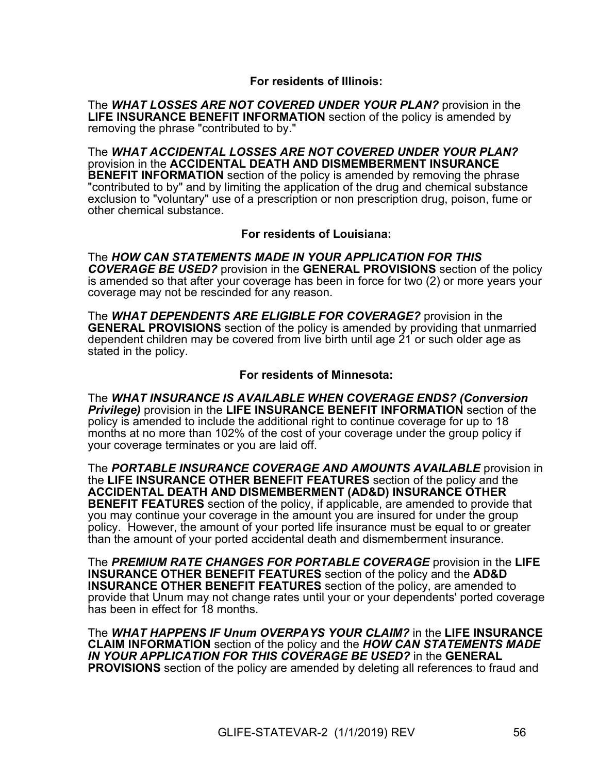# **For residents of Illinois:**

The *WHAT LOSSES ARE NOT COVERED UNDER YOUR PLAN?* provision in the **LIFE INSURANCE BENEFIT INFORMATION** section of the policy is amended by removing the phrase "contributed to by."

The *WHAT ACCIDENTAL LOSSES ARE NOT COVERED UNDER YOUR PLAN?* provision in the **ACCIDENTAL DEATH AND DISMEMBERMENT INSURANCE BENEFIT INFORMATION** section of the policy is amended by removing the phrase "contributed to by" and by limiting the application of the drug and chemical substance exclusion to "voluntary" use of a prescription or non prescription drug, poison, fume or other chemical substance.

**For residents of Louisiana:**

The *HOW CAN STATEMENTS MADE IN YOUR APPLICATION FOR THIS COVERAGE BE USED?* provision in the **GENERAL PROVISIONS** section of the policy is amended so that after your coverage has been in force for two (2) or more years your coverage may not be rescinded for any reason.

The *WHAT DEPENDENTS ARE ELIGIBLE FOR COVERAGE?* provision in the **GENERAL PROVISIONS** section of the policy is amended by providing that unmarried dependent children may be covered from live birth until age 21 or such older age as stated in the policy.

# **For residents of Minnesota:**

The *WHAT INSURANCE IS AVAILABLE WHEN COVERAGE ENDS? (Conversion Privilege)* provision in the **LIFE INSURANCE BENEFIT INFORMATION** section of the policy is amended to include the additional right to continue coverage for up to 18 months at no more than 102% of the cost of your coverage under the group policy if your coverage terminates or you are laid off.

The *PORTABLE INSURANCE COVERAGE AND AMOUNTS AVAILABLE* provision in the **LIFE INSURANCE OTHER BENEFIT FEATURES** section of the policy and the **ACCIDENTAL DEATH AND DISMEMBERMENT (AD&D) INSURANCE OTHER BENEFIT FEATURES** section of the policy, if applicable, are amended to provide that you may continue your coverage in the amount you are insured for under the group policy. However, the amount of your ported life insurance must be equal to or greater than the amount of your ported accidental death and dismemberment insurance.

The *PREMIUM RATE CHANGES FOR PORTABLE COVERAGE* provision in the **LIFE INSURANCE OTHER BENEFIT FEATURES** section of the policy and the **AD&D INSURANCE OTHER BENEFIT FEATURES** section of the policy, are amended to provide that Unum may not change rates until your or your dependents' ported coverage has been in effect for 18 months.

The *WHAT HAPPENS IF Unum OVERPAYS YOUR CLAIM?* in the **LIFE INSURANCE CLAIM INFORMATION** section of the policy and the *HOW CAN STATEMENTS MADE IN YOUR APPLICATION FOR THIS COVERAGE BE USED?* in the **GENERAL PROVISIONS** section of the policy are amended by deleting all references to fraud and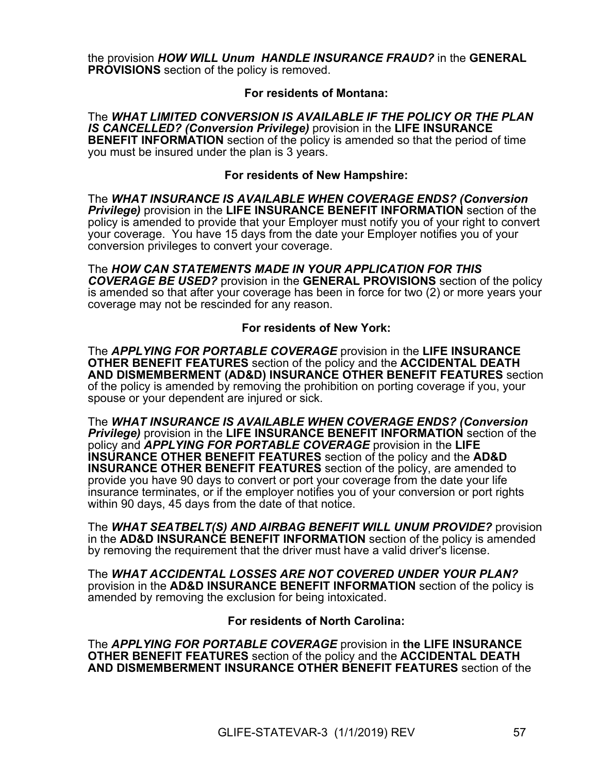the provision *HOW WILL Unum HANDLE INSURANCE FRAUD?* in the **GENERAL PROVISIONS** section of the policy is removed.

# **For residents of Montana:**

The *WHAT LIMITED CONVERSION IS AVAILABLE IF THE POLICY OR THE PLAN IS CANCELLED? (Conversion Privilege)* provision in the **LIFE INSURANCE BENEFIT INFORMATION** section of the policy is amended so that the period of time you must be insured under the plan is 3 years.

# **For residents of New Hampshire:**

The *WHAT INSURANCE IS AVAILABLE WHEN COVERAGE ENDS? (Conversion Privilege)* provision in the **LIFE INSURANCE BENEFIT INFORMATION** section of the policy is amended to provide that your Employer must notify you of your right to convert your coverage. You have 15 days from the date your Employer notifies you of your conversion privileges to convert your coverage.

The *HOW CAN STATEMENTS MADE IN YOUR APPLICATION FOR THIS COVERAGE BE USED?* provision in the **GENERAL PROVISIONS** section of the policy is amended so that after your coverage has been in force for two (2) or more years your coverage may not be rescinded for any reason.

# **For residents of New York:**

The *APPLYING FOR PORTABLE COVERAGE* provision in the **LIFE INSURANCE OTHER BENEFIT FEATURES** section of the policy and the **ACCIDENTAL DEATH AND DISMEMBERMENT (AD&D) INSURANCE OTHER BENEFIT FEATURES** section of the policy is amended by removing the prohibition on porting coverage if you, your spouse or your dependent are injured or sick.

The *WHAT INSURANCE IS AVAILABLE WHEN COVERAGE ENDS? (Conversion Privilege)* provision in the **LIFE INSURANCE BENEFIT INFORMATION** section of the policy and *APPLYING FOR PORTABLE COVERAGE* provision in the **LIFE INSURANCE OTHER BENEFIT FEATURES** section of the policy and the **AD&D INSURANCE OTHER BENEFIT FEATURES** section of the policy, are amended to provide you have 90 days to convert or port your coverage from the date your life insurance terminates, or if the employer notifies you of your conversion or port rights within 90 days, 45 days from the date of that notice.

The *WHAT SEATBELT(S) AND AIRBAG BENEFIT WILL UNUM PROVIDE?* provision in the **AD&D INSURANCE BENEFIT INFORMATION** section of the policy is amended by removing the requirement that the driver must have a valid driver's license.

The *WHAT ACCIDENTAL LOSSES ARE NOT COVERED UNDER YOUR PLAN?* provision in the **AD&D INSURANCE BENEFIT INFORMATION** section of the policy is amended by removing the exclusion for being intoxicated.

# **For residents of North Carolina:**

The *APPLYING FOR PORTABLE COVERAGE* provision in **the LIFE INSURANCE OTHER BENEFIT FEATURES** section of the policy and the **ACCIDENTAL DEATH AND DISMEMBERMENT INSURANCE OTHER BENEFIT FEATURES** section of the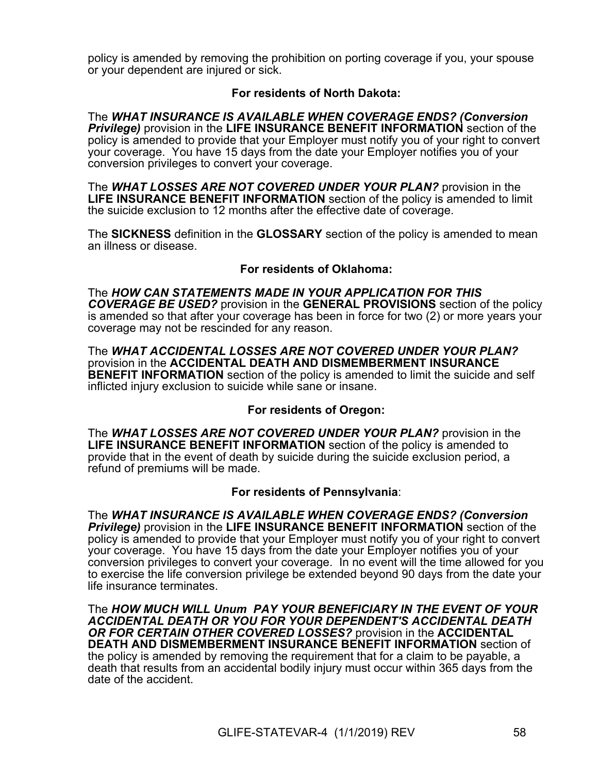policy is amended by removing the prohibition on porting coverage if you, your spouse or your dependent are injured or sick.

# **For residents of North Dakota:**

The *WHAT INSURANCE IS AVAILABLE WHEN COVERAGE ENDS? (Conversion Privilege)* provision in the **LIFE INSURANCE BENEFIT INFORMATION** section of the policy is amended to provide that your Employer must notify you of your right to convert your coverage. You have 15 days from the date your Employer notifies you of your conversion privileges to convert your coverage.

The *WHAT LOSSES ARE NOT COVERED UNDER YOUR PLAN?* provision in the **LIFE INSURANCE BENEFIT INFORMATION** section of the policy is amended to limit the suicide exclusion to 12 months after the effective date of coverage.

The **SICKNESS** definition in the **GLOSSARY** section of the policy is amended to mean an illness or disease.

# **For residents of Oklahoma:**

The *HOW CAN STATEMENTS MADE IN YOUR APPLICATION FOR THIS COVERAGE BE USED?* provision in the **GENERAL PROVISIONS** section of the policy is amended so that after your coverage has been in force for two (2) or more years your coverage may not be rescinded for any reason.

The *WHAT ACCIDENTAL LOSSES ARE NOT COVERED UNDER YOUR PLAN?* provision in the **ACCIDENTAL DEATH AND DISMEMBERMENT INSURANCE BENEFIT INFORMATION** section of the policy is amended to limit the suicide and self inflicted injury exclusion to suicide while sane or insane.

# **For residents of Oregon:**

The *WHAT LOSSES ARE NOT COVERED UNDER YOUR PLAN?* provision in the **LIFE INSURANCE BENEFIT INFORMATION** section of the policy is amended to provide that in the event of death by suicide during the suicide exclusion period, a refund of premiums will be made.

# **For residents of Pennsylvania**:

The *WHAT INSURANCE IS AVAILABLE WHEN COVERAGE ENDS? (Conversion Privilege)* provision in the **LIFE INSURANCE BENEFIT INFORMATION** section of the policy is amended to provide that your Employer must notify you of your right to convert your coverage. You have 15 days from the date your Employer notifies you of your conversion privileges to convert your coverage. In no event will the time allowed for you to exercise the life conversion privilege be extended beyond 90 days from the date your life insurance terminates.

The *HOW MUCH WILL Unum PAY YOUR BENEFICIARY IN THE EVENT OF YOUR ACCIDENTAL DEATH OR YOU FOR YOUR DEPENDENT'S ACCIDENTAL DEATH OR FOR CERTAIN OTHER COVERED LOSSES?* provision in the **ACCIDENTAL DEATH AND DISMEMBERMENT INSURANCE BENEFIT INFORMATION** section of the policy is amended by removing the requirement that for a claim to be payable, a death that results from an accidental bodily injury must occur within 365 days from the date of the accident.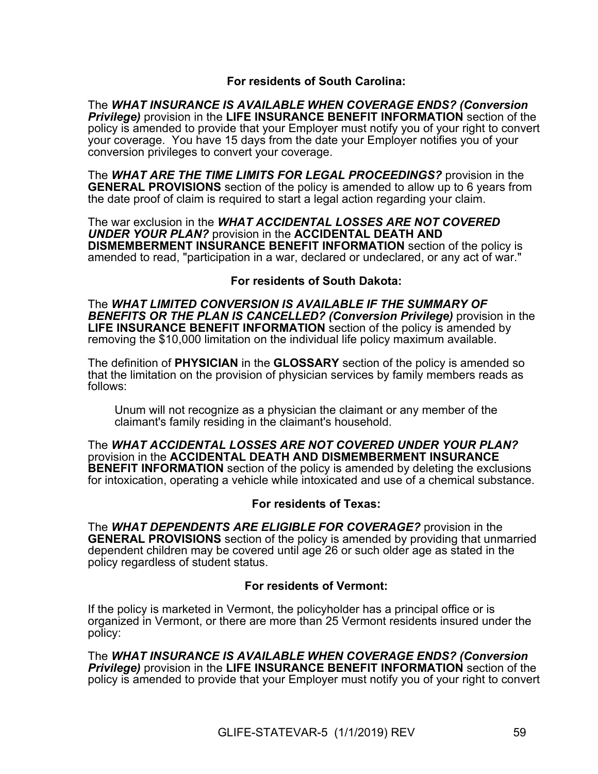# **For residents of South Carolina:**

The *WHAT INSURANCE IS AVAILABLE WHEN COVERAGE ENDS? (Conversion Privilege)* provision in the **LIFE INSURANCE BENEFIT INFORMATION** section of the policy is amended to provide that your Employer must notify you of your right to convert your coverage. You have 15 days from the date your Employer notifies you of your conversion privileges to convert your coverage.

The *WHAT ARE THE TIME LIMITS FOR LEGAL PROCEEDINGS?* provision in the **GENERAL PROVISIONS** section of the policy is amended to allow up to 6 years from the date proof of claim is required to start a legal action regarding your claim.

The war exclusion in the *WHAT ACCIDENTAL LOSSES ARE NOT COVERED UNDER YOUR PLAN?* provision in the **ACCIDENTAL DEATH AND DISMEMBERMENT INSURANCE BENEFIT INFORMATION** section of the policy is amended to read, "participation in a war, declared or undeclared, or any act of war."

# **For residents of South Dakota:**

The *WHAT LIMITED CONVERSION IS AVAILABLE IF THE SUMMARY OF BENEFITS OR THE PLAN IS CANCELLED? (Conversion Privilege)* provision in the **LIFE INSURANCE BENEFIT INFORMATION** section of the policy is amended by removing the \$10,000 limitation on the individual life policy maximum available.

The definition of **PHYSICIAN** in the **GLOSSARY** section of the policy is amended so that the limitation on the provision of physician services by family members reads as follows:

Unum will not recognize as a physician the claimant or any member of the claimant's family residing in the claimant's household.

The *WHAT ACCIDENTAL LOSSES ARE NOT COVERED UNDER YOUR PLAN?* provision in the **ACCIDENTAL DEATH AND DISMEMBERMENT INSURANCE BENEFIT INFORMATION** section of the policy is amended by deleting the exclusions for intoxication, operating a vehicle while intoxicated and use of a chemical substance.

# **For residents of Texas:**

The *WHAT DEPENDENTS ARE ELIGIBLE FOR COVERAGE?* provision in the **GENERAL PROVISIONS** section of the policy is amended by providing that unmarried dependent children may be covered until age 26 or such older age as stated in the policy regardless of student status.

# **For residents of Vermont:**

If the policy is marketed in Vermont, the policyholder has a principal office or is organized in Vermont, or there are more than 25 Vermont residents insured under the policy:

The *WHAT INSURANCE IS AVAILABLE WHEN COVERAGE ENDS? (Conversion Privilege)* provision in the **LIFE INSURANCE BENEFIT INFORMATION** section of the policy is amended to provide that your Employer must notify you of your right to convert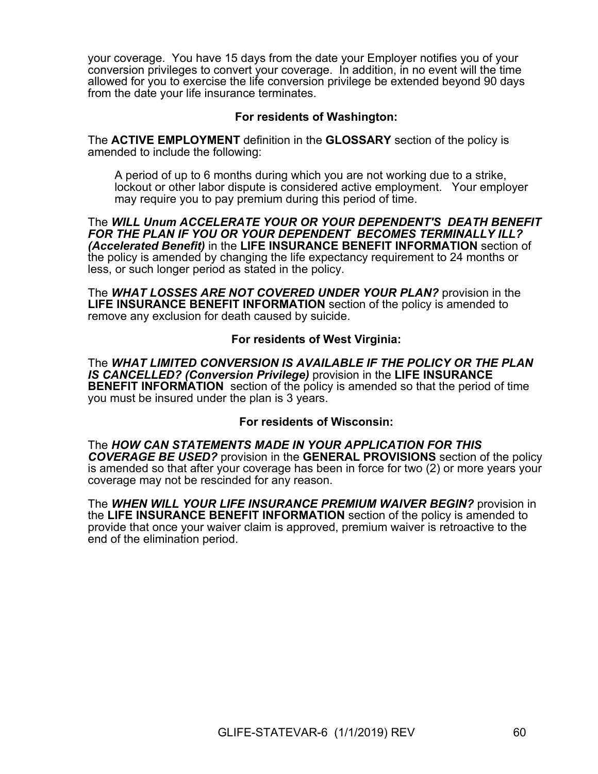your coverage. You have 15 days from the date your Employer notifies you of your conversion privileges to convert your coverage. In addition, in no event will the time allowed for you to exercise the life conversion privilege be extended beyond 90 days from the date your life insurance terminates.

# **For residents of Washington:**

The **ACTIVE EMPLOYMENT** definition in the **GLOSSARY** section of the policy is amended to include the following:

A period of up to 6 months during which you are not working due to a strike, lockout or other labor dispute is considered active employment. Your employer may require you to pay premium during this period of time.

The *WILL Unum ACCELERATE YOUR OR YOUR DEPENDENT'S DEATH BENEFIT FOR THE PLAN IF YOU OR YOUR DEPENDENT BECOMES TERMINALLY ILL? (Accelerated Benefit)* in the **LIFE INSURANCE BENEFIT INFORMATION** section of the policy is amended by changing the life expectancy requirement to 24 months or less, or such longer period as stated in the policy.

The *WHAT LOSSES ARE NOT COVERED UNDER YOUR PLAN?* provision in the **LIFE INSURANCE BENEFIT INFORMATION** section of the policy is amended to remove any exclusion for death caused by suicide.

# **For residents of West Virginia:**

The *WHAT LIMITED CONVERSION IS AVAILABLE IF THE POLICY OR THE PLAN IS CANCELLED? (Conversion Privilege)* provision in the **LIFE INSURANCE BENEFIT INFORMATION** section of the policy is amended so that the period of time you must be insured under the plan is 3 years.

# **For residents of Wisconsin:**

The *HOW CAN STATEMENTS MADE IN YOUR APPLICATION FOR THIS COVERAGE BE USED?* provision in the **GENERAL PROVISIONS** section of the policy is amended so that after your coverage has been in force for two (2) or more years your coverage may not be rescinded for any reason.

The *WHEN WILL YOUR LIFE INSURANCE PREMIUM WAIVER BEGIN?* provision in the **LIFE INSURANCE BENEFIT INFORMATION** section of the policy is amended to provide that once your waiver claim is approved, premium waiver is retroactive to the end of the elimination period.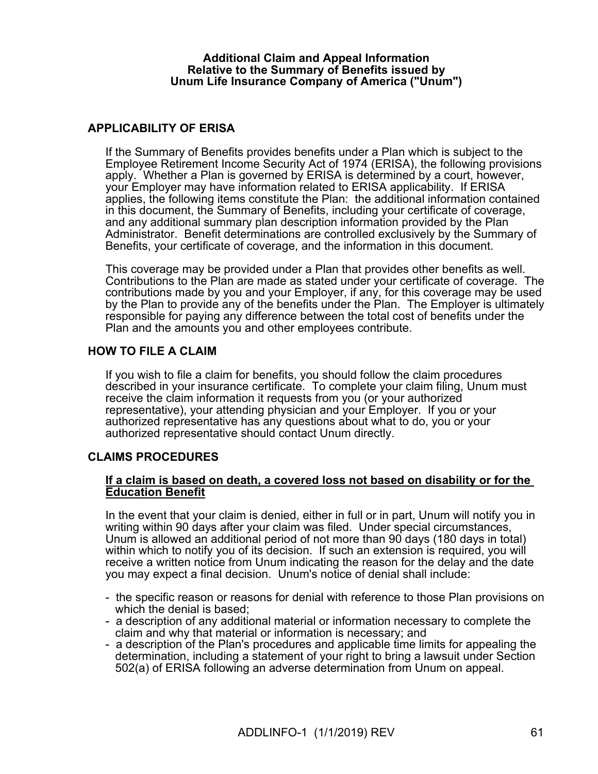### **Additional Claim and Appeal Information Relative to the Summary of Benefits issued by Unum Life Insurance Company of America ("Unum")**

# **APPLICABILITY OF ERISA**

If the Summary of Benefits provides benefits under a Plan which is subject to the Employee Retirement Income Security Act of 1974 (ERISA), the following provisions apply. Whether a Plan is governed by ERISA is determined by a court, however, your Employer may have information related to ERISA applicability. If ERISA applies, the following items constitute the Plan: the additional information contained in this document, the Summary of Benefits, including your certificate of coverage, and any additional summary plan description information provided by the Plan Administrator. Benefit determinations are controlled exclusively by the Summary of Benefits, your certificate of coverage, and the information in this document.

This coverage may be provided under a Plan that provides other benefits as well. Contributions to the Plan are made as stated under your certificate of coverage. The contributions made by you and your Employer, if any, for this coverage may be used by the Plan to provide any of the benefits under the Plan. The Employer is ultimately responsible for paying any difference between the total cost of benefits under the Plan and the amounts you and other employees contribute.

# **HOW TO FILE A CLAIM**

If you wish to file a claim for benefits, you should follow the claim procedures described in your insurance certificate. To complete your claim filing, Unum must receive the claim information it requests from you (or your authorized representative), your attending physician and your Employer. If you or your authorized representative has any questions about what to do, you or your authorized representative should contact Unum directly.

# **CLAIMS PROCEDURES**

# **If a claim is based on death, a covered loss not based on disability or for the Education Benefit**

In the event that your claim is denied, either in full or in part, Unum will notify you in writing within 90 days after your claim was filed. Under special circumstances, Unum is allowed an additional period of not more than 90 days (180 days in total) within which to notify you of its decision. If such an extension is required, you will receive a written notice from Unum indicating the reason for the delay and the date you may expect a final decision. Unum's notice of denial shall include:

- the specific reason or reasons for denial with reference to those Plan provisions on which the denial is based;
- a description of any additional material or information necessary to complete the claim and why that material or information is necessary; and
- a description of the Plan's procedures and applicable time limits for appealing the determination, including a statement of your right to bring a lawsuit under Section 502(a) of ERISA following an adverse determination from Unum on appeal.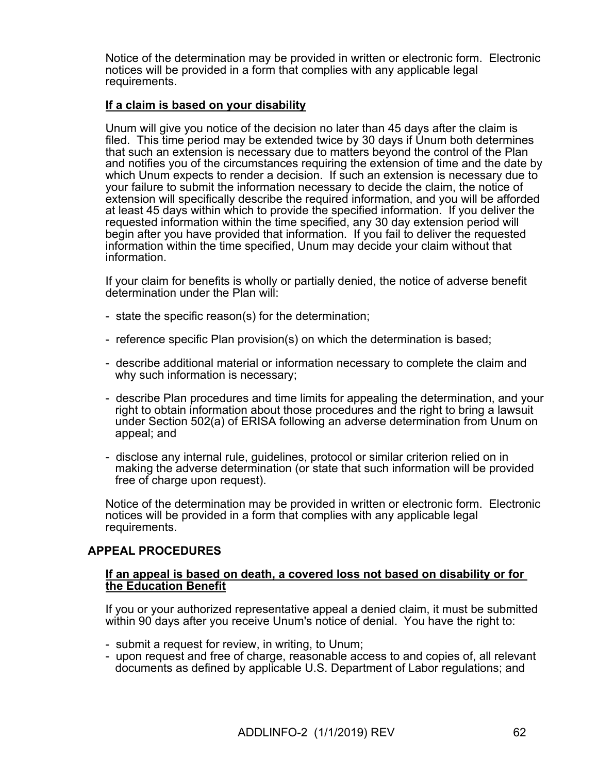Notice of the determination may be provided in written or electronic form. Electronic notices will be provided in a form that complies with any applicable legal requirements.

# **If a claim is based on your disability**

Unum will give you notice of the decision no later than 45 days after the claim is filed. This time period may be extended twice by 30 days if Unum both determines that such an extension is necessary due to matters beyond the control of the Plan and notifies you of the circumstances requiring the extension of time and the date by which Unum expects to render a decision. If such an extension is necessary due to your failure to submit the information necessary to decide the claim, the notice of extension will specifically describe the required information, and you will be afforded at least 45 days within which to provide the specified information. If you deliver the requested information within the time specified, any 30 day extension period will begin after you have provided that information. If you fail to deliver the requested information within the time specified, Unum may decide your claim without that information.

If your claim for benefits is wholly or partially denied, the notice of adverse benefit determination under the Plan will:

- state the specific reason(s) for the determination;
- reference specific Plan provision(s) on which the determination is based;
- describe additional material or information necessary to complete the claim and why such information is necessary;
- describe Plan procedures and time limits for appealing the determination, and your right to obtain information about those procedures and the right to bring a lawsuit under Section 502(a) of ERISA following an adverse determination from Unum on appeal; and
- disclose any internal rule, guidelines, protocol or similar criterion relied on in making the adverse determination (or state that such information will be provided free of charge upon request).

Notice of the determination may be provided in written or electronic form. Electronic notices will be provided in a form that complies with any applicable legal requirements.

# **APPEAL PROCEDURES**

# **If an appeal is based on death, a covered loss not based on disability or for the Education Benefit**

If you or your authorized representative appeal a denied claim, it must be submitted within 90 days after you receive Unum's notice of denial. You have the right to:

- submit a request for review, in writing, to Unum;
- upon request and free of charge, reasonable access to and copies of, all relevant documents as defined by applicable U.S. Department of Labor regulations; and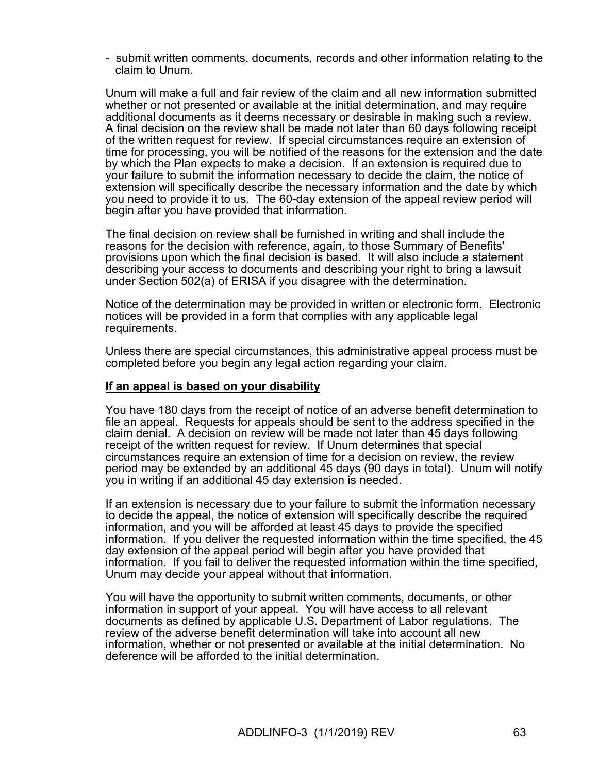- submit written comments, documents, records and other information relating to the claim to Unum.

Unum will make a full and fair review of the claim and all new information submitted whether or not presented or available at the initial determination, and may require additional documents as it deems necessary or desirable in making such a review. A final decision on the review shall be made not later than 60 days following receipt of the written request for review. If special circumstances require an extension of time for processing, you will be notified of the reasons for the extension and the date by which the Plan expects to make a decision. If an extension is required due to your failure to submit the information necessary to decide the claim, the notice of extension will specifically describe the necessary information and the date by which you need to provide it to us. The 60-day extension of the appeal review period will begin after you have provided that information.

The final decision on review shall be furnished in writing and shall include the reasons for the decision with reference, again, to those Summary of Benefits' provisions upon which the final decision is based. It will also include a statement describing your access to documents and describing your right to bring a lawsuit under Section 502(a) of ERISA if you disagree with the determination.

Notice of the determination may be provided in written or electronic form. Electronic notices will be provided in a form that complies with any applicable legal requirements.

Unless there are special circumstances, this administrative appeal process must be completed before you begin any legal action regarding your claim.

# **If an appeal is based on your disability**

You have 180 days from the receipt of notice of an adverse benefit determination to file an appeal. Requests for appeals should be sent to the address specified in the claim denial. A decision on review will be made not later than 45 days following receipt of the written request for review. If Unum determines that special circumstances require an extension of time for a decision on review, the review period may be extended by an additional 45 days (90 days in total). Unum will notify you in writing if an additional 45 day extension is needed.

If an extension is necessary due to your failure to submit the information necessary to decide the appeal, the notice of extension will specifically describe the required information, and you will be afforded at least 45 days to provide the specified information. If you deliver the requested information within the time specified, the 45 day extension of the appeal period will begin after you have provided that information. If you fail to deliver the requested information within the time specified, Unum may decide your appeal without that information.

You will have the opportunity to submit written comments, documents, or other information in support of your appeal. You will have access to all relevant documents as defined by applicable U.S. Department of Labor regulations. The review of the adverse benefit determination will take into account all new information, whether or not presented or available at the initial determination. No deference will be afforded to the initial determination.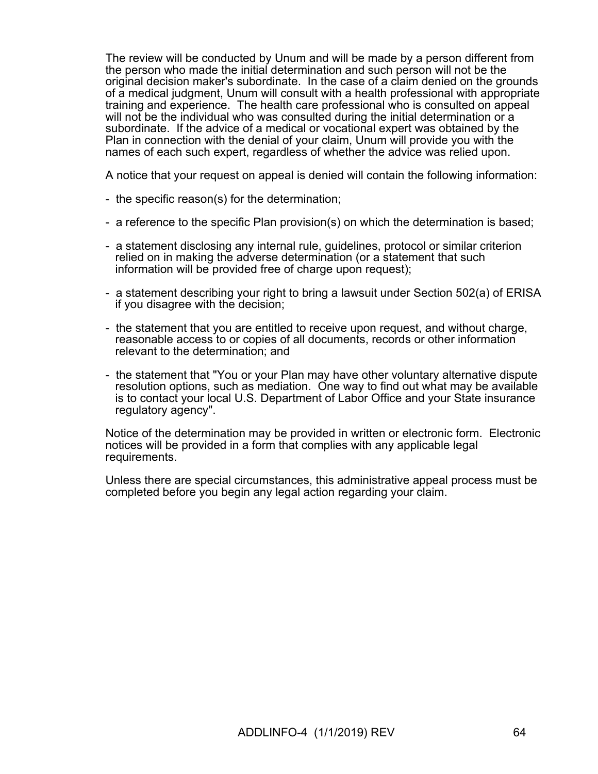The review will be conducted by Unum and will be made by a person different from the person who made the initial determination and such person will not be the original decision maker's subordinate. In the case of a claim denied on the grounds of a medical judgment, Unum will consult with a health professional with appropriate training and experience. The health care professional who is consulted on appeal will not be the individual who was consulted during the initial determination or a subordinate. If the advice of a medical or vocational expert was obtained by the Plan in connection with the denial of your claim, Unum will provide you with the names of each such expert, regardless of whether the advice was relied upon.

A notice that your request on appeal is denied will contain the following information:

- the specific reason(s) for the determination;
- a reference to the specific Plan provision(s) on which the determination is based;
- a statement disclosing any internal rule, guidelines, protocol or similar criterion relied on in making the adverse determination (or a statement that such information will be provided free of charge upon request);
- a statement describing your right to bring a lawsuit under Section 502(a) of ERISA if you disagree with the decision;
- the statement that you are entitled to receive upon request, and without charge, reasonable access to or copies of all documents, records or other information relevant to the determination; and
- the statement that "You or your Plan may have other voluntary alternative dispute resolution options, such as mediation. One way to find out what may be available is to contact your local U.S. Department of Labor Office and your State insurance regulatory agency".

Notice of the determination may be provided in written or electronic form. Electronic notices will be provided in a form that complies with any applicable legal requirements.

Unless there are special circumstances, this administrative appeal process must be completed before you begin any legal action regarding your claim.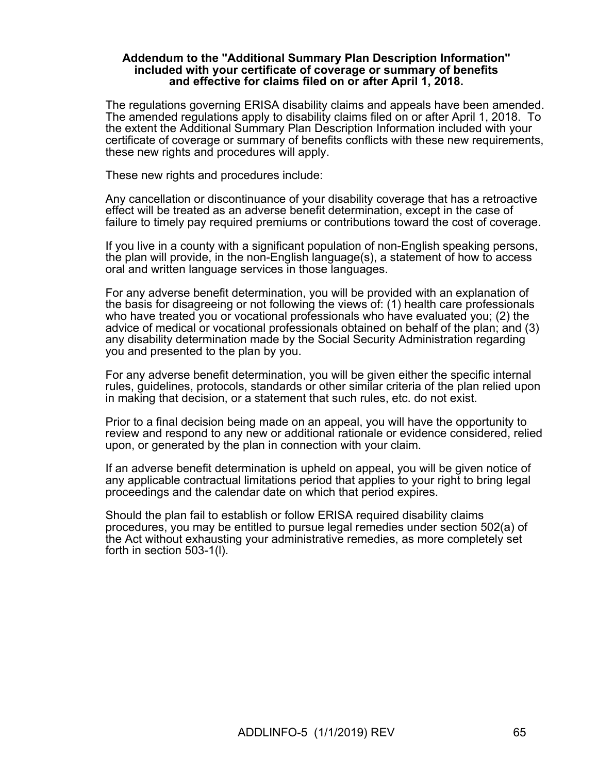#### **Addendum to the "Additional Summary Plan Description Information" included with your certificate of coverage or summary of benefits and effective for claims filed on or after April 1, 2018.**

The regulations governing ERISA disability claims and appeals have been amended. The amended regulations apply to disability claims filed on or after April 1, 2018. To the extent the Additional Summary Plan Description Information included with your certificate of coverage or summary of benefits conflicts with these new requirements, these new rights and procedures will apply.

These new rights and procedures include:

Any cancellation or discontinuance of your disability coverage that has a retroactive effect will be treated as an adverse benefit determination, except in the case of failure to timely pay required premiums or contributions toward the cost of coverage.

If you live in a county with a significant population of non-English speaking persons, the plan will provide, in the non-English language(s), a statement of how to access oral and written language services in those languages.

For any adverse benefit determination, you will be provided with an explanation of the basis for disagreeing or not following the views of: (1) health care professionals who have treated you or vocational professionals who have evaluated you; (2) the advice of medical or vocational professionals obtained on behalf of the plan; and (3) any disability determination made by the Social Security Administration regarding you and presented to the plan by you.

For any adverse benefit determination, you will be given either the specific internal rules, guidelines, protocols, standards or other similar criteria of the plan relied upon in making that decision, or a statement that such rules, etc. do not exist.

Prior to a final decision being made on an appeal, you will have the opportunity to review and respond to any new or additional rationale or evidence considered, relied upon, or generated by the plan in connection with your claim.

If an adverse benefit determination is upheld on appeal, you will be given notice of any applicable contractual limitations period that applies to your right to bring legal proceedings and the calendar date on which that period expires.

Should the plan fail to establish or follow ERISA required disability claims procedures, you may be entitled to pursue legal remedies under section 502(a) of the Act without exhausting your administrative remedies, as more completely set forth in section 503-1(l).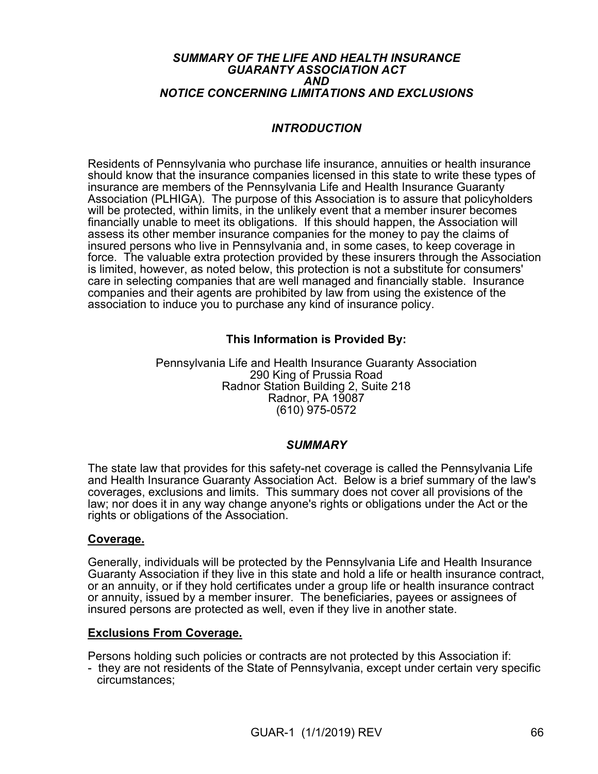# *SUMMARY OF THE LIFE AND HEALTH INSURANCE GUARANTY ASSOCIATION ACT AND NOTICE CONCERNING LIMITATIONS AND EXCLUSIONS*

# *INTRODUCTION*

Residents of Pennsylvania who purchase life insurance, annuities or health insurance should know that the insurance companies licensed in this state to write these types of insurance are members of the Pennsylvania Life and Health Insurance Guaranty Association (PLHIGA). The purpose of this Association is to assure that policyholders will be protected, within limits, in the unlikely event that a member insurer becomes financially unable to meet its obligations. If this should happen, the Association will assess its other member insurance companies for the money to pay the claims of insured persons who live in Pennsylvania and, in some cases, to keep coverage in force. The valuable extra protection provided by these insurers through the Association is limited, however, as noted below, this protection is not a substitute for consumers' care in selecting companies that are well managed and financially stable. Insurance companies and their agents are prohibited by law from using the existence of the association to induce you to purchase any kind of insurance policy.

# **This Information is Provided By:**

Pennsylvania Life and Health Insurance Guaranty Association 290 King of Prussia Road Radnor Station Building 2, Suite 218 Radnor, PA 19087 (610) 975-0572

# *SUMMARY*

The state law that provides for this safety-net coverage is called the Pennsylvania Life and Health Insurance Guaranty Association Act. Below is a brief summary of the law's coverages, exclusions and limits. This summary does not cover all provisions of the law; nor does it in any way change anyone's rights or obligations under the Act or the rights or obligations of the Association.

# **Coverage.**

Generally, individuals will be protected by the Pennsylvania Life and Health Insurance Guaranty Association if they live in this state and hold a life or health insurance contract, or an annuity, or if they hold certificates under a group life or health insurance contract or annuity, issued by a member insurer. The beneficiaries, payees or assignees of insured persons are protected as well, even if they live in another state.

# **Exclusions From Coverage.**

Persons holding such policies or contracts are not protected by this Association if:

- they are not residents of the State of Pennsylvania, except under certain very specific circumstances;